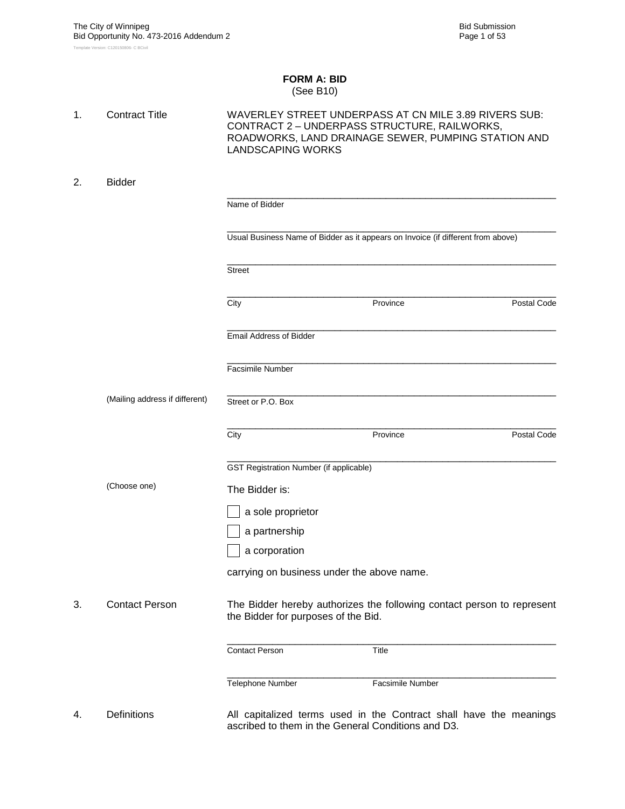#### **FORM A: BID** (See B10)

| 1. | <b>Contract Title</b>          | <b>LANDSCAPING WORKS</b>                           | WAVERLEY STREET UNDERPASS AT CN MILE 3.89 RIVERS SUB:<br>CONTRACT 2 - UNDERPASS STRUCTURE, RAILWORKS,<br>ROADWORKS, LAND DRAINAGE SEWER, PUMPING STATION AND |             |
|----|--------------------------------|----------------------------------------------------|--------------------------------------------------------------------------------------------------------------------------------------------------------------|-------------|
| 2. | <b>Bidder</b>                  |                                                    |                                                                                                                                                              |             |
|    |                                | Name of Bidder                                     |                                                                                                                                                              |             |
|    |                                |                                                    | Usual Business Name of Bidder as it appears on Invoice (if different from above)                                                                             |             |
|    |                                | <b>Street</b>                                      |                                                                                                                                                              |             |
|    |                                | City                                               | Province                                                                                                                                                     | Postal Code |
|    |                                | <b>Email Address of Bidder</b>                     |                                                                                                                                                              |             |
|    |                                | Facsimile Number                                   |                                                                                                                                                              |             |
|    | (Mailing address if different) | Street or P.O. Box                                 |                                                                                                                                                              |             |
|    |                                | City                                               | Province                                                                                                                                                     | Postal Code |
|    |                                | <b>GST Registration Number (if applicable)</b>     |                                                                                                                                                              |             |
|    | (Choose one)                   | The Bidder is:                                     |                                                                                                                                                              |             |
|    |                                | a sole proprietor                                  |                                                                                                                                                              |             |
|    |                                | a partnership                                      |                                                                                                                                                              |             |
|    |                                | a corporation                                      |                                                                                                                                                              |             |
|    |                                | carrying on business under the above name.         |                                                                                                                                                              |             |
| 3. | <b>Contact Person</b>          | the Bidder for purposes of the Bid.                | The Bidder hereby authorizes the following contact person to represent                                                                                       |             |
|    |                                | <b>Contact Person</b>                              | Title                                                                                                                                                        |             |
|    |                                | Telephone Number                                   | Facsimile Number                                                                                                                                             |             |
| 4. | <b>Definitions</b>             | ascribed to them in the General Conditions and D3. | All capitalized terms used in the Contract shall have the meanings                                                                                           |             |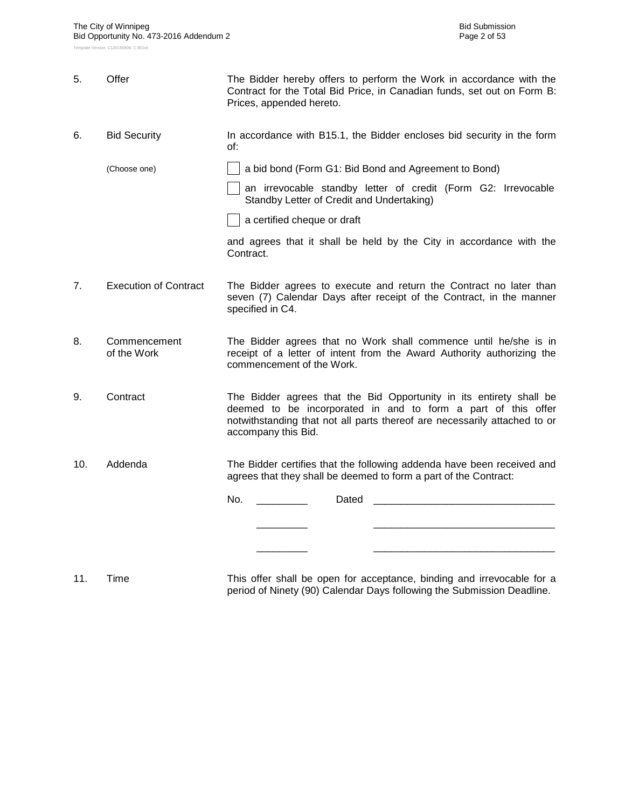| 5.  | Offer                        | The Bidder hereby offers to perform the Work in accordance with the<br>Contract for the Total Bid Price, in Canadian funds, set out on Form B:<br>Prices, appended hereto.                                                               |  |  |  |  |  |  |  |
|-----|------------------------------|------------------------------------------------------------------------------------------------------------------------------------------------------------------------------------------------------------------------------------------|--|--|--|--|--|--|--|
| 6.  | <b>Bid Security</b>          | In accordance with B15.1, the Bidder encloses bid security in the form<br>of:                                                                                                                                                            |  |  |  |  |  |  |  |
|     | (Choose one)                 | a bid bond (Form G1: Bid Bond and Agreement to Bond)                                                                                                                                                                                     |  |  |  |  |  |  |  |
|     |                              | an irrevocable standby letter of credit (Form G2: Irrevocable<br>Standby Letter of Credit and Undertaking)                                                                                                                               |  |  |  |  |  |  |  |
|     |                              | a certified cheque or draft                                                                                                                                                                                                              |  |  |  |  |  |  |  |
|     |                              | and agrees that it shall be held by the City in accordance with the<br>Contract.                                                                                                                                                         |  |  |  |  |  |  |  |
| 7.  | <b>Execution of Contract</b> | The Bidder agrees to execute and return the Contract no later than<br>seven (7) Calendar Days after receipt of the Contract, in the manner<br>specified in C4.                                                                           |  |  |  |  |  |  |  |
| 8.  | Commencement<br>of the Work  | The Bidder agrees that no Work shall commence until he/she is in<br>receipt of a letter of intent from the Award Authority authorizing the<br>commencement of the Work.                                                                  |  |  |  |  |  |  |  |
| 9.  | Contract                     | The Bidder agrees that the Bid Opportunity in its entirety shall be<br>deemed to be incorporated in and to form a part of this offer<br>notwithstanding that not all parts thereof are necessarily attached to or<br>accompany this Bid. |  |  |  |  |  |  |  |
| 10. | Addenda                      | The Bidder certifies that the following addenda have been received and<br>agrees that they shall be deemed to form a part of the Contract:                                                                                               |  |  |  |  |  |  |  |
|     |                              | No.<br>Dated                                                                                                                                                                                                                             |  |  |  |  |  |  |  |
|     |                              |                                                                                                                                                                                                                                          |  |  |  |  |  |  |  |
|     |                              |                                                                                                                                                                                                                                          |  |  |  |  |  |  |  |
|     |                              |                                                                                                                                                                                                                                          |  |  |  |  |  |  |  |
|     |                              |                                                                                                                                                                                                                                          |  |  |  |  |  |  |  |

11. Time This offer shall be open for acceptance, binding and irrevocable for a period of Ninety (90) Calendar Days following the Submission Deadline.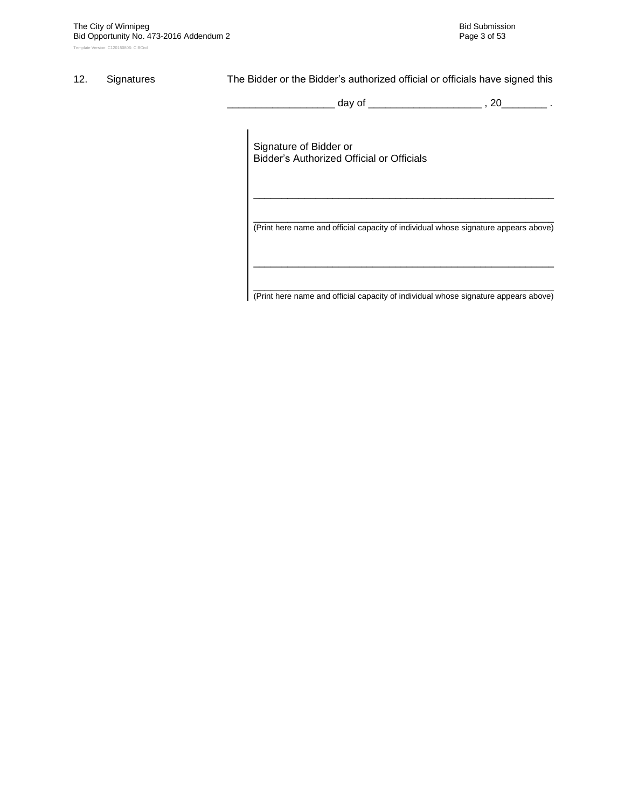#### 12. Signatures The Bidder or the Bidder's authorized official or officials have signed this

\_ day of \_\_\_\_\_\_\_\_\_\_\_\_\_\_\_\_\_\_\_\_\_\_ , 20\_\_\_\_\_\_\_\_\_ .

Signature of Bidder or Bidder"s Authorized Official or Officials

\_\_\_\_\_\_\_\_\_\_\_\_\_\_\_\_\_\_\_\_\_\_\_\_\_\_\_\_\_\_\_\_\_\_\_\_\_\_\_\_\_\_\_\_\_\_\_\_\_\_\_\_\_ (Print here name and official capacity of individual whose signature appears above)

\_\_\_\_\_\_\_\_\_\_\_\_\_\_\_\_\_\_\_\_\_\_\_\_\_\_\_\_\_\_\_\_\_\_\_\_\_\_\_\_\_\_\_\_\_\_\_\_\_\_\_\_\_

\_\_\_\_\_\_\_\_\_\_\_\_\_\_\_\_\_\_\_\_\_\_\_\_\_\_\_\_\_\_\_\_\_\_\_\_\_\_\_\_\_\_\_\_\_\_\_\_\_\_\_\_\_ (Print here name and official capacity of individual whose signature appears above)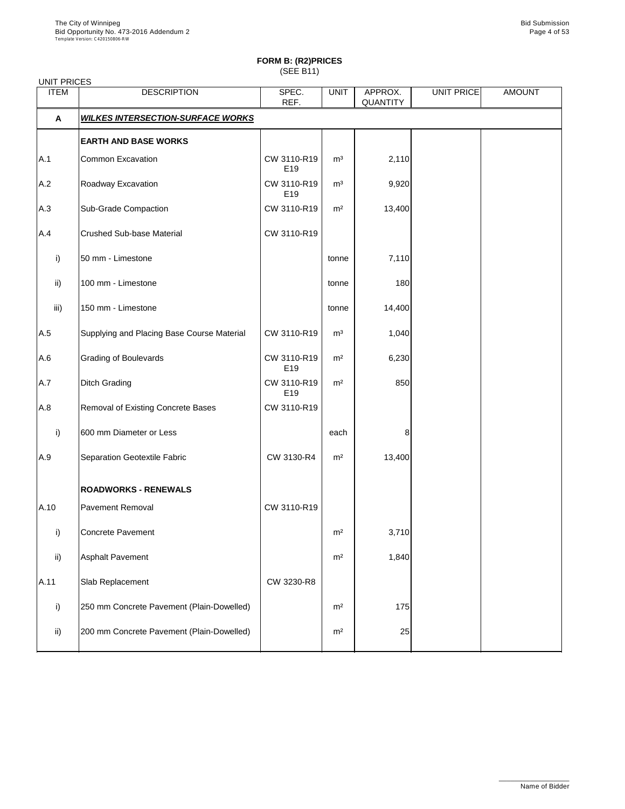| <b>UNIT PRICES</b> |                                            |                                |                |                            |            |               |
|--------------------|--------------------------------------------|--------------------------------|----------------|----------------------------|------------|---------------|
| <b>ITEM</b>        | <b>DESCRIPTION</b>                         | SPEC.<br>REF.                  | <b>UNIT</b>    | APPROX.<br><b>QUANTITY</b> | UNIT PRICE | <b>AMOUNT</b> |
| A                  | <b>WILKES INTERSECTION-SURFACE WORKS</b>   |                                |                |                            |            |               |
|                    | <b>EARTH AND BASE WORKS</b>                |                                |                |                            |            |               |
| A.1                | <b>Common Excavation</b>                   | CW 3110-R19<br>E <sub>19</sub> | m <sup>3</sup> | 2,110                      |            |               |
| A.2                | Roadway Excavation                         | CW 3110-R19<br>E <sub>19</sub> | m <sup>3</sup> | 9,920                      |            |               |
| A.3                | <b>Sub-Grade Compaction</b>                | CW 3110-R19                    | m <sup>2</sup> | 13,400                     |            |               |
| A.4                | <b>Crushed Sub-base Material</b>           | CW 3110-R19                    |                |                            |            |               |
| i)                 | 50 mm - Limestone                          |                                | tonne          | 7,110                      |            |               |
| $\mathsf{ii}$      | 100 mm - Limestone                         |                                | tonne          | 180                        |            |               |
| iii)               | 150 mm - Limestone                         |                                | tonne          | 14,400                     |            |               |
| A.5                | Supplying and Placing Base Course Material | CW 3110-R19                    | m <sup>3</sup> | 1,040                      |            |               |
| A.6                | <b>Grading of Boulevards</b>               | CW 3110-R19<br>E <sub>19</sub> | m <sup>2</sup> | 6,230                      |            |               |
| A.7                | <b>Ditch Grading</b>                       | CW 3110-R19<br>E19             | m <sup>2</sup> | 850                        |            |               |
| A.8                | Removal of Existing Concrete Bases         | CW 3110-R19                    |                |                            |            |               |
| i)                 | 600 mm Diameter or Less                    |                                | each           | 8                          |            |               |
| A.9                | <b>Separation Geotextile Fabric</b>        | CW 3130-R4                     | m <sup>2</sup> | 13,400                     |            |               |
|                    | <b>ROADWORKS - RENEWALS</b>                |                                |                |                            |            |               |
| A.10               | <b>Pavement Removal</b>                    | CW 3110-R19                    |                |                            |            |               |
| i)                 | <b>Concrete Pavement</b>                   |                                | m <sup>2</sup> | 3,710                      |            |               |
| $\mathsf{ii}$      | <b>Asphalt Pavement</b>                    |                                | m <sup>2</sup> | 1,840                      |            |               |
| A.11               | Slab Replacement                           | CW 3230-R8                     |                |                            |            |               |
| i)                 | 250 mm Concrete Pavement (Plain-Dowelled)  |                                | m <sup>2</sup> | 175                        |            |               |
|                    |                                            |                                |                |                            |            |               |

| -::\ | 200 mm Concrete Pavement (Plain-Dowelled) | m <sup>2</sup> |  |  |
|------|-------------------------------------------|----------------|--|--|
|      |                                           |                |  |  |

\_\_\_\_\_\_\_\_\_\_\_\_\_\_\_\_\_\_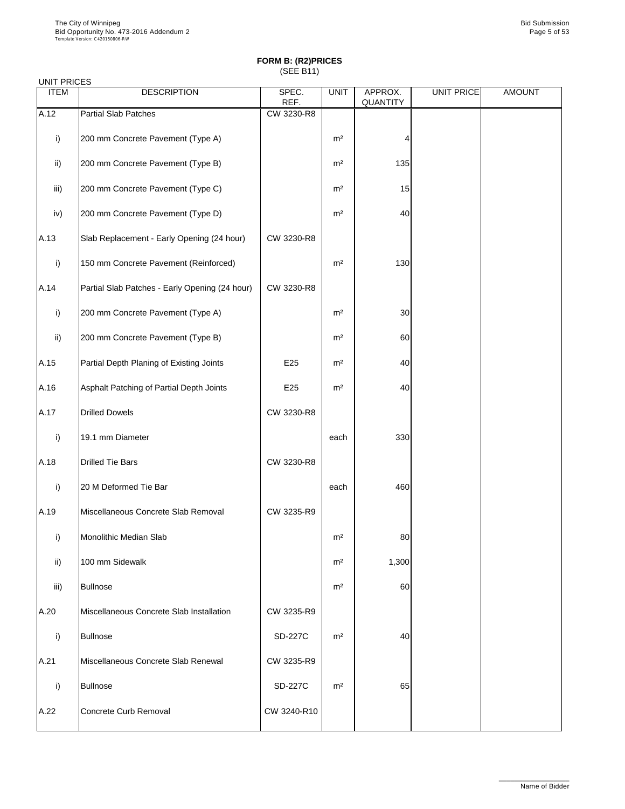| <b>UNIT PRICES</b> |                                                |               |                |                            |                   |               |
|--------------------|------------------------------------------------|---------------|----------------|----------------------------|-------------------|---------------|
| <b>ITEM</b>        | <b>DESCRIPTION</b>                             | SPEC.<br>REF. | <b>UNIT</b>    | APPROX.<br><b>QUANTITY</b> | <b>UNIT PRICE</b> | <b>AMOUNT</b> |
| A.12               | <b>Partial Slab Patches</b>                    | CW 3230-R8    |                |                            |                   |               |
| i)                 | 200 mm Concrete Pavement (Type A)              |               | m <sup>2</sup> |                            |                   |               |
| $\mathsf{ii}$ )    | 200 mm Concrete Pavement (Type B)              |               | m <sup>2</sup> | 135                        |                   |               |
| iii)               | 200 mm Concrete Pavement (Type C)              |               | m <sup>2</sup> | 15                         |                   |               |
| iv)                | 200 mm Concrete Pavement (Type D)              |               | m <sup>2</sup> | 40                         |                   |               |
| A.13               | Slab Replacement - Early Opening (24 hour)     | CW 3230-R8    |                |                            |                   |               |
| i)                 | 150 mm Concrete Pavement (Reinforced)          |               | m <sup>2</sup> | 130                        |                   |               |
| A.14               | Partial Slab Patches - Early Opening (24 hour) | CW 3230-R8    |                |                            |                   |               |
| i)                 | 200 mm Concrete Pavement (Type A)              |               | m <sup>2</sup> | 30                         |                   |               |
| $\mathsf{ii}$ )    | 200 mm Concrete Pavement (Type B)              |               | m <sup>2</sup> | 60                         |                   |               |
| A.15               | Partial Depth Planing of Existing Joints       | E25           | m <sup>2</sup> | 40                         |                   |               |
| A.16               | Asphalt Patching of Partial Depth Joints       | E25           | m <sup>2</sup> | 40                         |                   |               |
| A.17               | <b>Drilled Dowels</b>                          | CW 3230-R8    |                |                            |                   |               |
| i)                 | 19.1 mm Diameter                               |               | each           | 330                        |                   |               |
| A.18               | <b>Drilled Tie Bars</b>                        | CW 3230-R8    |                |                            |                   |               |
| i)                 | 20 M Deformed Tie Bar                          |               | each           | 460                        |                   |               |
| A.19               | Miscellaneous Concrete Slab Removal            | CW 3235-R9    |                |                            |                   |               |
| i)                 | <b>Monolithic Median Slab</b>                  |               | m <sup>2</sup> | 80                         |                   |               |
| $\mathsf{ii}$ )    | 100 mm Sidewalk                                |               | m <sup>2</sup> | 1,300                      |                   |               |
| iii)               | <b>Bullnose</b>                                |               | m <sup>2</sup> | 60                         |                   |               |
| A.20               | Miscellaneous Concrete Slab Installation       | CW 3235-R9    |                |                            |                   |               |
|                    |                                                |               |                |                            |                   |               |

| i)   | <b>Bullnose</b>                     | <b>SD-227C</b> | m <sup>2</sup> | 40 |  |
|------|-------------------------------------|----------------|----------------|----|--|
| A.21 | Miscellaneous Concrete Slab Renewal | CW 3235-R9     |                |    |  |
|      | <b>Bullnose</b>                     | <b>SD-227C</b> | m <sup>2</sup> | 65 |  |
| A.22 | Concrete Curb Removal               | CW 3240-R10    |                |    |  |

\_\_\_\_\_\_\_\_\_\_\_\_\_\_\_\_\_\_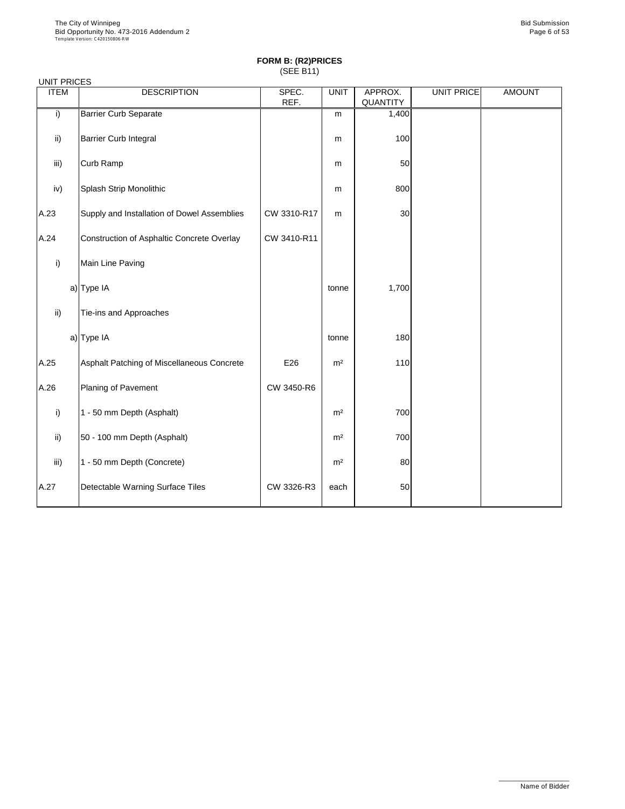| <b>UNIT PRICES</b> |                                             |               |                |                            |                   |               |
|--------------------|---------------------------------------------|---------------|----------------|----------------------------|-------------------|---------------|
| <b>ITEM</b>        | <b>DESCRIPTION</b>                          | SPEC.<br>REF. | <b>UNIT</b>    | APPROX.<br><b>QUANTITY</b> | <b>UNIT PRICE</b> | <b>AMOUNT</b> |
| i)                 | <b>Barrier Curb Separate</b>                |               | m              | 1,400                      |                   |               |
| ii)                | <b>Barrier Curb Integral</b>                |               | m              | 100                        |                   |               |
| iii)               | Curb Ramp                                   |               | m              | 50                         |                   |               |
| iv)                | Splash Strip Monolithic                     |               | m              | 800                        |                   |               |
| A.23               | Supply and Installation of Dowel Assemblies | CW 3310-R17   | m              | 30                         |                   |               |
| A.24               | Construction of Asphaltic Concrete Overlay  | CW 3410-R11   |                |                            |                   |               |
| i)                 | Main Line Paving                            |               |                |                            |                   |               |
|                    | a) Type IA                                  |               | tonne          | 1,700                      |                   |               |
| $\mathsf{ii}$ )    | Tie-ins and Approaches                      |               |                |                            |                   |               |
|                    | a) Type IA                                  |               | tonne          | 180                        |                   |               |
| A.25               | Asphalt Patching of Miscellaneous Concrete  | E26           | m <sup>2</sup> | 110                        |                   |               |
| A.26               | Planing of Pavement                         | CW 3450-R6    |                |                            |                   |               |
| i)                 | 1 - 50 mm Depth (Asphalt)                   |               | m <sup>2</sup> | 700                        |                   |               |
| $\mathsf{ii}$      | 50 - 100 mm Depth (Asphalt)                 |               | m <sup>2</sup> | 700                        |                   |               |
| iii)               | 1 - 50 mm Depth (Concrete)                  |               | m <sup>2</sup> | 80                         |                   |               |
| A.27               | Detectable Warning Surface Tiles            | CW 3326-R3    | each           | 50                         |                   |               |

\_\_\_\_\_\_\_\_\_\_\_\_\_\_\_\_\_\_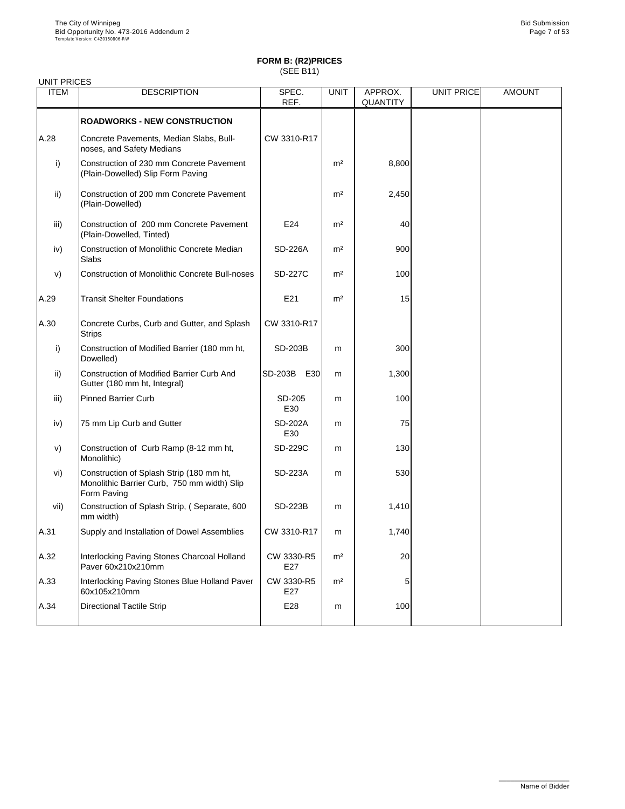| <b>UNIT PRICES</b> |                                                                                                        |                       |                |                            |                   |               |
|--------------------|--------------------------------------------------------------------------------------------------------|-----------------------|----------------|----------------------------|-------------------|---------------|
| <b>ITEM</b>        | <b>DESCRIPTION</b>                                                                                     | SPEC.<br>REF.         | <b>UNIT</b>    | APPROX.<br><b>QUANTITY</b> | <b>UNIT PRICE</b> | <b>AMOUNT</b> |
|                    |                                                                                                        |                       |                |                            |                   |               |
|                    | <b>ROADWORKS - NEW CONSTRUCTION</b>                                                                    |                       |                |                            |                   |               |
| A.28               | Concrete Pavements, Median Slabs, Bull-<br>noses, and Safety Medians                                   | CW 3310-R17           |                |                            |                   |               |
| i)                 | Construction of 230 mm Concrete Pavement<br>(Plain-Dowelled) Slip Form Paving                          |                       | m <sup>2</sup> | 8,800                      |                   |               |
| $\mathsf{ii}$      | Construction of 200 mm Concrete Pavement<br>(Plain-Dowelled)                                           |                       | m <sup>2</sup> | 2,450                      |                   |               |
| iii)               | Construction of 200 mm Concrete Pavement<br>(Plain-Dowelled, Tinted)                                   | E24                   | m <sup>2</sup> | 40                         |                   |               |
| iv)                | <b>Construction of Monolithic Concrete Median</b><br><b>Slabs</b>                                      | <b>SD-226A</b>        | m <sup>2</sup> | 900                        |                   |               |
| V)                 | <b>Construction of Monolithic Concrete Bull-noses</b>                                                  | <b>SD-227C</b>        | m <sup>2</sup> | 100                        |                   |               |
| A.29               | <b>Transit Shelter Foundations</b>                                                                     | E21                   | m <sup>2</sup> | 15                         |                   |               |
| A.30               | Concrete Curbs, Curb and Gutter, and Splash<br><b>Strips</b>                                           | CW 3310-R17           |                |                            |                   |               |
| i)                 | Construction of Modified Barrier (180 mm ht,<br>Dowelled)                                              | <b>SD-203B</b>        | m              | 300                        |                   |               |
| $\mathsf{ii}$      | <b>Construction of Modified Barrier Curb And</b><br>Gutter (180 mm ht, Integral)                       | <b>SD-203B</b><br>E30 | m              | 1,300                      |                   |               |
| iii)               | <b>Pinned Barrier Curb</b>                                                                             | SD-205<br>E30         | m              | 100                        |                   |               |
| iv)                | 75 mm Lip Curb and Gutter                                                                              | <b>SD-202A</b><br>E30 | m              | 75                         |                   |               |
| V)                 | Construction of Curb Ramp (8-12 mm ht,<br>Monolithic)                                                  | <b>SD-229C</b>        | m              | 130                        |                   |               |
| vi)                | Construction of Splash Strip (180 mm ht,<br>Monolithic Barrier Curb, 750 mm width) Slip<br>Form Paving | <b>SD-223A</b>        | m              | 530                        |                   |               |
| vii)               | Construction of Splash Strip, (Separate, 600<br>mm width)                                              | <b>SD-223B</b>        | m              | 1,410                      |                   |               |
| A.31               | Supply and Installation of Dowel Assemblies                                                            | CW 3310-R17           | m              | 1,740                      |                   |               |
| A.32               | Interlocking Paving Stones Charcoal Holland<br>Paver 60x210x210mm                                      | CW 3330-R5<br>E27     | m <sup>2</sup> | 20                         |                   |               |
| A.33               | Interlocking Paving Stones Blue Holland Paver<br>60x105x210mm                                          | CW 3330-R5<br>E27     | m <sup>2</sup> | 5                          |                   |               |
| A.34               | <b>Directional Tactile Strip</b>                                                                       | E28                   | m              | 100                        |                   |               |

\_\_\_\_\_\_\_\_\_\_\_\_\_\_\_\_\_\_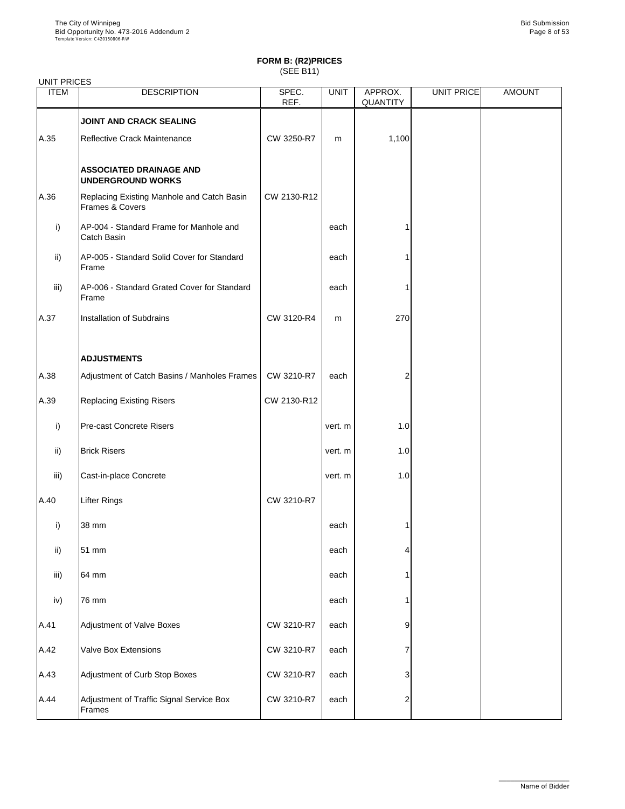| <b>UNIT PRICES</b> |                                                               |                              |             |                            |            |               |
|--------------------|---------------------------------------------------------------|------------------------------|-------------|----------------------------|------------|---------------|
| <b>ITEM</b>        | <b>DESCRIPTION</b>                                            | SPEC.<br>REF.                | <b>UNIT</b> | APPROX.<br><b>QUANTITY</b> | UNIT PRICE | <b>AMOUNT</b> |
|                    | <b>JOINT AND CRACK SEALING</b>                                |                              |             |                            |            |               |
| A.35               | <b>Reflective Crack Maintenance</b>                           | CW 3250-R7                   | m           | 1,100                      |            |               |
|                    | <b>ASSOCIATED DRAINAGE AND</b><br><b>UNDERGROUND WORKS</b>    |                              |             |                            |            |               |
| A.36               | Replacing Existing Manhole and Catch Basin<br>Frames & Covers | CW 2130-R12                  |             |                            |            |               |
| i)                 | AP-004 - Standard Frame for Manhole and<br>Catch Basin        |                              | each        |                            |            |               |
| $\mathsf{ii}$      | AP-005 - Standard Solid Cover for Standard<br>Frame           |                              | each        |                            |            |               |
| iii)               | AP-006 - Standard Grated Cover for Standard<br>Frame          |                              | each        |                            |            |               |
| A.37               | <b>Installation of Subdrains</b>                              | CW 3120-R4                   | m           | 270                        |            |               |
|                    | <b>ADJUSTMENTS</b>                                            |                              |             |                            |            |               |
| A.38               | Adjustment of Catch Basins / Manholes Frames                  | CW 3210-R7                   | each        |                            |            |               |
| A.39               | <b>Replacing Existing Risers</b>                              | CW 2130-R12                  |             |                            |            |               |
| i)                 | <b>Pre-cast Concrete Risers</b>                               |                              | vert. m     | 1.0                        |            |               |
| $\mathsf{ii}$      | <b>Brick Risers</b>                                           |                              | vert. m     | 1.0                        |            |               |
| iii)               | Cast-in-place Concrete                                        |                              | vert. m     | 1.0                        |            |               |
| A.40               | <b>Lifter Rings</b>                                           | CW 3210-R7                   |             |                            |            |               |
| i)                 | 38 mm                                                         |                              | each        |                            |            |               |
| $\mathsf{ii}$      | 51 mm                                                         |                              | each        |                            |            |               |
| iii)               | 64 mm                                                         |                              | each        |                            |            |               |
| iv)                | 76 mm                                                         |                              | each        |                            |            |               |
| $\Lambda$ 1        | Adjustment of Valve Reves                                     | $C\left(\frac{1}{2}a\right)$ | coch        |                            |            |               |

| A.41 | Adjustment of Valve Boxes                          | CW 3210-R7 | each | 9 |  |
|------|----------------------------------------------------|------------|------|---|--|
| A.42 | <b>Valve Box Extensions</b>                        | CW 3210-R7 | each |   |  |
| A.43 | Adjustment of Curb Stop Boxes                      | CW 3210-R7 | each | 3 |  |
| A.44 | Adjustment of Traffic Signal Service Box<br>Frames | CW 3210-R7 | each | ◠ |  |

\_\_\_\_\_\_\_\_\_\_\_\_\_\_\_\_\_\_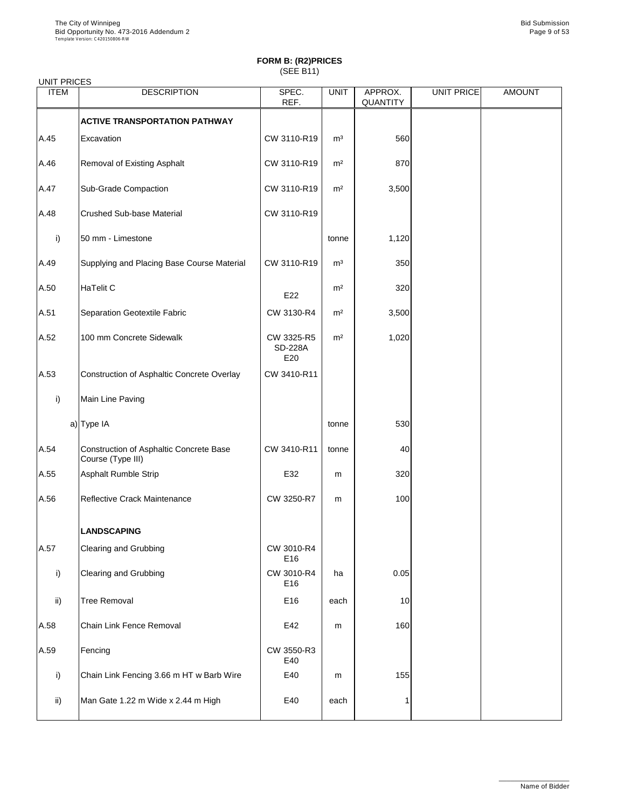| <b>UNIT PRICES</b> |                                                                     |                                     |                |                            |                   |               |
|--------------------|---------------------------------------------------------------------|-------------------------------------|----------------|----------------------------|-------------------|---------------|
| <b>ITEM</b>        | <b>DESCRIPTION</b>                                                  | SPEC.<br>REF.                       | <b>UNIT</b>    | APPROX.<br><b>QUANTITY</b> | <b>UNIT PRICE</b> | <b>AMOUNT</b> |
|                    | <b>ACTIVE TRANSPORTATION PATHWAY</b>                                |                                     |                |                            |                   |               |
| A.45               | Excavation                                                          | CW 3110-R19                         | m <sup>3</sup> | 560                        |                   |               |
| A.46               | Removal of Existing Asphalt                                         | CW 3110-R19                         | m <sup>2</sup> | 870                        |                   |               |
| A.47               | <b>Sub-Grade Compaction</b>                                         | CW 3110-R19                         | m <sup>2</sup> | 3,500                      |                   |               |
| A.48               | <b>Crushed Sub-base Material</b>                                    | CW 3110-R19                         |                |                            |                   |               |
| i)                 | 50 mm - Limestone                                                   |                                     | tonne          | 1,120                      |                   |               |
| A.49               | Supplying and Placing Base Course Material                          | CW 3110-R19                         | m <sup>3</sup> | 350                        |                   |               |
| A.50               | HaTelit C                                                           | E22                                 | m <sup>2</sup> | 320                        |                   |               |
| A.51               | <b>Separation Geotextile Fabric</b>                                 | CW 3130-R4                          | m <sup>2</sup> | 3,500                      |                   |               |
| A.52               | 100 mm Concrete Sidewalk                                            | CW 3325-R5<br><b>SD-228A</b><br>E20 | m <sup>2</sup> | 1,020                      |                   |               |
| A.53               | Construction of Asphaltic Concrete Overlay                          | CW 3410-R11                         |                |                            |                   |               |
| i)                 | Main Line Paving                                                    |                                     |                |                            |                   |               |
|                    | a) Type IA                                                          |                                     | tonne          | 530                        |                   |               |
| A.54               | <b>Construction of Asphaltic Concrete Base</b><br>Course (Type III) | CW 3410-R11                         | tonne          | 40                         |                   |               |
| A.55               | Asphalt Rumble Strip                                                | E32                                 | m              | 320                        |                   |               |
| A.56               | <b>Reflective Crack Maintenance</b>                                 | CW 3250-R7                          | m              | 100                        |                   |               |
|                    | <b>LANDSCAPING</b>                                                  |                                     |                |                            |                   |               |
| A.57               | <b>Clearing and Grubbing</b>                                        | CW 3010-R4<br>E16                   |                |                            |                   |               |
| i)                 | <b>Clearing and Grubbing</b>                                        | CW 3010-R4<br>E16                   | ha             | 0.05                       |                   |               |
| $\mathsf{ii}$      | <b>Tree Removal</b>                                                 | E16                                 | each           | 10                         |                   |               |
| A.58               | <b>Chain Link Fence Removal</b>                                     | E42                                 | m              | 160                        |                   |               |
| A.59               | Fencing                                                             | CW 3550-R3<br>E40                   |                |                            |                   |               |
| i)                 | Chain Link Fencing 3.66 m HT w Barb Wire                            | E40                                 | m              | 155                        |                   |               |
| $\mathsf{ii}$      | Man Gate 1.22 m Wide x 2.44 m High                                  | E40                                 | each           |                            |                   |               |

\_\_\_\_\_\_\_\_\_\_\_\_\_\_\_\_\_\_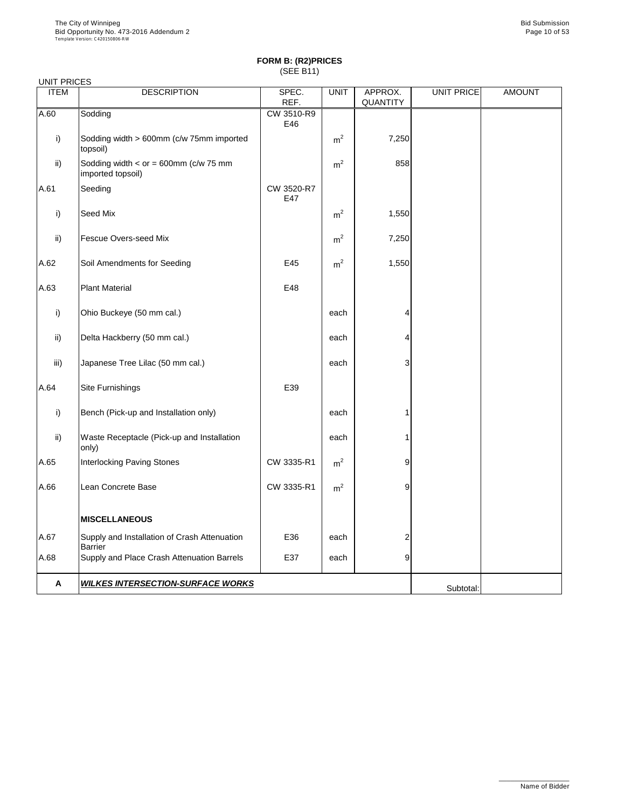| <b>UNIT PRICES</b> |                                                                |                   |                |                            |                   |               |
|--------------------|----------------------------------------------------------------|-------------------|----------------|----------------------------|-------------------|---------------|
| <b>ITEM</b>        | <b>DESCRIPTION</b>                                             | SPEC.<br>REF.     | <b>UNIT</b>    | APPROX.<br><b>QUANTITY</b> | <b>UNIT PRICE</b> | <b>AMOUNT</b> |
| A.60               | Sodding                                                        | CW 3510-R9<br>E46 |                |                            |                   |               |
| $\mathsf{i}$       | Sodding width > 600mm (c/w 75mm imported<br>topsoil)           |                   | m <sup>2</sup> | 7,250                      |                   |               |
| $\mathsf{ii}$      | Sodding width $<$ or = 600mm (c/w 75 mm<br>imported topsoil)   |                   | m <sup>2</sup> | 858                        |                   |               |
| A.61               | Seeding                                                        | CW 3520-R7<br>E47 |                |                            |                   |               |
| $\mathsf{i}$       | Seed Mix                                                       |                   | m <sup>2</sup> | 1,550                      |                   |               |
| $\mathsf{ii}$      | <b>Fescue Overs-seed Mix</b>                                   |                   | m <sup>2</sup> | 7,250                      |                   |               |
| A.62               | Soil Amendments for Seeding                                    | E45               | m <sup>2</sup> | 1,550                      |                   |               |
| A.63               | <b>Plant Material</b>                                          | E48               |                |                            |                   |               |
| i)                 | Ohio Buckeye (50 mm cal.)                                      |                   | each           |                            |                   |               |
| $\mathsf{ii}$      | Delta Hackberry (50 mm cal.)                                   |                   | each           |                            |                   |               |
| iii)               | Japanese Tree Lilac (50 mm cal.)                               |                   | each           | 3                          |                   |               |
| A.64               | Site Furnishings                                               | E39               |                |                            |                   |               |
| $\mathsf{i}$       | Bench (Pick-up and Installation only)                          |                   | each           |                            |                   |               |
| $\mathsf{ii}$      | Waste Receptacle (Pick-up and Installation<br>only)            |                   | each           |                            |                   |               |
| A.65               | <b>Interlocking Paving Stones</b>                              | CW 3335-R1        | m <sup>2</sup> | 9                          |                   |               |
| A.66               | Lean Concrete Base                                             | CW 3335-R1        | m <sup>2</sup> | 9                          |                   |               |
|                    | <b>MISCELLANEOUS</b>                                           |                   |                |                            |                   |               |
| A.67               | Supply and Installation of Crash Attenuation<br><b>Barrier</b> | E36               | each           | 2                          |                   |               |
| A.68               | Supply and Place Crash Attenuation Barrels                     | E37               | each           | 9                          |                   |               |
| $\mathbf{A}$       | <b>WILKES INTERSECTION-SURFACE WORKS</b>                       |                   |                |                            | Subtotal:         |               |

\_\_\_\_\_\_\_\_\_\_\_\_\_\_\_\_\_\_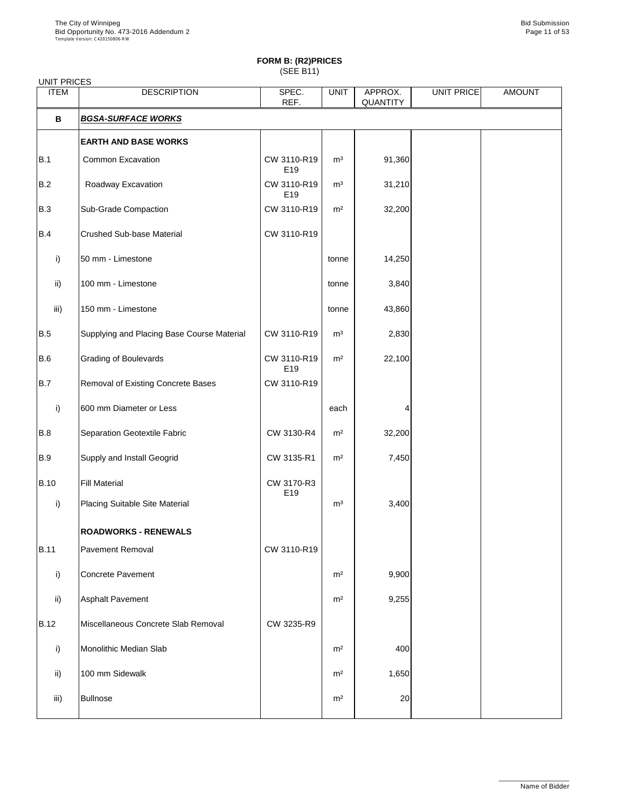# **FORM B: (R2)PRICES**

(SEE B11)

| <b>UNIT PRICES</b> |                                            |                    |                |                            |                   |               |
|--------------------|--------------------------------------------|--------------------|----------------|----------------------------|-------------------|---------------|
| <b>ITEM</b>        | <b>DESCRIPTION</b>                         | SPEC.<br>REF.      | <b>UNIT</b>    | APPROX.<br><b>QUANTITY</b> | <b>UNIT PRICE</b> | <b>AMOUNT</b> |
| $\mathbf B$        | <b>BGSA-SURFACE WORKS</b>                  |                    |                |                            |                   |               |
|                    | <b>EARTH AND BASE WORKS</b>                |                    |                |                            |                   |               |
| B.1                | <b>Common Excavation</b>                   | CW 3110-R19<br>E19 | m <sup>3</sup> | 91,360                     |                   |               |
| B.2                | Roadway Excavation                         | CW 3110-R19<br>E19 | m <sup>3</sup> | 31,210                     |                   |               |
| B.3                | <b>Sub-Grade Compaction</b>                | CW 3110-R19        | m <sup>2</sup> | 32,200                     |                   |               |
| B.4                | <b>Crushed Sub-base Material</b>           | CW 3110-R19        |                |                            |                   |               |
| i)                 | 50 mm - Limestone                          |                    | tonne          | 14,250                     |                   |               |
| ii)                | 100 mm - Limestone                         |                    | tonne          | 3,840                      |                   |               |
| iii)               | 150 mm - Limestone                         |                    | tonne          | 43,860                     |                   |               |
| B.5                | Supplying and Placing Base Course Material | CW 3110-R19        | m <sup>3</sup> | 2,830                      |                   |               |
| B.6                | <b>Grading of Boulevards</b>               | CW 3110-R19<br>E19 | m <sup>2</sup> | 22,100                     |                   |               |
| B.7                | <b>Removal of Existing Concrete Bases</b>  | CW 3110-R19        |                |                            |                   |               |
| i)                 | 600 mm Diameter or Less                    |                    | each           | 4                          |                   |               |
| B.8                | Separation Geotextile Fabric               | CW 3130-R4         | m <sup>2</sup> | 32,200                     |                   |               |
| B.9                | <b>Supply and Install Geogrid</b>          | CW 3135-R1         | m <sup>2</sup> | 7,450                      |                   |               |
| <b>B.10</b>        | <b>Fill Material</b>                       | CW 3170-R3<br>E19  |                |                            |                   |               |
| i)                 | <b>Placing Suitable Site Material</b>      |                    | m <sup>3</sup> | 3,400                      |                   |               |
|                    | <b>ROADWORKS - RENEWALS</b>                |                    |                |                            |                   |               |
| <b>B.11</b>        | <b>Pavement Removal</b>                    | CW 3110-R19        |                |                            |                   |               |
| i)                 | Concrete Pavement                          |                    | m <sup>2</sup> | 9,900                      |                   |               |
| $\mathsf{ii}$      | <b>Asphalt Pavement</b>                    |                    | m <sup>2</sup> | 9,255                      |                   |               |
| <b>B.12</b>        | Miscellaneous Concrete Slab Removal        | CW 3235-R9         |                |                            |                   |               |
| i)                 | <b>Monolithic Median Slab</b>              |                    | m <sup>2</sup> | 400                        |                   |               |
| $\mathsf{ii}$      | 100 mm Sidewalk                            |                    | m <sup>2</sup> | 1,650                      |                   |               |
| iii)               | <b>Bullnose</b>                            |                    | m <sup>2</sup> | 20                         |                   |               |
|                    |                                            |                    |                |                            |                   |               |

\_\_\_\_\_\_\_\_\_\_\_\_\_\_\_\_\_\_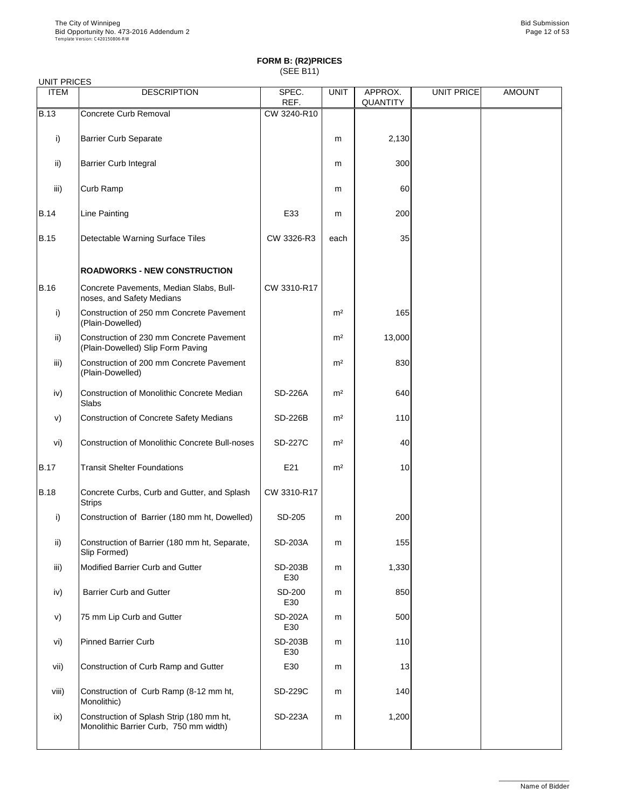#### UNIT PRICES

| <b>ITEM</b>   | <b>DESCRIPTION</b>                                                            | SPEC.<br>REF.         | <b>UNIT</b>    | APPROX.<br><b>QUANTITY</b> | <b>UNIT PRICE</b> | <b>AMOUNT</b> |
|---------------|-------------------------------------------------------------------------------|-----------------------|----------------|----------------------------|-------------------|---------------|
| <b>B.13</b>   | <b>Concrete Curb Removal</b>                                                  | CW 3240-R10           |                |                            |                   |               |
| i)            | <b>Barrier Curb Separate</b>                                                  |                       | m              | 2,130                      |                   |               |
| $\mathsf{ii}$ | <b>Barrier Curb Integral</b>                                                  |                       | m              | 300                        |                   |               |
| iii)          | Curb Ramp                                                                     |                       | m              | 60                         |                   |               |
| <b>B.14</b>   | <b>Line Painting</b>                                                          | E33                   | m              | 200                        |                   |               |
| <b>B.15</b>   | Detectable Warning Surface Tiles                                              | CW 3326-R3            | each           | 35                         |                   |               |
|               | <b>ROADWORKS - NEW CONSTRUCTION</b>                                           |                       |                |                            |                   |               |
| <b>B.16</b>   | Concrete Pavements, Median Slabs, Bull-<br>noses, and Safety Medians          | CW 3310-R17           |                |                            |                   |               |
| i)            | Construction of 250 mm Concrete Pavement<br>(Plain-Dowelled)                  |                       | m <sup>2</sup> | 165                        |                   |               |
| $\mathsf{ii}$ | Construction of 230 mm Concrete Pavement<br>(Plain-Dowelled) Slip Form Paving |                       | m <sup>2</sup> | 13,000                     |                   |               |
| iii)          | Construction of 200 mm Concrete Pavement<br>(Plain-Dowelled)                  |                       | m <sup>2</sup> | 830                        |                   |               |
| iv)           | Construction of Monolithic Concrete Median<br>Slabs                           | <b>SD-226A</b>        | m <sup>2</sup> | 640                        |                   |               |
| V)            | <b>Construction of Concrete Safety Medians</b>                                | <b>SD-226B</b>        | m <sup>2</sup> | 110                        |                   |               |
| vi)           | <b>Construction of Monolithic Concrete Bull-noses</b>                         | <b>SD-227C</b>        | m <sup>2</sup> | 40                         |                   |               |
| <b>B.17</b>   | <b>Transit Shelter Foundations</b>                                            | E21                   | m <sup>2</sup> | 10                         |                   |               |
| <b>B.18</b>   | Concrete Curbs, Curb and Gutter, and Splash<br><b>Strips</b>                  | CW 3310-R17           |                |                            |                   |               |
| i)            | Construction of Barrier (180 mm ht, Dowelled)                                 | SD-205                | m              | 200                        |                   |               |
| $\mathsf{ii}$ | Construction of Barrier (180 mm ht, Separate,<br>Slip Formed)                 | <b>SD-203A</b>        | m              | 155                        |                   |               |
| iii)          | <b>Modified Barrier Curb and Gutter</b>                                       | <b>SD-203B</b><br>E30 | m              | 1,330                      |                   |               |
| iv)           | <b>Barrier Curb and Gutter</b>                                                | <b>SD-200</b><br>E30  | m              | 850                        |                   |               |
| V)            | 75 mm Lip Curb and Gutter                                                     | <b>SD-202A</b>        | m              | 500                        |                   |               |

|       |                                                                                    | E30                   |   |       |  |
|-------|------------------------------------------------------------------------------------|-----------------------|---|-------|--|
| vi)   | <b>Pinned Barrier Curb</b>                                                         | <b>SD-203B</b><br>E30 | m | 110   |  |
| vii)  | Construction of Curb Ramp and Gutter                                               | E30                   | m | 13    |  |
| viii) | Construction of Curb Ramp (8-12 mm ht,<br>Monolithic)                              | <b>SD-229C</b>        | m | 140   |  |
| ix)   | Construction of Splash Strip (180 mm ht,<br>Monolithic Barrier Curb, 750 mm width) | <b>SD-223A</b>        | m | 1,200 |  |

\_\_\_\_\_\_\_\_\_\_\_\_\_\_\_\_\_\_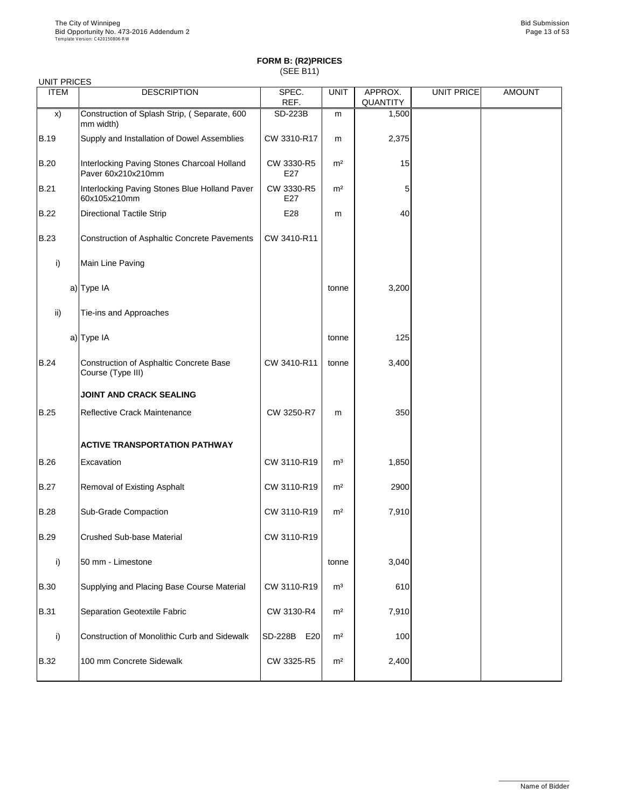| <b>UNIT PRICES</b> |                                                                     |                   |                |                            |                   |               |
|--------------------|---------------------------------------------------------------------|-------------------|----------------|----------------------------|-------------------|---------------|
| <b>ITEM</b>        | <b>DESCRIPTION</b>                                                  | SPEC.<br>REF.     | <b>UNIT</b>    | APPROX.<br><b>QUANTITY</b> | <b>UNIT PRICE</b> | <b>AMOUNT</b> |
| $\mathsf{x}$       | Construction of Splash Strip, (Separate, 600<br>mm width)           | <b>SD-223B</b>    | m              | 1,500                      |                   |               |
| <b>B.19</b>        | Supply and Installation of Dowel Assemblies                         | CW 3310-R17       | m              | 2,375                      |                   |               |
| <b>B.20</b>        | Interlocking Paving Stones Charcoal Holland<br>Paver 60x210x210mm   | CW 3330-R5<br>E27 | m <sup>2</sup> | 15                         |                   |               |
| <b>B.21</b>        | Interlocking Paving Stones Blue Holland Paver<br>60x105x210mm       | CW 3330-R5<br>E27 | m <sup>2</sup> | 5                          |                   |               |
| <b>B.22</b>        | <b>Directional Tactile Strip</b>                                    | E28               | m              | 40                         |                   |               |
| <b>B.23</b>        | <b>Construction of Asphaltic Concrete Pavements</b>                 | CW 3410-R11       |                |                            |                   |               |
| i)                 | Main Line Paving                                                    |                   |                |                            |                   |               |
|                    | a) Type IA                                                          |                   | tonne          | 3,200                      |                   |               |
| ii)                | Tie-ins and Approaches                                              |                   |                |                            |                   |               |
|                    | a) Type IA                                                          |                   | tonne          | 125                        |                   |               |
| <b>B.24</b>        | <b>Construction of Asphaltic Concrete Base</b><br>Course (Type III) | CW 3410-R11       | tonne          | 3,400                      |                   |               |
|                    | <b>JOINT AND CRACK SEALING</b>                                      |                   |                |                            |                   |               |
| <b>B.25</b>        | <b>Reflective Crack Maintenance</b>                                 | CW 3250-R7        | m              | 350                        |                   |               |
|                    | <b>ACTIVE TRANSPORTATION PATHWAY</b>                                |                   |                |                            |                   |               |
| <b>B.26</b>        | Excavation                                                          | CW 3110-R19       | m <sup>3</sup> | 1,850                      |                   |               |
| <b>B.27</b>        | <b>Removal of Existing Asphalt</b>                                  | CW 3110-R19       | m <sup>2</sup> | 2900                       |                   |               |
| <b>B.28</b>        | <b>Sub-Grade Compaction</b>                                         | CW 3110-R19       | m <sup>2</sup> | 7,910                      |                   |               |
| <b>B.29</b>        | <b>Crushed Sub-base Material</b>                                    | CW 3110-R19       |                |                            |                   |               |
| $\mathsf{i}$       | 50 mm - Limestone                                                   |                   | tonne          | 3,040                      |                   |               |
| <b>B.30</b>        | Supplying and Placing Base Course Material                          | CW 3110-R19       | m <sup>3</sup> | 610                        |                   |               |
| <b>B.31</b>        | <b>Separation Geotextile Fabric</b>                                 | CW 3130-R4        | m <sup>2</sup> | 7,910                      |                   |               |

|             | Construction of Monolithic Curb and Sidewalk | <b>SD-228B</b><br>E20 | m <sup>2</sup> | <b>100</b> |  |
|-------------|----------------------------------------------|-----------------------|----------------|------------|--|
| <b>B.32</b> | 100 mm Concrete Sidewalk                     | CW 3325-R5            | m <sup>2</sup> | 2,400      |  |

\_\_\_\_\_\_\_\_\_\_\_\_\_\_\_\_\_\_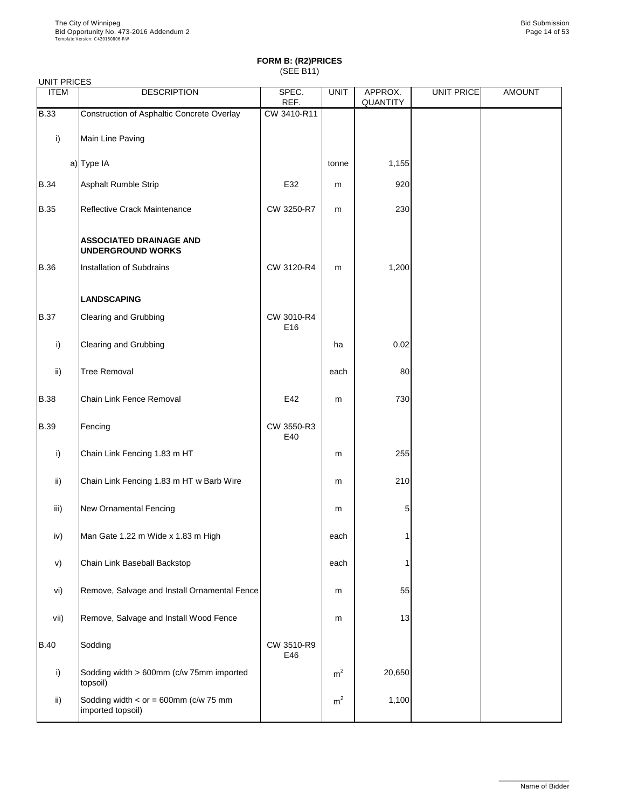| <b>UNIT PRICES</b> |                                                            |                   |             |                            |                   |               |
|--------------------|------------------------------------------------------------|-------------------|-------------|----------------------------|-------------------|---------------|
| <b>ITEM</b>        | <b>DESCRIPTION</b>                                         | SPEC.<br>REF.     | <b>UNIT</b> | APPROX.<br><b>QUANTITY</b> | <b>UNIT PRICE</b> | <b>AMOUNT</b> |
| <b>B.33</b>        | <b>Construction of Asphaltic Concrete Overlay</b>          | CW 3410-R11       |             |                            |                   |               |
| i)                 | Main Line Paving                                           |                   |             |                            |                   |               |
|                    | a) Type IA                                                 |                   | tonne       | 1,155                      |                   |               |
| <b>B.34</b>        | <b>Asphalt Rumble Strip</b>                                | E32               | m           | 920                        |                   |               |
| <b>B.35</b>        | Reflective Crack Maintenance                               | CW 3250-R7        | m           | 230                        |                   |               |
|                    | <b>ASSOCIATED DRAINAGE AND</b><br><b>UNDERGROUND WORKS</b> |                   |             |                            |                   |               |
| <b>B.36</b>        | Installation of Subdrains                                  | CW 3120-R4        | m           | 1,200                      |                   |               |
|                    | <b>LANDSCAPING</b>                                         |                   |             |                            |                   |               |
| <b>B.37</b>        | <b>Clearing and Grubbing</b>                               | CW 3010-R4<br>E16 |             |                            |                   |               |
| i)                 | <b>Clearing and Grubbing</b>                               |                   | ha          | 0.02                       |                   |               |
| $\mathsf{ii}$ )    | <b>Tree Removal</b>                                        |                   | each        | 80                         |                   |               |
| <b>B.38</b>        | <b>Chain Link Fence Removal</b>                            | E42               | ${\sf m}$   | 730                        |                   |               |
| <b>B.39</b>        | Fencing                                                    | CW 3550-R3<br>E40 |             |                            |                   |               |
| i)                 | Chain Link Fencing 1.83 m HT                               |                   | ${\sf m}$   | 255                        |                   |               |
| $\mathsf{ii}$      | Chain Link Fencing 1.83 m HT w Barb Wire                   |                   | m           | 210                        |                   |               |
| iii)               | <b>New Ornamental Fencing</b>                              |                   | m           | 5                          |                   |               |
| iv)                | Man Gate 1.22 m Wide x 1.83 m High                         |                   | each        |                            |                   |               |
| V)                 | Chain Link Baseball Backstop                               |                   | each        |                            |                   |               |
| vi)                | Remove, Salvage and Install Ornamental Fence               |                   | m           | 55                         |                   |               |
| vii)               | Remove, Salvage and Install Wood Fence                     |                   | m           | 13                         |                   |               |

| VII)        | <b>Remove, Salvage and Install Wood Fence</b>                  |                   | m              | 13     |  |
|-------------|----------------------------------------------------------------|-------------------|----------------|--------|--|
| <b>B.40</b> | Sodding                                                        | CW 3510-R9<br>E46 |                |        |  |
|             | Sodding width > 600mm (c/w 75mm imported<br>topsoil)           |                   | m <sup>2</sup> | 20,650 |  |
| ii)         | Sodding width $\lt$ or = 600mm (c/w 75 mm<br>imported topsoil) |                   | m <sup>2</sup> | 1,100  |  |

\_\_\_\_\_\_\_\_\_\_\_\_\_\_\_\_\_\_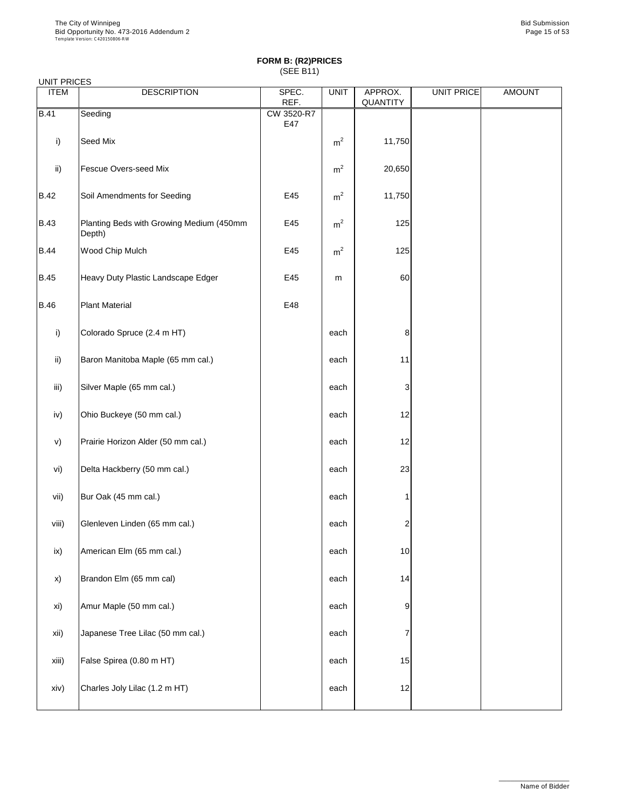| UNII FRIULO     |                                                    |                   |                |                     |                   |               |
|-----------------|----------------------------------------------------|-------------------|----------------|---------------------|-------------------|---------------|
| <b>ITEM</b>     | <b>DESCRIPTION</b>                                 | SPEC.<br>REF.     | <b>UNIT</b>    | APPROX.<br>QUANTITY | <b>UNIT PRICE</b> | <b>AMOUNT</b> |
| <b>B.41</b>     | Seeding                                            | CW 3520-R7<br>E47 |                |                     |                   |               |
| i)              | Seed Mix                                           |                   | m <sup>2</sup> | 11,750              |                   |               |
| $\mathsf{ii}$ ) | <b>Fescue Overs-seed Mix</b>                       |                   | m <sup>2</sup> | 20,650              |                   |               |
| <b>B.42</b>     | Soil Amendments for Seeding                        | E45               | m <sup>2</sup> | 11,750              |                   |               |
| <b>B.43</b>     | Planting Beds with Growing Medium (450mm<br>Depth) | E45               | m <sup>2</sup> | 125                 |                   |               |
| <b>B.44</b>     | Wood Chip Mulch                                    | E45               | m <sup>2</sup> | 125                 |                   |               |
| <b>B.45</b>     | Heavy Duty Plastic Landscape Edger                 | E45               | m              | 60                  |                   |               |
| <b>B.46</b>     | <b>Plant Material</b>                              | E48               |                |                     |                   |               |
| i)              | Colorado Spruce (2.4 m HT)                         |                   | each           | 8                   |                   |               |
| ii)             | Baron Manitoba Maple (65 mm cal.)                  |                   | each           | 11                  |                   |               |
| iii)            | Silver Maple (65 mm cal.)                          |                   | each           | 3                   |                   |               |
| iv)             | Ohio Buckeye (50 mm cal.)                          |                   | each           | 12                  |                   |               |
| V)              | Prairie Horizon Alder (50 mm cal.)                 |                   | each           | 12                  |                   |               |
| vi)             | Delta Hackberry (50 mm cal.)                       |                   | each           | 23                  |                   |               |
| vii)            | Bur Oak (45 mm cal.)                               |                   | each           |                     |                   |               |
| viii)           | Glenleven Linden (65 mm cal.)                      |                   | each           | $\overline{c}$      |                   |               |
| ix)             | American Elm (65 mm cal.)                          |                   | each           | 10                  |                   |               |
| x)              | Brandon Elm (65 mm cal)                            |                   | each           | 14                  |                   |               |
| xi)             | Amur Maple (50 mm cal.)                            |                   | each           | 9                   |                   |               |

| xii)  | Japanese Tree Lilac (50 mm cal.) | each |                 |  |
|-------|----------------------------------|------|-----------------|--|
| xiii) | False Spirea (0.80 m HT)         | each | 15              |  |
| xiv)  | Charles Joly Lilac (1.2 m HT)    | each | 12 <sub>l</sub> |  |

\_\_\_\_\_\_\_\_\_\_\_\_\_\_\_\_\_\_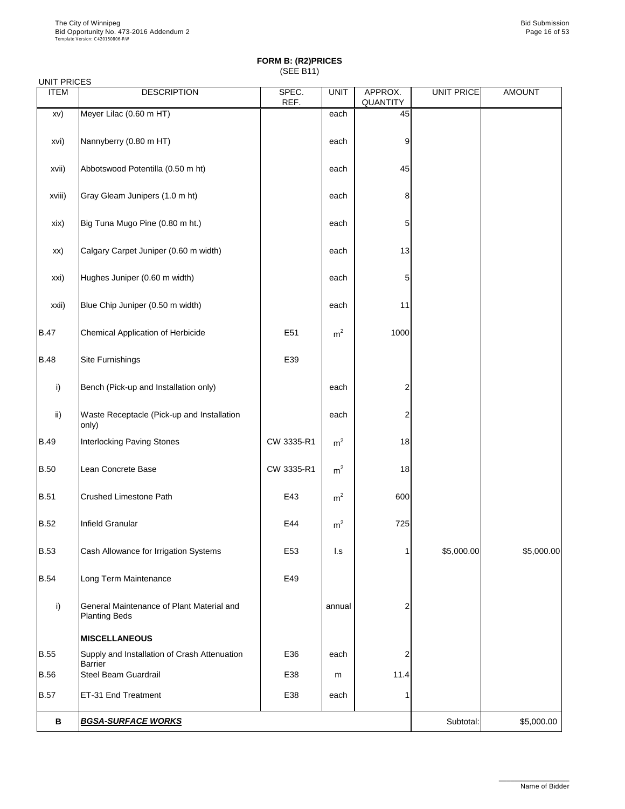| <b>UNIT PRICES</b> |                                                                   |               |                |                            |                   |               |
|--------------------|-------------------------------------------------------------------|---------------|----------------|----------------------------|-------------------|---------------|
| <b>ITEM</b>        | <b>DESCRIPTION</b>                                                | SPEC.<br>REF. | <b>UNIT</b>    | APPROX.<br><b>QUANTITY</b> | <b>UNIT PRICE</b> | <b>AMOUNT</b> |
| XV)                | Meyer Lilac (0.60 m HT)                                           |               | each           | 45                         |                   |               |
| xvi)               | Nannyberry (0.80 m HT)                                            |               | each           | 9                          |                   |               |
| xvii)              | Abbotswood Potentilla (0.50 m ht)                                 |               | each           | 45                         |                   |               |
| xviii)             | Gray Gleam Junipers (1.0 m ht)                                    |               | each           | 8                          |                   |               |
| xix)               | Big Tuna Mugo Pine (0.80 m ht.)                                   |               | each           | 5                          |                   |               |
| XX)                | Calgary Carpet Juniper (0.60 m width)                             |               | each           | 13                         |                   |               |
| xxi)               | Hughes Juniper (0.60 m width)                                     |               | each           | 5                          |                   |               |
| xxii)              | Blue Chip Juniper (0.50 m width)                                  |               | each           | 11                         |                   |               |
| <b>B.47</b>        | <b>Chemical Application of Herbicide</b>                          | E51           | m <sup>2</sup> | 1000                       |                   |               |
| <b>B.48</b>        | <b>Site Furnishings</b>                                           | E39           |                |                            |                   |               |
| $\vert$ i)         | Bench (Pick-up and Installation only)                             |               | each           | $\mathcal{P}$              |                   |               |
| $\mathsf{ii}$      | Waste Receptacle (Pick-up and Installation<br>only)               |               | each           | $\overline{2}$             |                   |               |
| <b>B.49</b>        | <b>Interlocking Paving Stones</b>                                 | CW 3335-R1    | m <sup>2</sup> | 18                         |                   |               |
| <b>B.50</b>        | Lean Concrete Base                                                | CW 3335-R1    | m <sup>2</sup> | 18                         |                   |               |
| <b>B.51</b>        | <b>Crushed Limestone Path</b>                                     | E43           | m <sup>2</sup> | 600                        |                   |               |
| <b>B.52</b>        | Infield Granular                                                  | E44           | m <sup>2</sup> | 725                        |                   |               |
| <b>B.53</b>        | Cash Allowance for Irrigation Systems                             | E53           | $\mathsf{L}$ s |                            | \$5,000.00        | \$5,000.00]   |
| <b>B.54</b>        | Long Term Maintenance                                             | E49           |                |                            |                   |               |
| i)                 | General Maintenance of Plant Material and<br><b>Planting Beds</b> |               | annual         | 2                          |                   |               |
|                    | <b>MISCELLANEOUS</b>                                              |               |                |                            |                   |               |
| <b>B.55</b>        | Supply and Installation of Crash Attenuation<br><b>Barrier</b>    | E36           | each           | 2                          |                   |               |
| <b>B.56</b>        | <b>Steel Beam Guardrail</b>                                       | E38           | m              | 11.4                       |                   |               |
| <b>B.57</b>        | ET-31 End Treatment                                               | E38           | each           |                            |                   |               |
| B                  | <b>BGSA-SURFACE WORKS</b>                                         |               |                |                            | Subtotal:         | \$5,000.00    |

\_\_\_\_\_\_\_\_\_\_\_\_\_\_\_\_\_\_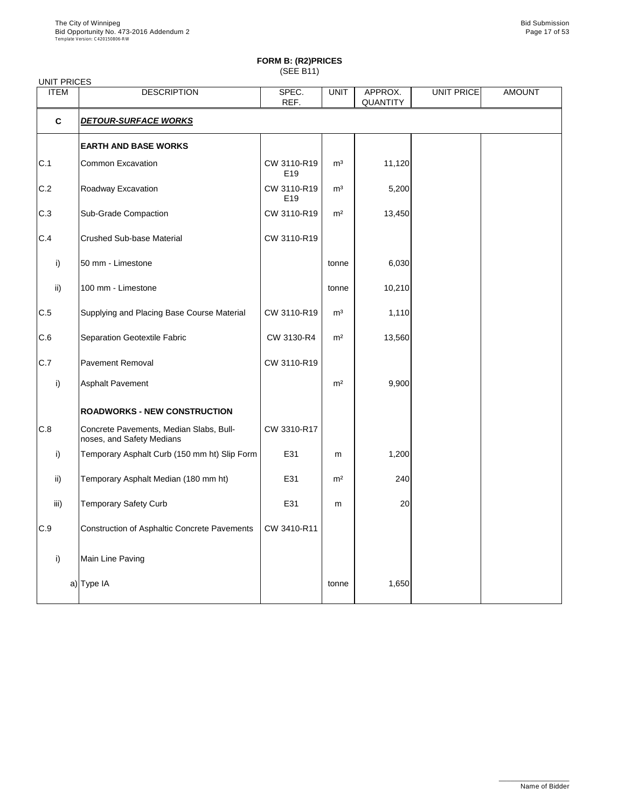# **FORM B: (R2)PRICES**

| ישטיי ונשטן יש ויוירט ו |
|-------------------------|
| (SEE B11)               |

| <b>UNIT PRICES</b> |                                                                      |                                |                |                            |                   |               |  |  |  |
|--------------------|----------------------------------------------------------------------|--------------------------------|----------------|----------------------------|-------------------|---------------|--|--|--|
| <b>ITEM</b>        | <b>DESCRIPTION</b>                                                   | SPEC.<br>REF.                  | <b>UNIT</b>    | APPROX.<br><b>QUANTITY</b> | <b>UNIT PRICE</b> | <b>AMOUNT</b> |  |  |  |
| $\mathbf C$        | <b>DETOUR-SURFACE WORKS</b>                                          |                                |                |                            |                   |               |  |  |  |
|                    | <b>EARTH AND BASE WORKS</b>                                          |                                |                |                            |                   |               |  |  |  |
| C.1                | <b>Common Excavation</b>                                             | CW 3110-R19<br>E <sub>19</sub> | m <sup>3</sup> | 11,120                     |                   |               |  |  |  |
| C.2                | Roadway Excavation                                                   | CW 3110-R19<br>E <sub>19</sub> | m <sup>3</sup> | 5,200                      |                   |               |  |  |  |
| C.3                | <b>Sub-Grade Compaction</b>                                          | CW 3110-R19                    | m <sup>2</sup> | 13,450                     |                   |               |  |  |  |
| C.4                | <b>Crushed Sub-base Material</b>                                     | CW 3110-R19                    |                |                            |                   |               |  |  |  |
| i)                 | 50 mm - Limestone                                                    |                                | tonne          | 6,030                      |                   |               |  |  |  |
| $\mathsf{ii}$      | 100 mm - Limestone                                                   |                                | tonne          | 10,210                     |                   |               |  |  |  |
| C.5                | Supplying and Placing Base Course Material                           | CW 3110-R19                    | m <sup>3</sup> | 1,110                      |                   |               |  |  |  |
| C.6                | <b>Separation Geotextile Fabric</b>                                  | CW 3130-R4                     | m <sup>2</sup> | 13,560                     |                   |               |  |  |  |
| C.7                | <b>Pavement Removal</b>                                              | CW 3110-R19                    |                |                            |                   |               |  |  |  |
| i)                 | <b>Asphalt Pavement</b>                                              |                                | m <sup>2</sup> | 9,900                      |                   |               |  |  |  |
|                    | <b>ROADWORKS - NEW CONSTRUCTION</b>                                  |                                |                |                            |                   |               |  |  |  |
| C.8                | Concrete Pavements, Median Slabs, Bull-<br>noses, and Safety Medians | CW 3310-R17                    |                |                            |                   |               |  |  |  |
| i)                 | Temporary Asphalt Curb (150 mm ht) Slip Form                         | E31                            | m              | 1,200                      |                   |               |  |  |  |
| ii)                | Temporary Asphalt Median (180 mm ht)                                 | E31                            | m <sup>2</sup> | 240                        |                   |               |  |  |  |
| iii)               | <b>Temporary Safety Curb</b>                                         | E31                            | m              | 20                         |                   |               |  |  |  |
| C.9                | <b>Construction of Asphaltic Concrete Pavements</b>                  | CW 3410-R11                    |                |                            |                   |               |  |  |  |
| i)                 | Main Line Paving                                                     |                                |                |                            |                   |               |  |  |  |
|                    | a) Type IA                                                           |                                | tonne          | 1,650                      |                   |               |  |  |  |

\_\_\_\_\_\_\_\_\_\_\_\_\_\_\_\_\_\_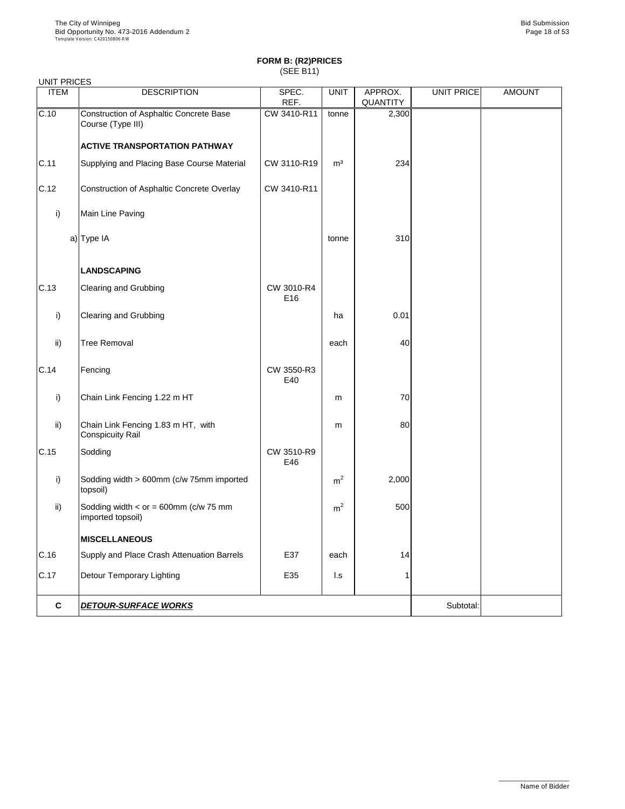L

# **FORM B: (R2)PRICES** (SEE B11)

| <b>UNIT PRICES</b> |                                                               |                   |                |                            |            |               |
|--------------------|---------------------------------------------------------------|-------------------|----------------|----------------------------|------------|---------------|
| <b>ITEM</b>        | <b>DESCRIPTION</b>                                            | SPEC.<br>REF.     | <b>UNIT</b>    | APPROX.<br><b>QUANTITY</b> | UNIT PRICE | <b>AMOUNT</b> |
| C.10               | Construction of Asphaltic Concrete Base<br>Course (Type III)  | CW 3410-R11       | tonne          | 2,300                      |            |               |
|                    | <b>ACTIVE TRANSPORTATION PATHWAY</b>                          |                   |                |                            |            |               |
| C.11               | Supplying and Placing Base Course Material                    | CW 3110-R19       | m <sup>3</sup> | 234                        |            |               |
| C.12               | Construction of Asphaltic Concrete Overlay                    | CW 3410-R11       |                |                            |            |               |
| i)                 | Main Line Paving                                              |                   |                |                            |            |               |
|                    | $a)$ Type IA                                                  |                   | tonne          | 310                        |            |               |
|                    | <b>LANDSCAPING</b>                                            |                   |                |                            |            |               |
| C.13               | <b>Clearing and Grubbing</b>                                  | CW 3010-R4<br>E16 |                |                            |            |               |
| i)                 | <b>Clearing and Grubbing</b>                                  |                   | ha             | 0.01                       |            |               |
| $\mathsf{ii}$      | <b>Tree Removal</b>                                           |                   | each           | 40                         |            |               |
| C.14               | Fencing                                                       | CW 3550-R3<br>E40 |                |                            |            |               |
| i)                 | Chain Link Fencing 1.22 m HT                                  |                   | m              | 70                         |            |               |
| $\mathsf{ii}$      | Chain Link Fencing 1.83 m HT, with<br><b>Conspicuity Rail</b> |                   | m              | 80                         |            |               |
| C.15               | Sodding                                                       | CW 3510-R9<br>E46 |                |                            |            |               |
| i)                 | Sodding width > 600mm (c/w 75mm imported<br>topsoil)          |                   | m <sup>2</sup> | 2,000                      |            |               |
| $\mathsf{ii}$      | Sodding width $<$ or = 600mm (c/w 75 mm<br>imported topsoil)  |                   | m <sup>2</sup> | 500                        |            |               |
|                    | <b>MISCELLANEOUS</b>                                          |                   |                |                            |            |               |
| C.16               | Supply and Place Crash Attenuation Barrels                    | E37               | each           | 14                         |            |               |
| C.17               | <b>Detour Temporary Lighting</b>                              | E35               | l.s            | 1                          |            |               |
| $\mathbf C$        | <b>DETOUR-SURFACE WORKS</b>                                   |                   |                |                            | Subtotal:  |               |

\_\_\_\_\_\_\_\_\_\_\_\_\_\_\_\_\_\_

Name of Bidder

 $\overline{\phantom{a}}$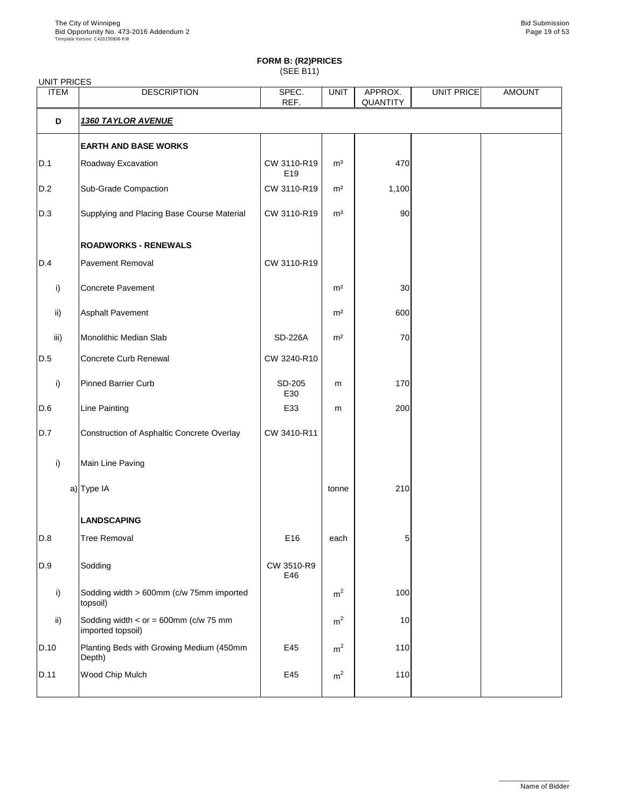| <b>UNIT PRICES</b> |                                                      |                    |                |                            |            |               |
|--------------------|------------------------------------------------------|--------------------|----------------|----------------------------|------------|---------------|
| <b>ITEM</b>        | <b>DESCRIPTION</b>                                   | SPEC.<br>REF.      | <b>UNIT</b>    | APPROX.<br><b>QUANTITY</b> | UNIT PRICE | <b>AMOUNT</b> |
| D                  | <u>1360 TAYLOR AVENUE</u>                            |                    |                |                            |            |               |
|                    | <b>EARTH AND BASE WORKS</b>                          |                    |                |                            |            |               |
| D.1                | Roadway Excavation                                   | CW 3110-R19<br>E19 | m <sup>3</sup> | 470                        |            |               |
| D.2                | <b>Sub-Grade Compaction</b>                          | CW 3110-R19        | m <sup>2</sup> | 1,100                      |            |               |
| D.3                | Supplying and Placing Base Course Material           | CW 3110-R19        | m <sup>3</sup> | 90                         |            |               |
|                    | <b>ROADWORKS - RENEWALS</b>                          |                    |                |                            |            |               |
| D.4                | <b>Pavement Removal</b>                              | CW 3110-R19        |                |                            |            |               |
| i)                 | <b>Concrete Pavement</b>                             |                    | m <sup>2</sup> | 30                         |            |               |
| $\mathsf{ii}$      | <b>Asphalt Pavement</b>                              |                    | m <sup>2</sup> | 600                        |            |               |
| iii)               | Monolithic Median Slab                               | <b>SD-226A</b>     | m <sup>2</sup> | 70                         |            |               |
| D.5                | <b>Concrete Curb Renewal</b>                         | CW 3240-R10        |                |                            |            |               |
| i)                 | <b>Pinned Barrier Curb</b>                           | SD-205<br>E30      | m              | 170                        |            |               |
| D.6                | <b>Line Painting</b>                                 | E33                | ${\sf m}$      | 200                        |            |               |
| D.7                | <b>Construction of Asphaltic Concrete Overlay</b>    | CW 3410-R11        |                |                            |            |               |
| i)                 | Main Line Paving                                     |                    |                |                            |            |               |
|                    | a) Type IA                                           |                    | tonne          | 210                        |            |               |
|                    | <b>LANDSCAPING</b>                                   |                    |                |                            |            |               |
| D.8                | <b>Tree Removal</b>                                  | E16                | each           | 5                          |            |               |
| D.9                | Sodding                                              | CW 3510-R9<br>E46  |                |                            |            |               |
| i)                 | Sodding width > 600mm (c/w 75mm imported<br>topsoil) |                    | m <sup>2</sup> | 100                        |            |               |
| $\mathsf{ii}$      | Sodding width $<$ or = 600mm (c/w 75 mm              |                    | m <sup>2</sup> | 10                         |            |               |

|      | imported topsoil)                                  |     |   |            |  |
|------|----------------------------------------------------|-----|---|------------|--|
| D.10 | Planting Beds with Growing Medium (450mm<br>Depth) | E45 | m | <b>110</b> |  |
| D.11 | <b>Wood Chip Mulch</b>                             | E45 | m | 110        |  |

\_\_\_\_\_\_\_\_\_\_\_\_\_\_\_\_\_\_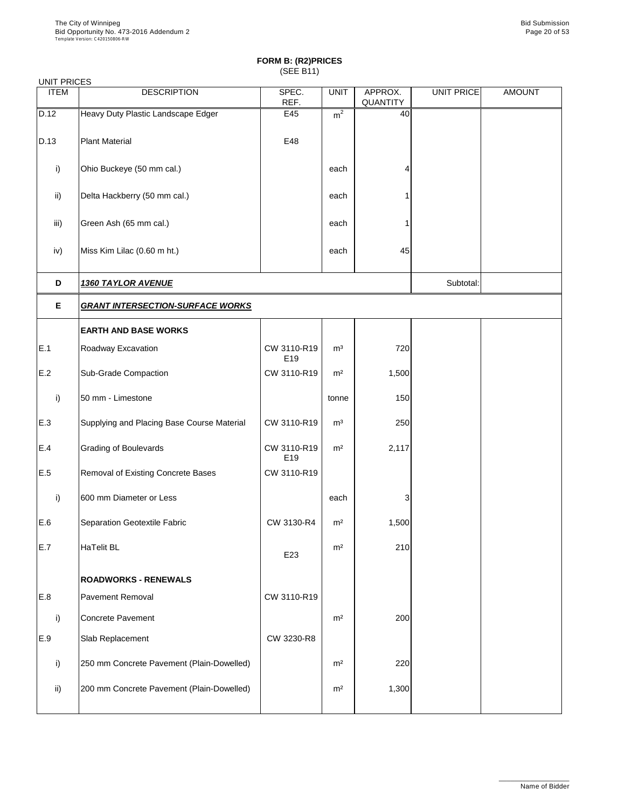| <b>UNIT PRICES</b> |                                            |                                |                |                            |                   |               |  |  |  |
|--------------------|--------------------------------------------|--------------------------------|----------------|----------------------------|-------------------|---------------|--|--|--|
| <b>ITEM</b>        | <b>DESCRIPTION</b>                         | SPEC.<br>REF.                  | <b>UNIT</b>    | APPROX.<br><b>QUANTITY</b> | <b>UNIT PRICE</b> | <b>AMOUNT</b> |  |  |  |
| D.12               | Heavy Duty Plastic Landscape Edger         | E45                            | m <sup>2</sup> | 40                         |                   |               |  |  |  |
| D.13               | <b>Plant Material</b>                      | E48                            |                |                            |                   |               |  |  |  |
| i)                 | Ohio Buckeye (50 mm cal.)                  |                                | each           | 4                          |                   |               |  |  |  |
| $\mathsf{ii}$      | Delta Hackberry (50 mm cal.)               |                                | each           |                            |                   |               |  |  |  |
| iii)               | Green Ash (65 mm cal.)                     |                                | each           |                            |                   |               |  |  |  |
| iv)                | Miss Kim Lilac (0.60 m ht.)                |                                | each           | 45                         |                   |               |  |  |  |
| D                  | <b>1360 TAYLOR AVENUE</b>                  |                                |                |                            |                   |               |  |  |  |
| E                  | <b>GRANT INTERSECTION-SURFACE WORKS</b>    |                                |                |                            |                   |               |  |  |  |
|                    | <b>EARTH AND BASE WORKS</b>                |                                |                |                            |                   |               |  |  |  |
| E.1                | Roadway Excavation                         | CW 3110-R19<br>E19             | m <sup>3</sup> | 720                        |                   |               |  |  |  |
| E.2                | <b>Sub-Grade Compaction</b>                | CW 3110-R19                    | m <sup>2</sup> | 1,500                      |                   |               |  |  |  |
| i)                 | 50 mm - Limestone                          |                                | tonne          | 150                        |                   |               |  |  |  |
| E.3                | Supplying and Placing Base Course Material | CW 3110-R19                    | m <sup>3</sup> | 250                        |                   |               |  |  |  |
| E.4                | <b>Grading of Boulevards</b>               | CW 3110-R19<br>E <sub>19</sub> | m <sup>2</sup> | 2,117                      |                   |               |  |  |  |
| E.5                | <b>Removal of Existing Concrete Bases</b>  | CW 3110-R19                    |                |                            |                   |               |  |  |  |
| i)                 | 600 mm Diameter or Less                    |                                | each           | 3                          |                   |               |  |  |  |
| E.6                | Separation Geotextile Fabric               | CW 3130-R4                     | m <sup>2</sup> | 1,500                      |                   |               |  |  |  |
| E.7                | HaTelit BL                                 | E23                            | m <sup>2</sup> | 210                        |                   |               |  |  |  |
|                    | <b>ROADWORKS - RENEWALS</b>                |                                |                |                            |                   |               |  |  |  |
| E.8                | <b>Pavement Removal</b>                    | CW 3110-R19                    |                |                            |                   |               |  |  |  |
| i)                 | Concrete Pavement                          |                                | m <sup>2</sup> | 200                        |                   |               |  |  |  |

| Ш   | IOONGIELE FAVENIENI                        |            | 11 I T         | ZUUI  |  |
|-----|--------------------------------------------|------------|----------------|-------|--|
| E.9 | <b>Slab Replacement</b>                    | CW 3230-R8 |                |       |  |
|     | [250 mm Concrete Pavement (Plain-Dowelled) |            | m <sup>2</sup> | 220   |  |
| ii) | 200 mm Concrete Pavement (Plain-Dowelled)  |            | m <sup>2</sup> | 1,300 |  |
|     |                                            |            |                |       |  |

\_\_\_\_\_\_\_\_\_\_\_\_\_\_\_\_\_\_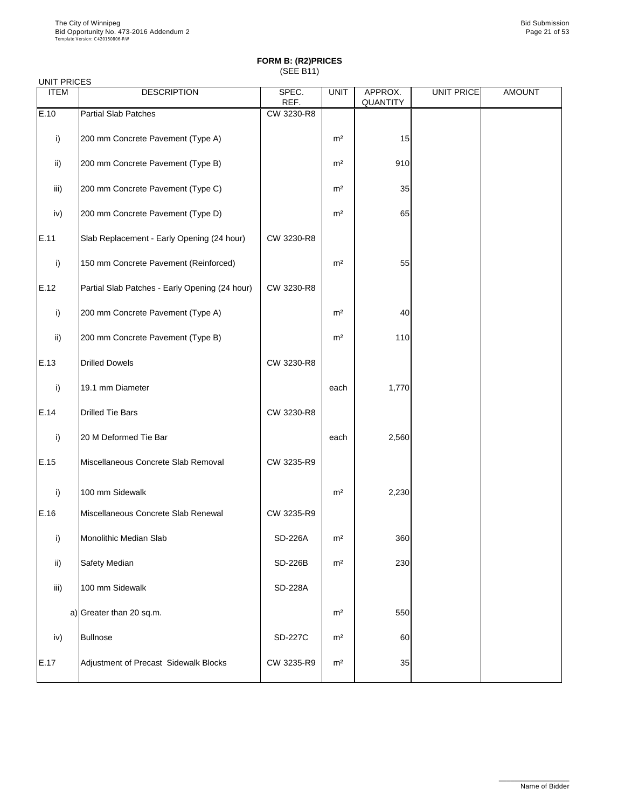#### UNIT PRICES

| <b>ITEM</b>   | <b>DESCRIPTION</b>                             | SPEC.<br>REF.  | <b>UNIT</b>    | APPROX.<br><b>QUANTITY</b> | <b>UNIT PRICE</b> | <b>AMOUNT</b> |
|---------------|------------------------------------------------|----------------|----------------|----------------------------|-------------------|---------------|
| E.10          | <b>Partial Slab Patches</b>                    | CW 3230-R8     |                |                            |                   |               |
| i)            | 200 mm Concrete Pavement (Type A)              |                | m <sup>2</sup> | 15                         |                   |               |
| $\mathsf{ii}$ | 200 mm Concrete Pavement (Type B)              |                | m <sup>2</sup> | 910                        |                   |               |
| iii)          | 200 mm Concrete Pavement (Type C)              |                | m <sup>2</sup> | 35                         |                   |               |
| iv)           | 200 mm Concrete Pavement (Type D)              |                | m <sup>2</sup> | 65                         |                   |               |
| E.11          | Slab Replacement - Early Opening (24 hour)     | CW 3230-R8     |                |                            |                   |               |
| i)            | 150 mm Concrete Pavement (Reinforced)          |                | m <sup>2</sup> | 55                         |                   |               |
| E.12          | Partial Slab Patches - Early Opening (24 hour) | CW 3230-R8     |                |                            |                   |               |
| i)            | 200 mm Concrete Pavement (Type A)              |                | m <sup>2</sup> | 40                         |                   |               |
| $\mathsf{ii}$ | 200 mm Concrete Pavement (Type B)              |                | m <sup>2</sup> | 110                        |                   |               |
| E.13          | <b>Drilled Dowels</b>                          | CW 3230-R8     |                |                            |                   |               |
| i)            | 19.1 mm Diameter                               |                | each           | 1,770                      |                   |               |
| E.14          | <b>Drilled Tie Bars</b>                        | CW 3230-R8     |                |                            |                   |               |
| i)            | 20 M Deformed Tie Bar                          |                | each           | 2,560                      |                   |               |
| E.15          | Miscellaneous Concrete Slab Removal            | CW 3235-R9     |                |                            |                   |               |
| i)            | 100 mm Sidewalk                                |                | m <sup>2</sup> | 2,230                      |                   |               |
| E.16          | Miscellaneous Concrete Slab Renewal            | CW 3235-R9     |                |                            |                   |               |
| $\mathsf{i}$  | <b>Monolithic Median Slab</b>                  | <b>SD-226A</b> | m <sup>2</sup> | 360                        |                   |               |
| $\mathsf{ii}$ | <b>Safety Median</b>                           | <b>SD-226B</b> | m <sup>2</sup> | 230                        |                   |               |
| iii)          | 100 mm Sidewalk                                | <b>SD-228A</b> |                |                            |                   |               |
|               | a) Greater than 20 sq.m.                       |                | m <sup>2</sup> | 550                        |                   |               |

| iv)  | Bullnose                              | <b>SD-227C</b> | m <sup>2</sup> | 60 |  |
|------|---------------------------------------|----------------|----------------|----|--|
| E.17 | Adjustment of Precast Sidewalk Blocks | CW 3235-R9     | m <sup>2</sup> | 35 |  |

\_\_\_\_\_\_\_\_\_\_\_\_\_\_\_\_\_\_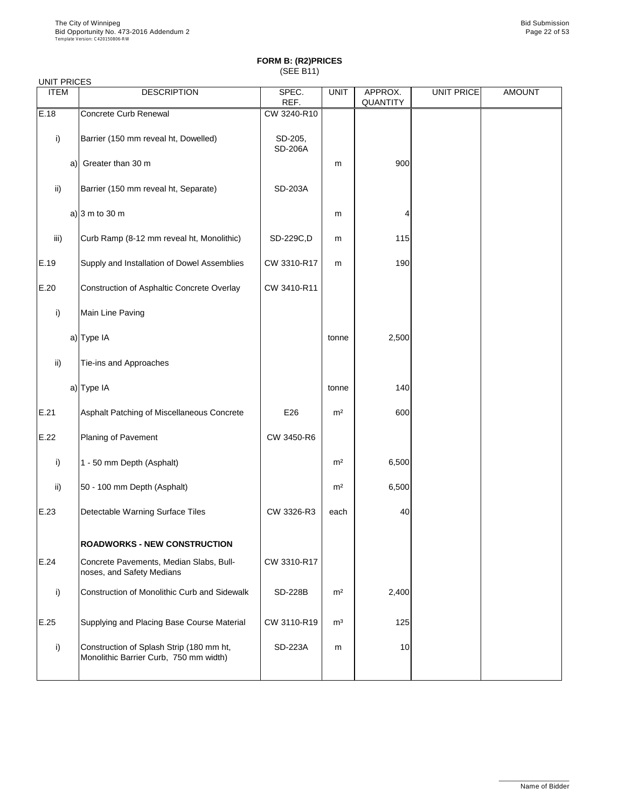#### UNIT PRICES

| <b>ITEM</b>     | <b>DESCRIPTION</b>                                                   | SPEC.                     | <b>UNIT</b>    | APPROX.         | <b>UNIT PRICE</b> | <b>AMOUNT</b> |
|-----------------|----------------------------------------------------------------------|---------------------------|----------------|-----------------|-------------------|---------------|
|                 |                                                                      | REF.                      |                | <b>QUANTITY</b> |                   |               |
| E.18            | <b>Concrete Curb Renewal</b>                                         | CW 3240-R10               |                |                 |                   |               |
| i)              | Barrier (150 mm reveal ht, Dowelled)                                 | SD-205,<br><b>SD-206A</b> |                |                 |                   |               |
| a)              | Greater than 30 m                                                    |                           | m              | 900             |                   |               |
| $\mathsf{ii}$   | Barrier (150 mm reveal ht, Separate)                                 | <b>SD-203A</b>            |                |                 |                   |               |
|                 | a) $ 3 \text{ m}$ to 30 m                                            |                           | m              | 4               |                   |               |
| iii)            | Curb Ramp (8-12 mm reveal ht, Monolithic)                            | SD-229C,D                 | m              | 115             |                   |               |
| E.19            | Supply and Installation of Dowel Assemblies                          | CW 3310-R17               | m              | 190             |                   |               |
| E.20            | <b>Construction of Asphaltic Concrete Overlay</b>                    | CW 3410-R11               |                |                 |                   |               |
| i)              | Main Line Paving                                                     |                           |                |                 |                   |               |
|                 | a) Type IA                                                           |                           | tonne          | 2,500           |                   |               |
| $\mathsf{ii}$ ) | Tie-ins and Approaches                                               |                           |                |                 |                   |               |
|                 | a) Type IA                                                           |                           | tonne          | 140             |                   |               |
| E.21            | Asphalt Patching of Miscellaneous Concrete                           | E26                       | m <sup>2</sup> | 600             |                   |               |
| E.22            | Planing of Pavement                                                  | CW 3450-R6                |                |                 |                   |               |
| $\mathsf{i}$    | 1 - 50 mm Depth (Asphalt)                                            |                           | m <sup>2</sup> | 6,500           |                   |               |
| $\mathsf{ii}$   | 50 - 100 mm Depth (Asphalt)                                          |                           | m <sup>2</sup> | 6,500           |                   |               |
| E.23            | Detectable Warning Surface Tiles                                     | CW 3326-R3                | each           | 40              |                   |               |
|                 | <b>ROADWORKS - NEW CONSTRUCTION</b>                                  |                           |                |                 |                   |               |
| E.24            | Concrete Pavements, Median Slabs, Bull-<br>noses, and Safety Medians | CW 3310-R17               |                |                 |                   |               |
| i)              | <b>Construction of Monolithic Curb and Sidewalk</b>                  | <b>SD-228B</b>            | m <sup>2</sup> | 2,400           |                   |               |
| E.25            | Supplying and Placing Base Course Material                           | CW 3110-R19               | m <sup>3</sup> | 125             |                   |               |

| ___ |                                                                                    |                | - - - | ---- |  |
|-----|------------------------------------------------------------------------------------|----------------|-------|------|--|
|     | Construction of Splash Strip (180 mm ht,<br>Monolithic Barrier Curb, 750 mm width) | <b>SD-223A</b> | m     | 10   |  |
|     |                                                                                    |                |       |      |  |

\_\_\_\_\_\_\_\_\_\_\_\_\_\_\_\_\_\_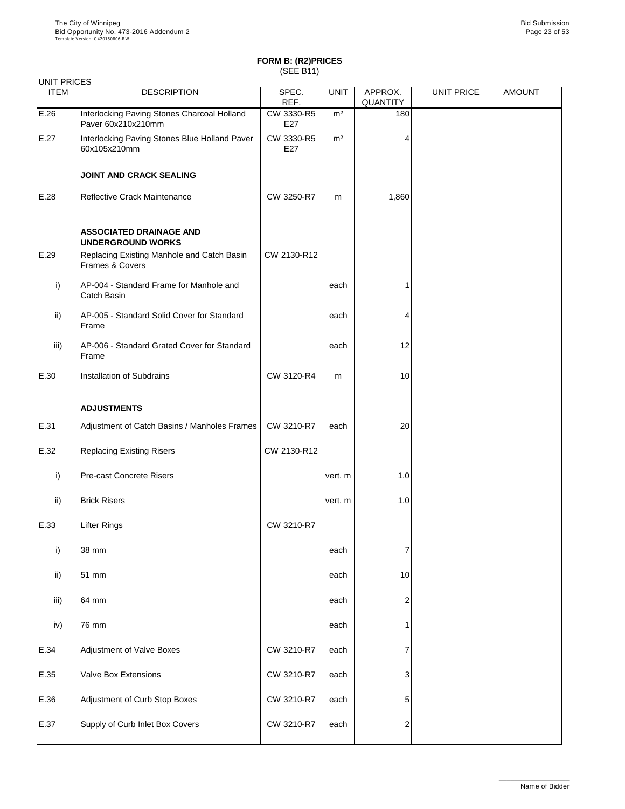| <b>UNIT PRICES</b> |                                                                          |                   |                |                            |                   |               |
|--------------------|--------------------------------------------------------------------------|-------------------|----------------|----------------------------|-------------------|---------------|
| <b>ITEM</b>        | <b>DESCRIPTION</b>                                                       | SPEC.<br>REF.     | <b>UNIT</b>    | APPROX.<br><b>QUANTITY</b> | <b>UNIT PRICE</b> | <b>AMOUNT</b> |
| E.26               | Interlocking Paving Stones Charcoal Holland<br>Paver 60x210x210mm        | CW 3330-R5<br>E27 | m <sup>2</sup> | 180                        |                   |               |
| E.27               | Interlocking Paving Stones Blue Holland Paver<br>60x105x210mm            | CW 3330-R5<br>E27 | m <sup>2</sup> | 4                          |                   |               |
|                    | <b>JOINT AND CRACK SEALING</b>                                           |                   |                |                            |                   |               |
| E.28               | <b>Reflective Crack Maintenance</b>                                      | CW 3250-R7        | m              | 1,860                      |                   |               |
|                    | <b>ASSOCIATED DRAINAGE AND</b><br><b>UNDERGROUND WORKS</b>               |                   |                |                            |                   |               |
| E.29               | Replacing Existing Manhole and Catch Basin<br><b>Frames &amp; Covers</b> | CW 2130-R12       |                |                            |                   |               |
| $\mathsf{i}$       | AP-004 - Standard Frame for Manhole and<br><b>Catch Basin</b>            |                   | each           |                            |                   |               |
| $\mathsf{ii}$      | AP-005 - Standard Solid Cover for Standard<br>Frame                      |                   | each           | 4                          |                   |               |
| iii)               | AP-006 - Standard Grated Cover for Standard<br>Frame                     |                   | each           | 12                         |                   |               |
| E.30               | <b>Installation of Subdrains</b>                                         | CW 3120-R4        | m              | 10                         |                   |               |
|                    | <b>ADJUSTMENTS</b>                                                       |                   |                |                            |                   |               |
| E.31               | Adjustment of Catch Basins / Manholes Frames                             | CW 3210-R7        | each           | 20                         |                   |               |
| E.32               | <b>Replacing Existing Risers</b>                                         | CW 2130-R12       |                |                            |                   |               |
| $\mathsf{i}$       | <b>Pre-cast Concrete Risers</b>                                          |                   | vert. m        | 1.0                        |                   |               |
| $\mathsf{ii}$      | <b>Brick Risers</b>                                                      |                   | vert. m        | 1.0                        |                   |               |
| E.33               | <b>Lifter Rings</b>                                                      | CW 3210-R7        |                |                            |                   |               |
| i)                 | 38 mm                                                                    |                   | each           |                            |                   |               |
| $\mathsf{ii}$      | 51 mm                                                                    |                   | each           | 10                         |                   |               |
| iii)               | 64 mm                                                                    |                   | each           | $\overline{2}$             |                   |               |
| iv)                | 76 mm                                                                    |                   | each           |                            |                   |               |
| E.34               | <b>Adjustment of Valve Boxes</b>                                         | CW 3210-R7        | each           |                            |                   |               |
| E.35               | <b>Valve Box Extensions</b>                                              | CW 3210-R7        | each           | 3                          |                   |               |
| E.36               | Adjustment of Curb Stop Boxes                                            | CW 3210-R7        | each           | 5                          |                   |               |
| E.37               | Supply of Curb Inlet Box Covers                                          | CW 3210-R7        | each           | 2                          |                   |               |

\_\_\_\_\_\_\_\_\_\_\_\_\_\_\_\_\_\_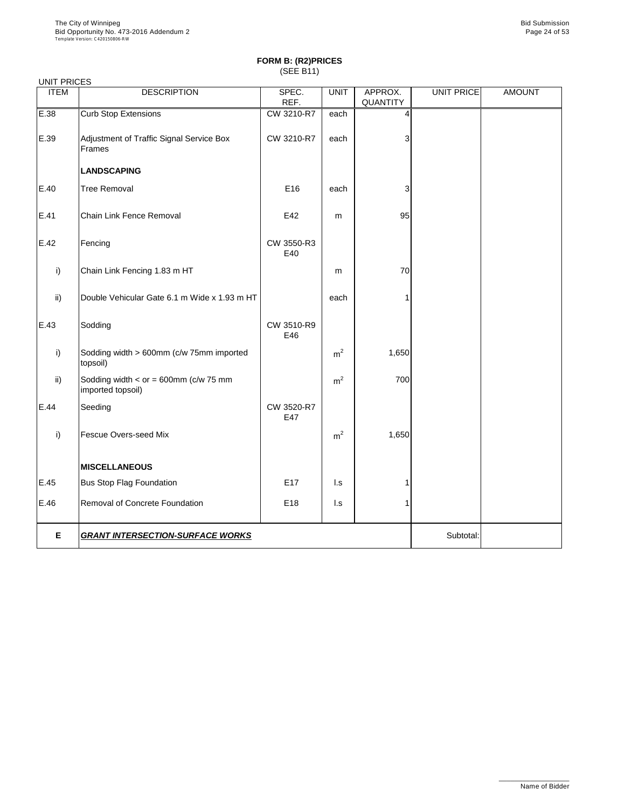|               | <b>UNIT PRICES</b>                                           |                   |                |                 |            |               |  |  |  |
|---------------|--------------------------------------------------------------|-------------------|----------------|-----------------|------------|---------------|--|--|--|
| <b>ITEM</b>   | <b>DESCRIPTION</b>                                           | SPEC.             | <b>UNIT</b>    | APPROX.         | UNIT PRICE | <b>AMOUNT</b> |  |  |  |
|               |                                                              | REF.              |                | <b>QUANTITY</b> |            |               |  |  |  |
| E.38          | <b>Curb Stop Extensions</b>                                  | CW 3210-R7        | each           | 4               |            |               |  |  |  |
| E.39          | Adjustment of Traffic Signal Service Box<br>Frames           | CW 3210-R7        | each           | 3               |            |               |  |  |  |
|               | <b>LANDSCAPING</b>                                           |                   |                |                 |            |               |  |  |  |
| E.40          | <b>Tree Removal</b>                                          | E16               | each           | 3               |            |               |  |  |  |
| E.41          | <b>Chain Link Fence Removal</b>                              | E42               | m              | 95              |            |               |  |  |  |
| E.42          | Fencing                                                      | CW 3550-R3<br>E40 |                |                 |            |               |  |  |  |
| i)            | Chain Link Fencing 1.83 m HT                                 |                   | m              | 70              |            |               |  |  |  |
| $\mathsf{ii}$ | Double Vehicular Gate 6.1 m Wide x 1.93 m HT                 |                   | each           |                 |            |               |  |  |  |
| E.43          | Sodding                                                      | CW 3510-R9<br>E46 |                |                 |            |               |  |  |  |
| i)            | Sodding width > 600mm (c/w 75mm imported<br>topsoil)         |                   | m <sup>2</sup> | 1,650           |            |               |  |  |  |
| $\mathsf{ii}$ | Sodding width $<$ or = 600mm (c/w 75 mm<br>imported topsoil) |                   | m <sup>2</sup> | 700             |            |               |  |  |  |
| E.44          | Seeding                                                      | CW 3520-R7<br>E47 |                |                 |            |               |  |  |  |
| i)            | <b>Fescue Overs-seed Mix</b>                                 |                   | m <sup>2</sup> | 1,650           |            |               |  |  |  |
|               | <b>MISCELLANEOUS</b>                                         |                   |                |                 |            |               |  |  |  |
| E.45          | <b>Bus Stop Flag Foundation</b>                              | E <sub>17</sub>   | $\mathsf{L}$ s |                 |            |               |  |  |  |
| E.46          | Removal of Concrete Foundation                               | E18               | $\mathsf{L}$ s |                 |            |               |  |  |  |
| E             | <b>GRANT INTERSECTION-SURFACE WORKS</b>                      | Subtotal:         |                |                 |            |               |  |  |  |

\_\_\_\_\_\_\_\_\_\_\_\_\_\_\_\_\_\_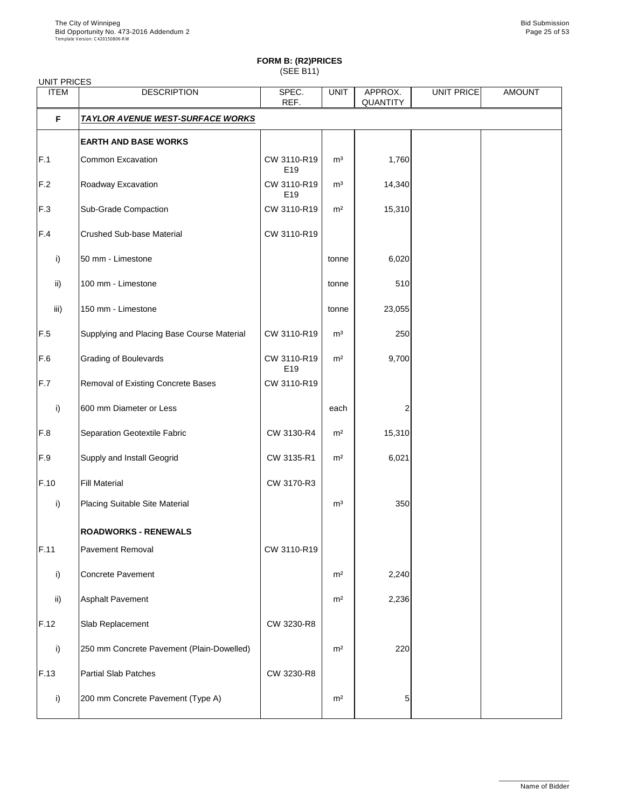| <b>UNIT PRICES</b> |                                            |                                |                |                            |            |               |
|--------------------|--------------------------------------------|--------------------------------|----------------|----------------------------|------------|---------------|
| <b>ITEM</b>        | <b>DESCRIPTION</b>                         | SPEC.<br>REF.                  | <b>UNIT</b>    | APPROX.<br><b>QUANTITY</b> | UNIT PRICE | <b>AMOUNT</b> |
| F                  | <b>TAYLOR AVENUE WEST-SURFACE WORKS</b>    |                                |                |                            |            |               |
|                    | <b>EARTH AND BASE WORKS</b>                |                                |                |                            |            |               |
| F.1                | <b>Common Excavation</b>                   | CW 3110-R19<br>E19             | m <sup>3</sup> | 1,760                      |            |               |
| F.2                | Roadway Excavation                         | CW 3110-R19<br>E <sub>19</sub> | m <sup>3</sup> | 14,340                     |            |               |
| F.3                | <b>Sub-Grade Compaction</b>                | CW 3110-R19                    | m <sup>2</sup> | 15,310                     |            |               |
| F.4                | <b>Crushed Sub-base Material</b>           | CW 3110-R19                    |                |                            |            |               |
| $\mathsf{i}$       | 50 mm - Limestone                          |                                | tonne          | 6,020                      |            |               |
| $\mathsf{ii}$      | 100 mm - Limestone                         |                                | tonne          | 510                        |            |               |
| iii)               | 150 mm - Limestone                         |                                | tonne          | 23,055                     |            |               |
| F.5                | Supplying and Placing Base Course Material | CW 3110-R19                    | m <sup>3</sup> | 250                        |            |               |
| F.6                | <b>Grading of Boulevards</b>               | CW 3110-R19<br>E19             | m <sup>2</sup> | 9,700                      |            |               |
| F.7                | <b>Removal of Existing Concrete Bases</b>  | CW 3110-R19                    |                |                            |            |               |
| i)                 | 600 mm Diameter or Less                    |                                | each           |                            |            |               |
| F.8                | <b>Separation Geotextile Fabric</b>        | CW 3130-R4                     | m <sup>2</sup> | 15,310                     |            |               |
| F.9                | Supply and Install Geogrid                 | CW 3135-R1                     | m <sup>2</sup> | 6,021                      |            |               |
| F.10               | <b>Fill Material</b>                       | CW 3170-R3                     |                |                            |            |               |
| i)                 | <b>Placing Suitable Site Material</b>      |                                | m <sup>3</sup> | 350                        |            |               |
|                    | <b>ROADWORKS - RENEWALS</b>                |                                |                |                            |            |               |
| F.11               | <b>Pavement Removal</b>                    | CW 3110-R19                    |                |                            |            |               |
| i)                 | <b>Concrete Pavement</b>                   |                                | m <sup>2</sup> | 2,240                      |            |               |
| $\mathsf{ii}$      | <b>Asphalt Pavement</b>                    |                                | m <sup>2</sup> | 2,236                      |            |               |
| F.12               | Slab Replacement                           | CW 3230-R8                     |                |                            |            |               |
| i)                 | 250 mm Concrete Pavement (Plain-Dowelled)  |                                | m <sup>2</sup> | 220                        |            |               |
| F.13               | <b>Partial Slab Patches</b>                | CW 3230-R8                     |                |                            |            |               |
| i)                 | 200 mm Concrete Pavement (Type A)          |                                | m <sup>2</sup> | 5.                         |            |               |

\_\_\_\_\_\_\_\_\_\_\_\_\_\_\_\_\_\_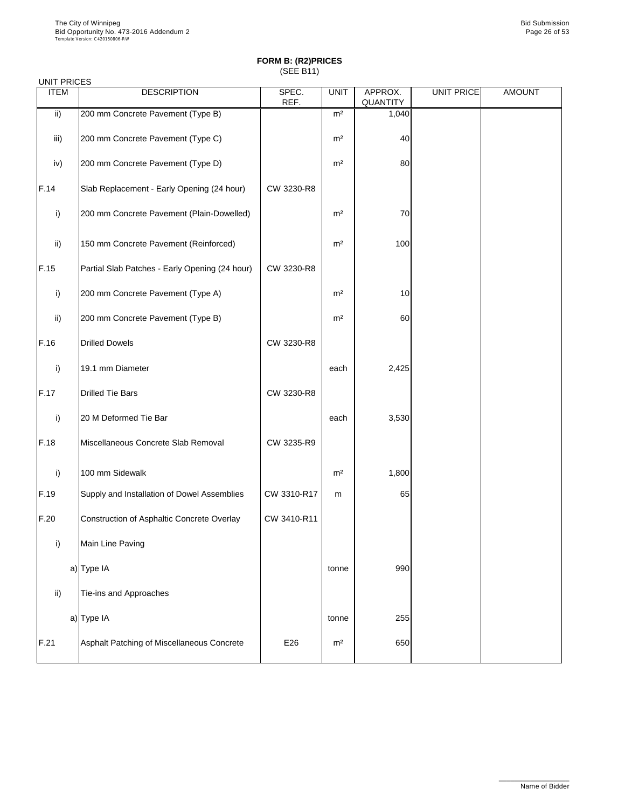| <b>UNIT PRICES</b> |                                                |               |                |                            |                   |               |
|--------------------|------------------------------------------------|---------------|----------------|----------------------------|-------------------|---------------|
| <b>ITEM</b>        | <b>DESCRIPTION</b>                             | SPEC.<br>REF. | <b>UNIT</b>    | APPROX.<br><b>QUANTITY</b> | <b>UNIT PRICE</b> | <b>AMOUNT</b> |
| $\mathsf{ii}$ )    | 200 mm Concrete Pavement (Type B)              |               | m <sup>2</sup> | 1,040                      |                   |               |
| iii)               | 200 mm Concrete Pavement (Type C)              |               | m <sup>2</sup> | 40                         |                   |               |
| iv)                | 200 mm Concrete Pavement (Type D)              |               | m <sup>2</sup> | 80                         |                   |               |
| F.14               | Slab Replacement - Early Opening (24 hour)     | CW 3230-R8    |                |                            |                   |               |
| i)                 | 200 mm Concrete Pavement (Plain-Dowelled)      |               | m <sup>2</sup> | 70                         |                   |               |
| $\mathsf{ii}$      | 150 mm Concrete Pavement (Reinforced)          |               | m <sup>2</sup> | 100                        |                   |               |
| F.15               | Partial Slab Patches - Early Opening (24 hour) | CW 3230-R8    |                |                            |                   |               |
| i)                 | 200 mm Concrete Pavement (Type A)              |               | m <sup>2</sup> | 10                         |                   |               |
| $\mathsf{ii}$      | 200 mm Concrete Pavement (Type B)              |               | m <sup>2</sup> | 60                         |                   |               |
| F.16               | <b>Drilled Dowels</b>                          | CW 3230-R8    |                |                            |                   |               |
| i)                 | 19.1 mm Diameter                               |               | each           | 2,425                      |                   |               |
| F.17               | <b>Drilled Tie Bars</b>                        | CW 3230-R8    |                |                            |                   |               |
| i)                 | 20 M Deformed Tie Bar                          |               | each           | 3,530                      |                   |               |
| F.18               | Miscellaneous Concrete Slab Removal            | CW 3235-R9    |                |                            |                   |               |
| i)                 | 100 mm Sidewalk                                |               | m <sup>2</sup> | 1,800                      |                   |               |
| F.19               | Supply and Installation of Dowel Assemblies    | CW 3310-R17   | m              | 65                         |                   |               |
| F.20               | Construction of Asphaltic Concrete Overlay     | CW 3410-R11   |                |                            |                   |               |
| i)                 | Main Line Paving                               |               |                |                            |                   |               |
|                    | a) Type IA                                     |               | tonne          | 990                        |                   |               |
| $\mathsf{ii}$      | Tie-ins and Approaches                         |               |                |                            |                   |               |
|                    | $a)$ Type IA                                   |               | tonne          | 255                        |                   |               |

| IE 04.<br>ا ک | Asphalt Patching of Miscellaneous Concrete | E26 | m <sup>2</sup> | 650 |  |  |
|---------------|--------------------------------------------|-----|----------------|-----|--|--|
|---------------|--------------------------------------------|-----|----------------|-----|--|--|

\_\_\_\_\_\_\_\_\_\_\_\_\_\_\_\_\_\_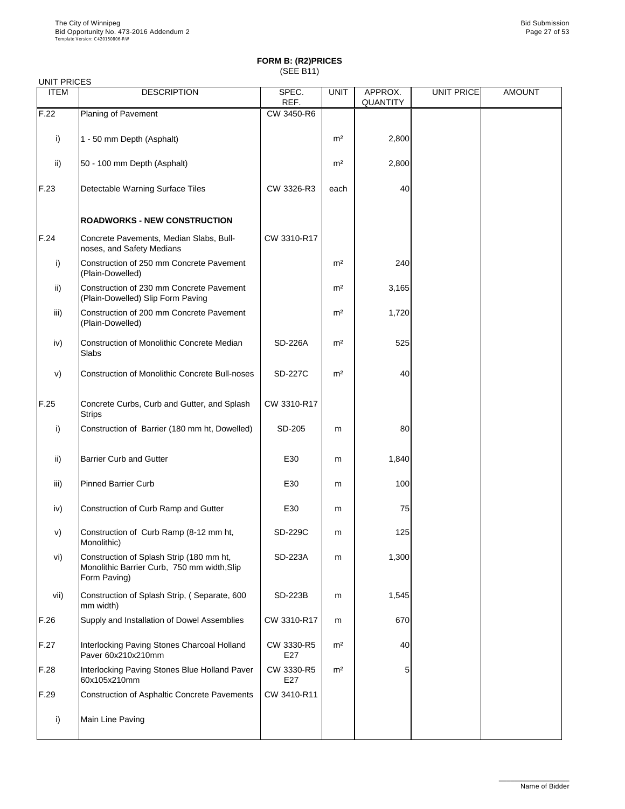| <b>UNIT PRICES</b> |                                                                                                         |                |                |                            |                   |               |
|--------------------|---------------------------------------------------------------------------------------------------------|----------------|----------------|----------------------------|-------------------|---------------|
| <b>ITEM</b>        | <b>DESCRIPTION</b>                                                                                      | SPEC.<br>REF.  | <b>UNIT</b>    | APPROX.<br><b>QUANTITY</b> | <b>UNIT PRICE</b> | <b>AMOUNT</b> |
| F.22               | Planing of Pavement                                                                                     | CW 3450-R6     |                |                            |                   |               |
| $\mathsf{i}$       | 1 - 50 mm Depth (Asphalt)                                                                               |                | m <sup>2</sup> | 2,800                      |                   |               |
| ii)                | 50 - 100 mm Depth (Asphalt)                                                                             |                | m <sup>2</sup> | 2,800                      |                   |               |
| F.23               | <b>Detectable Warning Surface Tiles</b>                                                                 | CW 3326-R3     | each           | 40                         |                   |               |
|                    | <b>ROADWORKS - NEW CONSTRUCTION</b>                                                                     |                |                |                            |                   |               |
| F.24               | Concrete Pavements, Median Slabs, Bull-<br>noses, and Safety Medians                                    | CW 3310-R17    |                |                            |                   |               |
| i)                 | Construction of 250 mm Concrete Pavement<br>(Plain-Dowelled)                                            |                | m <sup>2</sup> | 240                        |                   |               |
| ii)                | Construction of 230 mm Concrete Pavement<br>(Plain-Dowelled) Slip Form Paving                           |                | m <sup>2</sup> | 3,165                      |                   |               |
| iii)               | Construction of 200 mm Concrete Pavement<br>(Plain-Dowelled)                                            |                | m <sup>2</sup> | 1,720                      |                   |               |
| iv)                | <b>Construction of Monolithic Concrete Median</b><br><b>Slabs</b>                                       | <b>SD-226A</b> | m <sup>2</sup> | 525                        |                   |               |
| V)                 | <b>Construction of Monolithic Concrete Bull-noses</b>                                                   | <b>SD-227C</b> | m <sup>2</sup> | 40                         |                   |               |
| F.25               | Concrete Curbs, Curb and Gutter, and Splash<br><b>Strips</b>                                            | CW 3310-R17    |                |                            |                   |               |
| $\mathsf{i}$       | Construction of Barrier (180 mm ht, Dowelled)                                                           | SD-205         | m              | 80                         |                   |               |
| $\mathsf{ii}$      | <b>Barrier Curb and Gutter</b>                                                                          | E30            | m              | 1,840                      |                   |               |
| iii)               | <b>Pinned Barrier Curb</b>                                                                              | E30            | m              | 100                        |                   |               |
| iv)                | Construction of Curb Ramp and Gutter                                                                    | E30            | m              | 75                         |                   |               |
| V)                 | Construction of Curb Ramp (8-12 mm ht,<br>Monolithic)                                                   | <b>SD-229C</b> | m              | 125                        |                   |               |
| vi)                | Construction of Splash Strip (180 mm ht,<br>Monolithic Barrier Curb, 750 mm width, Slip<br>Form Paving) | <b>SD-223A</b> | m              | 1,300                      |                   |               |
| vii)               | Construction of Splash Strip, (Separate, 600<br>mm width)                                               | <b>SD-223B</b> | m              | 1,545                      |                   |               |
| $\Omega$           | realistics of Deural Assemblist                                                                         | OMO            |                | $\sim$ $\sim$              |                   |               |

| F.26 | Supply and Installation of Dowel Assemblies                       | CW 3310-R17       | m              | 670 |  |
|------|-------------------------------------------------------------------|-------------------|----------------|-----|--|
| F.27 | Interlocking Paving Stones Charcoal Holland<br>Paver 60x210x210mm | CW 3330-R5<br>E27 | m <sup>2</sup> | 40  |  |
| F.28 | Interlocking Paving Stones Blue Holland Paver<br>60x105x210mm     | CW 3330-R5<br>E27 | m <sup>2</sup> | 5   |  |
| F.29 | Construction of Asphaltic Concrete Pavements                      | CW 3410-R11       |                |     |  |
|      | Main Line Paving                                                  |                   |                |     |  |

\_\_\_\_\_\_\_\_\_\_\_\_\_\_\_\_\_\_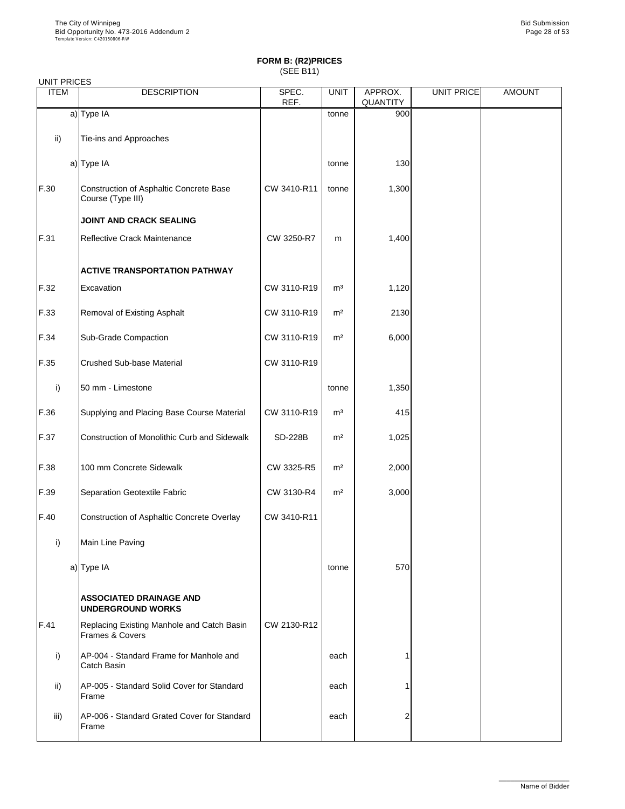|  | UNIT PRICES |
|--|-------------|
|--|-------------|

| UNII FRIULO<br><b>ITEM</b> | <b>DESCRIPTION</b>                                            | SPEC.<br>REF.  | <b>UNIT</b>    | APPROX.<br><b>QUANTITY</b> | <b>UNIT PRICE</b> | <b>AMOUNT</b> |
|----------------------------|---------------------------------------------------------------|----------------|----------------|----------------------------|-------------------|---------------|
|                            | $a)$ Type IA                                                  |                | tonne          | 900                        |                   |               |
| $\mathsf{ii}$              | Tie-ins and Approaches                                        |                |                |                            |                   |               |
|                            | a) Type IA                                                    |                | tonne          | 130                        |                   |               |
| F.30                       | Construction of Asphaltic Concrete Base<br>Course (Type III)  | CW 3410-R11    | tonne          | 1,300                      |                   |               |
|                            | <b>JOINT AND CRACK SEALING</b>                                |                |                |                            |                   |               |
| F.31                       | Reflective Crack Maintenance                                  | CW 3250-R7     | m              | 1,400                      |                   |               |
|                            | <b>ACTIVE TRANSPORTATION PATHWAY</b>                          |                |                |                            |                   |               |
| F.32                       | Excavation                                                    | CW 3110-R19    | m <sup>3</sup> | 1,120                      |                   |               |
| F.33                       | <b>Removal of Existing Asphalt</b>                            | CW 3110-R19    | m <sup>2</sup> | 2130                       |                   |               |
| F.34                       | <b>Sub-Grade Compaction</b>                                   | CW 3110-R19    | m <sup>2</sup> | 6,000                      |                   |               |
| F.35                       | <b>Crushed Sub-base Material</b>                              | CW 3110-R19    |                |                            |                   |               |
| $\mathsf{i}$               | 50 mm - Limestone                                             |                | tonne          | 1,350                      |                   |               |
| F.36                       | Supplying and Placing Base Course Material                    | CW 3110-R19    | m <sup>3</sup> | 415                        |                   |               |
| F.37                       | <b>Construction of Monolithic Curb and Sidewalk</b>           | <b>SD-228B</b> | m <sup>2</sup> | 1,025                      |                   |               |
| F.38                       | 100 mm Concrete Sidewalk                                      | CW 3325-R5     | m <sup>2</sup> | 2,000                      |                   |               |
| F.39                       | Separation Geotextile Fabric                                  | CW 3130-R4     | m <sup>2</sup> | 3,000                      |                   |               |
| F.40                       | Construction of Asphaltic Concrete Overlay                    | CW 3410-R11    |                |                            |                   |               |
| i)                         | Main Line Paving                                              |                |                |                            |                   |               |
|                            | a) Type IA                                                    |                | tonne          | 570                        |                   |               |
|                            | <b>ASSOCIATED DRAINAGE AND</b><br><b>UNDERGROUND WORKS</b>    |                |                |                            |                   |               |
| F.41                       | Replacing Existing Manhole and Catch Basin<br>Frames & Covers | CW 2130-R12    |                |                            |                   |               |
| i)                         | AP-004 - Standard Frame for Manhole and<br><b>Catch Basin</b> |                | each           |                            |                   |               |
| $\mathsf{ii}$              | AP-005 - Standard Solid Cover for Standard<br>Frame           |                | each           |                            |                   |               |
| iii)                       | AP-006 - Standard Grated Cover for Standard<br>Frame          |                | each           | $\overline{2}$             |                   |               |

\_\_\_\_\_\_\_\_\_\_\_\_\_\_\_\_\_\_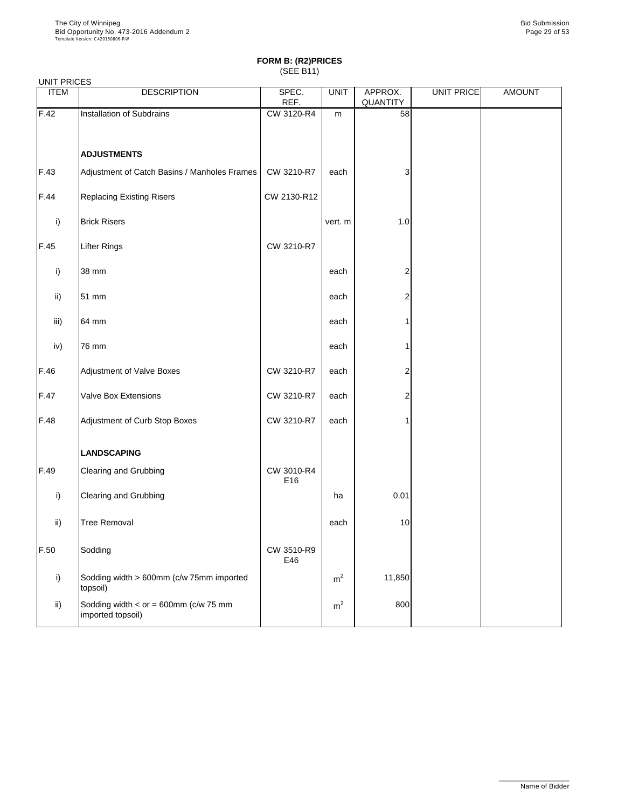#### UNIT PRICES

| <b>UIVIII FRIULD</b><br><b>ITEM</b> | <b>DESCRIPTION</b>                                           | SPEC.<br>REF.     | <b>UNIT</b>    | APPROX.<br>QUANTITY | UNIT PRICE | <b>AMOUNT</b> |
|-------------------------------------|--------------------------------------------------------------|-------------------|----------------|---------------------|------------|---------------|
| F.42                                | Installation of Subdrains                                    | CW 3120-R4        | m              | 58                  |            |               |
|                                     |                                                              |                   |                |                     |            |               |
|                                     | <b>ADJUSTMENTS</b>                                           |                   |                |                     |            |               |
| F.43                                | Adjustment of Catch Basins / Manholes Frames                 | CW 3210-R7        | each           | 3 <sup>1</sup>      |            |               |
| F.44                                | <b>Replacing Existing Risers</b>                             | CW 2130-R12       |                |                     |            |               |
| i)                                  | <b>Brick Risers</b>                                          |                   | vert. m        | 1.0                 |            |               |
| F.45                                | <b>Lifter Rings</b>                                          | CW 3210-R7        |                |                     |            |               |
| i)                                  | 38 mm                                                        |                   | each           | 2                   |            |               |
| ii)                                 | 51 mm                                                        |                   | each           | 2                   |            |               |
| iii)                                | 64 mm                                                        |                   | each           |                     |            |               |
| iv)                                 | 76 mm                                                        |                   | each           |                     |            |               |
| F.46                                | Adjustment of Valve Boxes                                    | CW 3210-R7        | each           | 2                   |            |               |
| F.47                                | <b>Valve Box Extensions</b>                                  | CW 3210-R7        | each           | 2                   |            |               |
| F.48                                | Adjustment of Curb Stop Boxes                                | CW 3210-R7        | each           |                     |            |               |
|                                     | <b>LANDSCAPING</b>                                           |                   |                |                     |            |               |
| F.49                                | <b>Clearing and Grubbing</b>                                 | CW 3010-R4<br>E16 |                |                     |            |               |
| i)                                  | <b>Clearing and Grubbing</b>                                 |                   | ha             | 0.01                |            |               |
| $\mathsf{ii}$                       | <b>Tree Removal</b>                                          |                   | each           | 10                  |            |               |
| F.50                                | Sodding                                                      | CW 3510-R9<br>E46 |                |                     |            |               |
| i)                                  | Sodding width > 600mm (c/w 75mm imported<br>topsoil)         |                   | m <sup>2</sup> | 11,850              |            |               |
| $\mathsf{ii}$                       | Sodding width $<$ or = 600mm (c/w 75 mm<br>imported topsoil) |                   | m <sup>2</sup> | 800                 |            |               |

\_\_\_\_\_\_\_\_\_\_\_\_\_\_\_\_\_\_

Name of Bidder

┙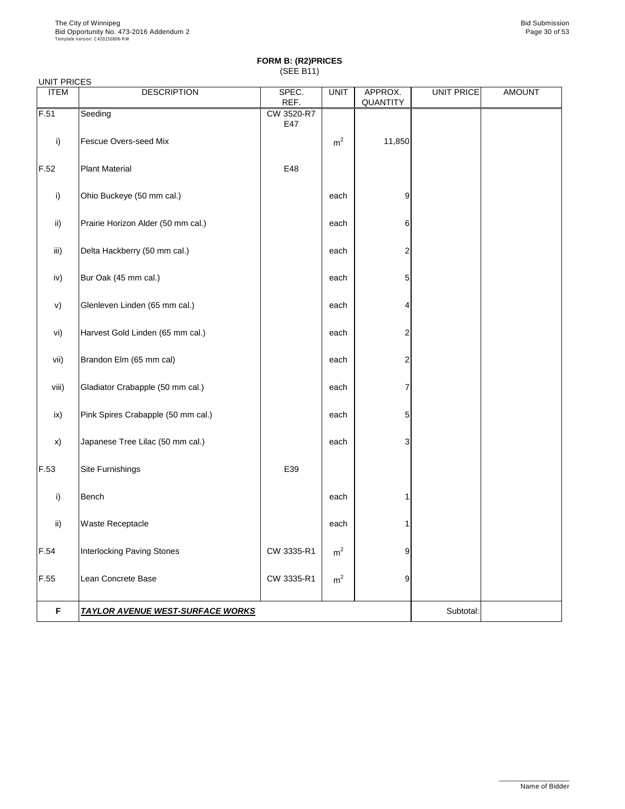|  | UNIT PRICES |
|--|-------------|
|--|-------------|

| <b>ITEM</b>   | <b>DESCRIPTION</b>                 | SPEC.<br>REF.     | <b>UNIT</b>    | APPROX.<br><b>QUANTITY</b> | UNIT PRICE | <b>AMOUNT</b> |  |
|---------------|------------------------------------|-------------------|----------------|----------------------------|------------|---------------|--|
| F.51          | Seeding                            | CW 3520-R7<br>E47 |                |                            |            |               |  |
| i)            | <b>Fescue Overs-seed Mix</b>       |                   | m <sup>2</sup> | 11,850                     |            |               |  |
| F.52          | <b>Plant Material</b>              | E48               |                |                            |            |               |  |
| i)            | Ohio Buckeye (50 mm cal.)          |                   | each           | 9                          |            |               |  |
| $\mathsf{ii}$ | Prairie Horizon Alder (50 mm cal.) |                   | each           | 6                          |            |               |  |
| iii)          | Delta Hackberry (50 mm cal.)       |                   | each           | $\overline{2}$             |            |               |  |
| iv)           | Bur Oak (45 mm cal.)               |                   | each           | 5                          |            |               |  |
| V)            | Glenleven Linden (65 mm cal.)      |                   | each           | 4                          |            |               |  |
| vi)           | Harvest Gold Linden (65 mm cal.)   |                   | each           | $\overline{2}$             |            |               |  |
| vii)          | Brandon Elm (65 mm cal)            |                   | each           | $\overline{2}$             |            |               |  |
| viii)         | Gladiator Crabapple (50 mm cal.)   |                   | each           | 7                          |            |               |  |
| ix)           | Pink Spires Crabapple (50 mm cal.) |                   | each           | 5                          |            |               |  |
| x)            | Japanese Tree Lilac (50 mm cal.)   |                   | each           | 3                          |            |               |  |
| F.53          | Site Furnishings                   | E39               |                |                            |            |               |  |
| i)            | <b>Bench</b>                       |                   | each           |                            |            |               |  |
| $\mathsf{ii}$ | <b>Waste Receptacle</b>            |                   | each           |                            |            |               |  |
| F.54          | <b>Interlocking Paving Stones</b>  | CW 3335-R1        | m <sup>2</sup> | 9                          |            |               |  |
| F.55          | Lean Concrete Base                 | CW 3335-R1        | m <sup>2</sup> | $9\,$                      |            |               |  |
|               |                                    |                   |                |                            |            |               |  |

**F** TAYLOR AVENUE WEST-SURFACE WORKS **SUBSEX AND A CONSTANT SUBTOR AVENUE WEST-SURFACE WORKS** 

\_\_\_\_\_\_\_\_\_\_\_\_\_\_\_\_\_\_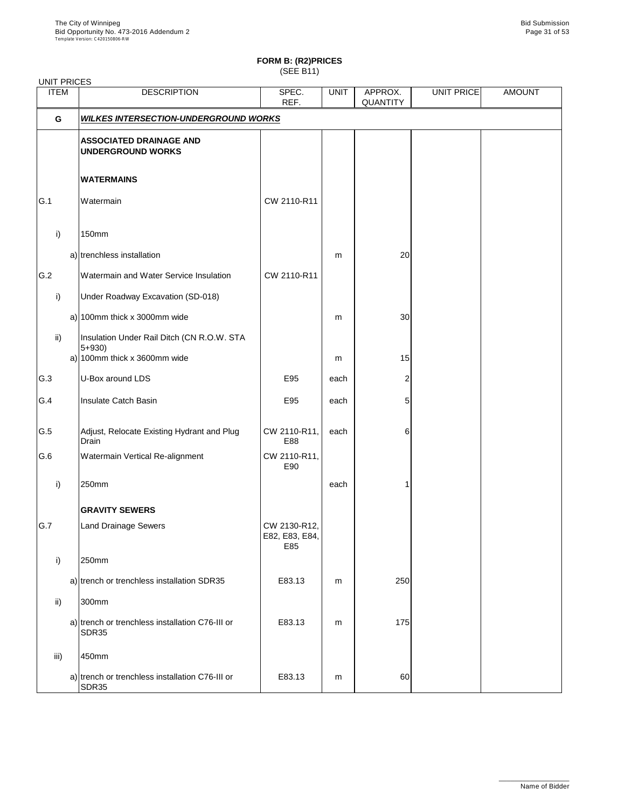| <b>UNIT PRICES</b> |                                                            |                                       |             |                            |                   |               |
|--------------------|------------------------------------------------------------|---------------------------------------|-------------|----------------------------|-------------------|---------------|
| <b>ITEM</b>        | <b>DESCRIPTION</b>                                         | SPEC.<br>REF.                         | <b>UNIT</b> | APPROX.<br><b>QUANTITY</b> | <b>UNIT PRICE</b> | <b>AMOUNT</b> |
| G                  | <b>WILKES INTERSECTION-UNDERGROUND WORKS</b>               |                                       |             |                            |                   |               |
|                    | <b>ASSOCIATED DRAINAGE AND</b><br><b>UNDERGROUND WORKS</b> |                                       |             |                            |                   |               |
|                    | <b>WATERMAINS</b>                                          |                                       |             |                            |                   |               |
| G.1                | Watermain                                                  | CW 2110-R11                           |             |                            |                   |               |
| i)                 | <b>150mm</b>                                               |                                       |             |                            |                   |               |
|                    | a) trenchless installation                                 |                                       | m           | 20                         |                   |               |
| G.2                | Watermain and Water Service Insulation                     | CW 2110-R11                           |             |                            |                   |               |
| $\mathsf{i}$       | Under Roadway Excavation (SD-018)                          |                                       |             |                            |                   |               |
|                    | a) 100mm thick x 3000mm wide                               |                                       | m           | 30 <sub>l</sub>            |                   |               |
| $\mathsf{ii}$      | Insulation Under Rail Ditch (CN R.O.W. STA<br>$5 + 930$    |                                       |             |                            |                   |               |
|                    | a) 100mm thick x 3600mm wide                               |                                       | m           | 15                         |                   |               |
| G.3                | U-Box around LDS                                           | E95                                   | each        | $\overline{\mathbf{c}}$    |                   |               |
| G.4                | Insulate Catch Basin                                       | E95                                   | each        | 5                          |                   |               |
| G.5                | Adjust, Relocate Existing Hydrant and Plug<br>Drain        | CW 2110-R11,<br>E88                   | each        | 6 <sup>1</sup>             |                   |               |
| G.6                | <b>Watermain Vertical Re-alignment</b>                     | CW 2110-R11,<br>E90                   |             |                            |                   |               |
| i)                 | 250mm                                                      |                                       | each        |                            |                   |               |
|                    | <b>GRAVITY SEWERS</b>                                      |                                       |             |                            |                   |               |
| G.7                | <b>Land Drainage Sewers</b>                                | CW 2130-R12,<br>E82, E83, E84,<br>E85 |             |                            |                   |               |
| $\mathsf{i}$       | 250mm                                                      |                                       |             |                            |                   |               |
|                    | a) trench or trenchless installation SDR35                 | E83.13                                | m           | 250                        |                   |               |
| $\mathsf{ii}$      | 300mm                                                      |                                       |             |                            |                   |               |
|                    | a) trench or trenchless installation C76-III or            | E83.13                                | m           | 175                        |                   |               |

|      | SDR35                                                    | - -    |   |    |  |
|------|----------------------------------------------------------|--------|---|----|--|
| iii) | 450mm                                                    |        |   |    |  |
|      | a) trench or trenchless installation C76-III or<br>SDR35 | E83.13 | m | 60 |  |

\_\_\_\_\_\_\_\_\_\_\_\_\_\_\_\_\_\_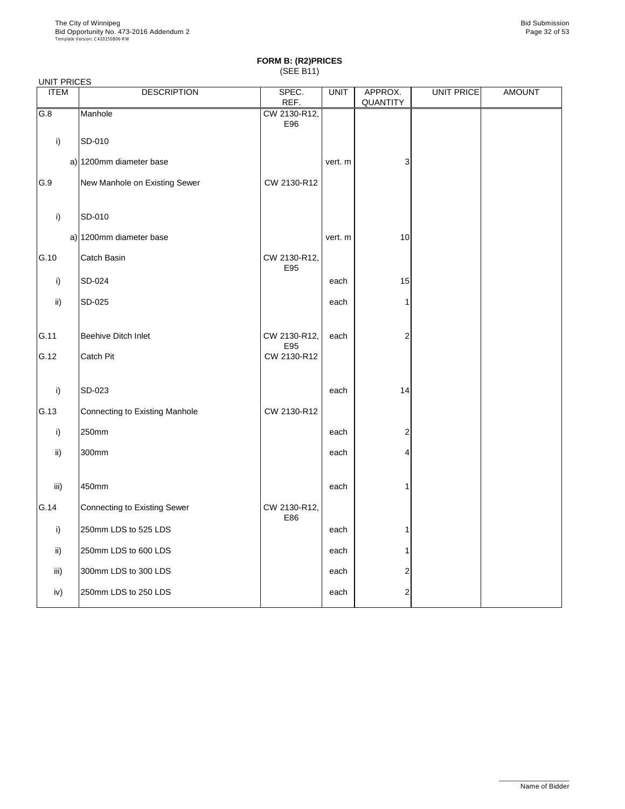#### UNIT PRICES

| <b>ITEM</b>     | <b>DESCRIPTION</b>                  | SPEC.               | <b>UNIT</b> | APPROX.        | UNIT PRICE | <b>AMOUNT</b> |
|-----------------|-------------------------------------|---------------------|-------------|----------------|------------|---------------|
|                 |                                     | REF.                |             | QUANTITY       |            |               |
| G.8             | Manhole                             | CW 2130-R12,<br>E96 |             |                |            |               |
| i)              | SD-010                              |                     |             |                |            |               |
|                 | a) 1200mm diameter base             |                     | vert. m     | 3              |            |               |
| G.9             | New Manhole on Existing Sewer       | CW 2130-R12         |             |                |            |               |
| i)              | SD-010                              |                     |             |                |            |               |
|                 | a) 1200mm diameter base             |                     | vert. m     | 10             |            |               |
| G.10            | Catch Basin                         | CW 2130-R12,<br>E95 |             |                |            |               |
| i)              | SD-024                              |                     | each        | 15             |            |               |
| $\mathsf{ii}$   | SD-025                              |                     | each        |                |            |               |
| G.11            | <b>Beehive Ditch Inlet</b>          | CW 2130-R12,<br>E95 | each        | $\overline{2}$ |            |               |
| G.12            | Catch Pit                           | CW 2130-R12         |             |                |            |               |
| i)              | SD-023                              |                     | each        | 14             |            |               |
| G.13            | Connecting to Existing Manhole      | CW 2130-R12         |             |                |            |               |
| i)              | 250mm                               |                     | each        | $\overline{2}$ |            |               |
| $\mathsf{ii}$   | 300mm                               |                     | each        | 4              |            |               |
| iii)            | 450mm                               |                     | each        | 1              |            |               |
| G.14            | <b>Connecting to Existing Sewer</b> | CW 2130-R12,<br>E86 |             |                |            |               |
| i)              | 250mm LDS to 525 LDS                |                     | each        |                |            |               |
| $\mathsf{ii}$ ) | 250mm LDS to 600 LDS                |                     | each        | 1              |            |               |
| iii)            | 300mm LDS to 300 LDS                |                     | each        | 2              |            |               |
| iv)             | 250mm LDS to 250 LDS                |                     | each        | 2              |            |               |

\_\_\_\_\_\_\_\_\_\_\_\_\_\_\_\_\_\_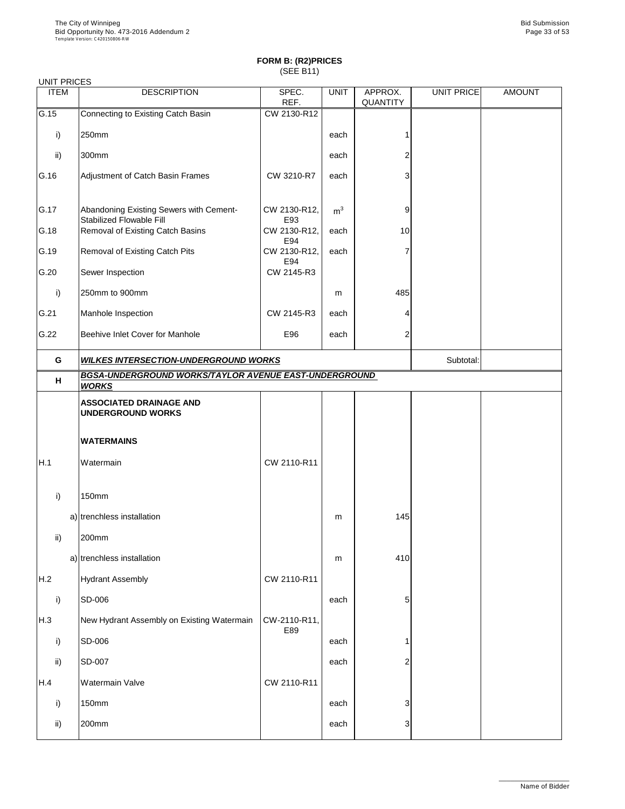| <b>UNIT PRICES</b> |                                                                            |                     |                |                            |                   |               |
|--------------------|----------------------------------------------------------------------------|---------------------|----------------|----------------------------|-------------------|---------------|
| <b>ITEM</b>        | <b>DESCRIPTION</b>                                                         | SPEC.<br>REF.       | <b>UNIT</b>    | APPROX.<br><b>QUANTITY</b> | <b>UNIT PRICE</b> | <b>AMOUNT</b> |
| G.15               | Connecting to Existing Catch Basin                                         | CW 2130-R12         |                |                            |                   |               |
| i)                 | 250mm                                                                      |                     | each           |                            |                   |               |
| $\mathsf{ii}$      | 300mm                                                                      |                     | each           |                            |                   |               |
| G.16               | Adjustment of Catch Basin Frames                                           | CW 3210-R7          | each           | 3                          |                   |               |
| G.17               | Abandoning Existing Sewers with Cement-<br><b>Stabilized Flowable Fill</b> | CW 2130-R12,<br>E93 | m <sup>3</sup> | 9                          |                   |               |
| G.18               | Removal of Existing Catch Basins                                           | CW 2130-R12,<br>E94 | each           | 10                         |                   |               |
| G.19               | Removal of Existing Catch Pits                                             | CW 2130-R12,<br>E94 | each           |                            |                   |               |
| G.20               | Sewer Inspection                                                           | CW 2145-R3          |                |                            |                   |               |
| i)                 | 250mm to 900mm                                                             |                     | m              | 485                        |                   |               |
| G.21               | Manhole Inspection                                                         | CW 2145-R3          | each           | 4                          |                   |               |
| G.22               | Beehive Inlet Cover for Manhole                                            | E96                 | each           | $\overline{2}$             |                   |               |
| G                  | <b>WILKES INTERSECTION-UNDERGROUND WORKS</b>                               |                     |                |                            |                   |               |
| H                  | BGSA-UNDERGROUND WORKS/TAYLOR AVENUE EAST-UNDERGROUND<br><b>WORKS</b>      |                     |                |                            |                   |               |
|                    | <b>ASSOCIATED DRAINAGE AND</b>                                             |                     |                |                            |                   |               |
|                    | <b>UNDERGROUND WORKS</b>                                                   |                     |                |                            |                   |               |
|                    | <b>WATERMAINS</b>                                                          |                     |                |                            |                   |               |
| H.1                | Watermain                                                                  | CW 2110-R11         |                |                            |                   |               |
| i)                 | <b>150mm</b>                                                               |                     |                |                            |                   |               |
|                    | a) trenchless installation                                                 |                     | m              | 145                        |                   |               |
| $\mathsf{ii}$      | 200mm                                                                      |                     |                |                            |                   |               |
|                    | a) trenchless installation                                                 |                     | m              | 410                        |                   |               |
| H.2                | <b>Hydrant Assembly</b>                                                    | CW 2110-R11         |                |                            |                   |               |
| i)                 | SD-006                                                                     |                     | each           | 5                          |                   |               |
| H.3                | New Hydrant Assembly on Existing Watermain                                 | CW-2110-R11,<br>E89 |                |                            |                   |               |
| i)                 | SD-006                                                                     |                     | each           |                            |                   |               |
| $\mathsf{ii}$      | SD-007                                                                     |                     | each           | 2                          |                   |               |
| H.4                | <b>Watermain Valve</b>                                                     | CW 2110-R11         |                |                            |                   |               |
| $\mathbf{I}$       | 150mm                                                                      |                     | each           | 3                          |                   |               |
| ii)                | 200mm                                                                      |                     | each           | 3                          |                   |               |

\_\_\_\_\_\_\_\_\_\_\_\_\_\_\_\_\_\_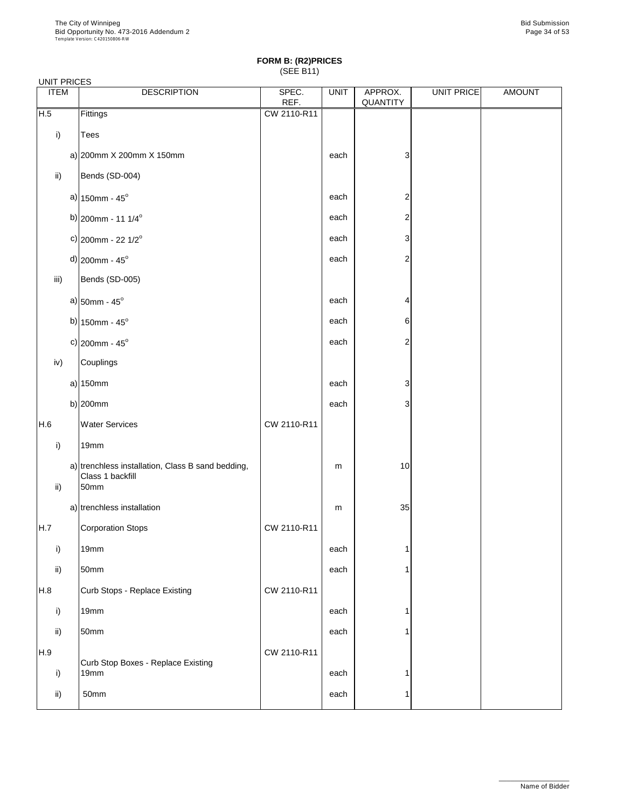|               | <b>UNIT PRICES</b> |                                                                               |               |             |                            |                   |               |  |
|---------------|--------------------|-------------------------------------------------------------------------------|---------------|-------------|----------------------------|-------------------|---------------|--|
| <b>ITEM</b>   |                    | <b>DESCRIPTION</b>                                                            | SPEC.<br>REF. | <b>UNIT</b> | APPROX.<br><b>QUANTITY</b> | <b>UNIT PRICE</b> | <b>AMOUNT</b> |  |
| H.5           |                    | Fittings                                                                      | CW 2110-R11   |             |                            |                   |               |  |
| i)            |                    | Tees                                                                          |               |             |                            |                   |               |  |
|               |                    | a) 200mm X 200mm X 150mm                                                      |               | each        | 3                          |                   |               |  |
| $\mathsf{ii}$ |                    | Bends (SD-004)                                                                |               |             |                            |                   |               |  |
|               |                    | a) $150$ mm - $45^{\circ}$                                                    |               | each        | $\overline{2}$             |                   |               |  |
|               |                    | b) 200mm - 11 $1/4^{\circ}$                                                   |               | each        | $\overline{2}$             |                   |               |  |
|               |                    | c) 200mm - 22 $1/2^{\circ}$                                                   |               | each        | 3                          |                   |               |  |
|               |                    | $d$ ) 200mm - 45°                                                             |               | each        | $\overline{2}$             |                   |               |  |
| iii)          |                    | Bends (SD-005)                                                                |               |             |                            |                   |               |  |
|               |                    | a) $50$ mm - 45 $^{\circ}$                                                    |               | each        | 4                          |                   |               |  |
|               |                    | b) $150$ mm - $45^{\circ}$                                                    |               | each        | 6                          |                   |               |  |
|               |                    | c) 200mm - $45^{\circ}$                                                       |               | each        | $\overline{2}$             |                   |               |  |
| iv)           |                    | Couplings                                                                     |               |             |                            |                   |               |  |
|               |                    | $a)$ 150mm                                                                    |               | each        | 3                          |                   |               |  |
|               |                    | b) $ 200$ mm                                                                  |               | each        | 3                          |                   |               |  |
| H.6           |                    | <b>Water Services</b>                                                         | CW 2110-R11   |             |                            |                   |               |  |
| i)            |                    | 19mm                                                                          |               |             |                            |                   |               |  |
| ii)           |                    | a) trenchless installation, Class B sand bedding,<br>Class 1 backfill<br>50mm |               | m           | 10                         |                   |               |  |
|               |                    | a) trenchless installation                                                    |               | m           | 35                         |                   |               |  |
| H.7           |                    | <b>Corporation Stops</b>                                                      | CW 2110-R11   |             |                            |                   |               |  |
| i)            |                    | 19mm                                                                          |               | each        |                            |                   |               |  |
| $\mathsf{ii}$ |                    | 50mm                                                                          |               | each        |                            |                   |               |  |
| H.8           |                    | Curb Stops - Replace Existing                                                 | CW 2110-R11   |             |                            |                   |               |  |
| i)            |                    | 19mm                                                                          |               | each        |                            |                   |               |  |

| ii) | 50 <sub>mm</sub>                   |             | each |  |  |
|-----|------------------------------------|-------------|------|--|--|
| H.9 | Curb Stop Boxes - Replace Existing | CW 2110-R11 |      |  |  |
|     | 19 <sub>mm</sub>                   |             | each |  |  |
| ii) | 50mm                               |             | each |  |  |
|     |                                    |             |      |  |  |

\_\_\_\_\_\_\_\_\_\_\_\_\_\_\_\_\_\_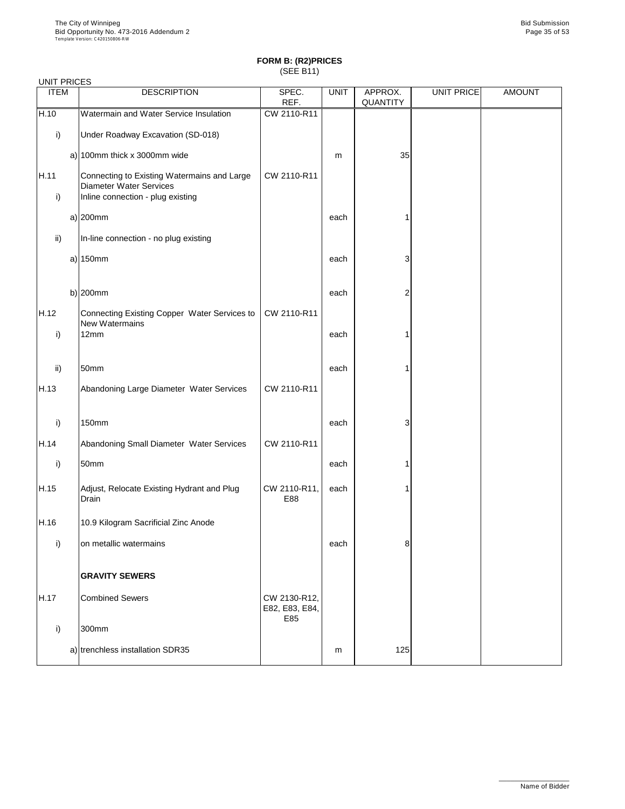| <b>ITEM</b>   | <b>DESCRIPTION</b>                                                                                                 | SPEC.<br>REF.                         | <b>UNIT</b> | APPROX.<br><b>QUANTITY</b> | <b>UNIT PRICE</b> | <b>AMOUNT</b> |
|---------------|--------------------------------------------------------------------------------------------------------------------|---------------------------------------|-------------|----------------------------|-------------------|---------------|
| H.10          | Watermain and Water Service Insulation                                                                             | CW 2110-R11                           |             |                            |                   |               |
| i)            | Under Roadway Excavation (SD-018)                                                                                  |                                       |             |                            |                   |               |
|               | a) $100$ mm thick x 3000mm wide                                                                                    |                                       | m           | 35                         |                   |               |
| H.11<br>i)    | Connecting to Existing Watermains and Large<br><b>Diameter Water Services</b><br>Inline connection - plug existing | CW 2110-R11                           |             |                            |                   |               |
|               | $a)$  200mm                                                                                                        |                                       | each        |                            |                   |               |
| $\mathsf{ii}$ | In-line connection - no plug existing                                                                              |                                       |             |                            |                   |               |
|               | a) $150$ mm                                                                                                        |                                       | each        | 3                          |                   |               |
|               | b) $200$ mm                                                                                                        |                                       | each        | $\overline{2}$             |                   |               |
| H.12<br>i)    | Connecting Existing Copper Water Services to<br><b>New Watermains</b><br>12mm                                      | CW 2110-R11                           | each        |                            |                   |               |
| ii)           | 50mm                                                                                                               |                                       | each        |                            |                   |               |
| H.13          | Abandoning Large Diameter Water Services                                                                           | CW 2110-R11                           |             |                            |                   |               |
| i)            | <b>150mm</b>                                                                                                       |                                       | each        | 3                          |                   |               |
| H.14          | Abandoning Small Diameter Water Services                                                                           | CW 2110-R11                           |             |                            |                   |               |
| i)            | 50mm                                                                                                               |                                       | each        |                            |                   |               |
| H.15          | Adjust, Relocate Existing Hydrant and Plug<br>Drain                                                                | CW 2110-R11,<br>E88                   | each        |                            |                   |               |
| H.16          | 10.9 Kilogram Sacrificial Zinc Anode                                                                               |                                       |             |                            |                   |               |
| i)            | on metallic watermains                                                                                             |                                       | each        | 8                          |                   |               |
|               | <b>GRAVITY SEWERS</b>                                                                                              |                                       |             |                            |                   |               |
| H.17          | <b>Combined Sewers</b>                                                                                             | CW 2130-R12,<br>E82, E83, E84,<br>E85 |             |                            |                   |               |

| $\cdot$ | 300mm                            |   |     |  |
|---------|----------------------------------|---|-----|--|
|         | a) trenchless installation SDR35 | m | 125 |  |

\_\_\_\_\_\_\_\_\_\_\_\_\_\_\_\_\_\_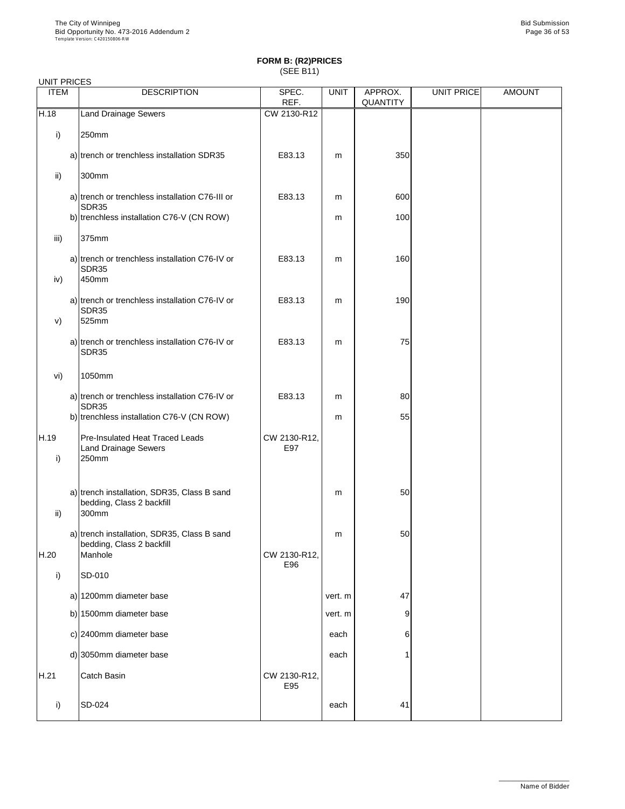| <b>UNIT PRICES</b> |                                                                                     |                     |             |                            |                   |               |
|--------------------|-------------------------------------------------------------------------------------|---------------------|-------------|----------------------------|-------------------|---------------|
| <b>ITEM</b>        | <b>DESCRIPTION</b>                                                                  | SPEC.<br>REF.       | <b>UNIT</b> | APPROX.<br><b>QUANTITY</b> | <b>UNIT PRICE</b> | <b>AMOUNT</b> |
| H.18               | <b>Land Drainage Sewers</b>                                                         | CW 2130-R12         |             |                            |                   |               |
| i)                 | 250mm                                                                               |                     |             |                            |                   |               |
|                    | a) trench or trenchless installation SDR35                                          | E83.13              | m           | 350                        |                   |               |
| $\mathsf{ii}$      | 300mm                                                                               |                     |             |                            |                   |               |
|                    | a) trench or trenchless installation C76-III or<br>SDR35                            | E83.13              | m           | 600                        |                   |               |
|                    | b) trenchless installation C76-V (CN ROW)                                           |                     | m           | 100                        |                   |               |
| iii)               | 375mm                                                                               |                     |             |                            |                   |               |
| iv)                | a) trench or trenchless installation C76-IV or<br><b>SDR35</b><br>450mm             | E83.13              | m           | 160                        |                   |               |
| V)                 | a) trench or trenchless installation C76-IV or<br><b>SDR35</b><br>525mm             | E83.13              | m           | 190                        |                   |               |
|                    | a) trench or trenchless installation C76-IV or<br><b>SDR35</b>                      | E83.13              | m           | 75                         |                   |               |
| vi)                | 1050mm                                                                              |                     |             |                            |                   |               |
|                    | a) trench or trenchless installation C76-IV or                                      | E83.13              | m           | 80                         |                   |               |
|                    | SDR35<br>b) trenchless installation C76-V (CN ROW)                                  |                     | m           | 55                         |                   |               |
| H.19<br>i)         | <b>Pre-Insulated Heat Traced Leads</b><br><b>Land Drainage Sewers</b><br>250mm      | CW 2130-R12,<br>E97 |             |                            |                   |               |
| $\mathsf{ii}$      | a) trench installation, SDR35, Class B sand<br>bedding, Class 2 backfill<br>300mm   |                     | m           | 50                         |                   |               |
| H.20               | a) trench installation, SDR35, Class B sand<br>bedding, Class 2 backfill<br>Manhole | CW 2130-R12,        | m           | 50                         |                   |               |
| i)                 | SD-010                                                                              | E96                 |             |                            |                   |               |
|                    | a) 1200mm diameter base                                                             |                     | vert. m     | 47                         |                   |               |
|                    | b) 1500mm diameter base                                                             |                     | vert. m     | 9                          |                   |               |

|      | c) 2400mm diameter base    |                     | each | 6  |  |
|------|----------------------------|---------------------|------|----|--|
|      | d) 3050 $mm$ diameter base |                     | each |    |  |
| H.21 | <b>Catch Basin</b>         | CW 2130-R12,<br>E95 |      |    |  |
| i)   | <b>SD-024</b>              |                     | each | 41 |  |

\_\_\_\_\_\_\_\_\_\_\_\_\_\_\_\_\_\_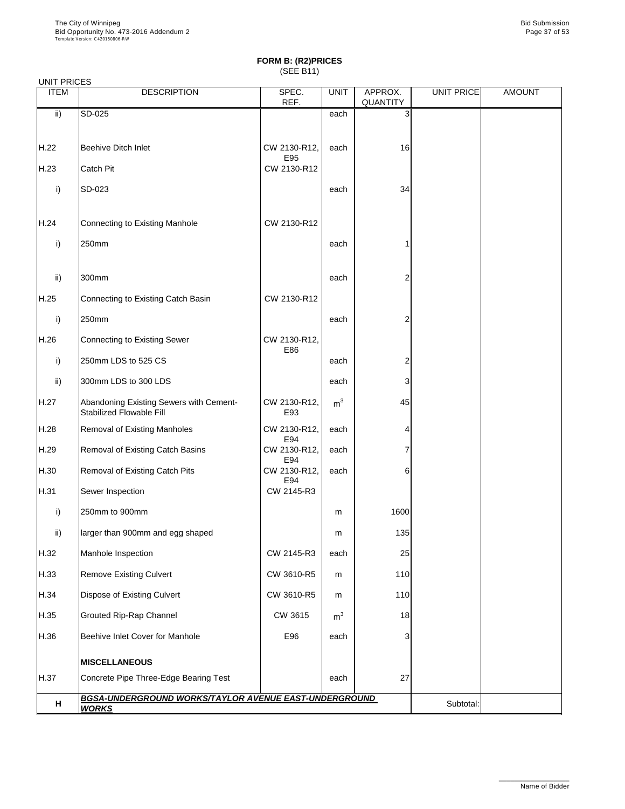| 0111111110LU<br><b>ITEM</b> | <b>DESCRIPTION</b>                                                         | SPEC.<br>REF.       | <b>UNIT</b>    | APPROX.<br><b>QUANTITY</b> | UNIT PRICE | <b>AMOUNT</b> |
|-----------------------------|----------------------------------------------------------------------------|---------------------|----------------|----------------------------|------------|---------------|
| ii)                         | SD-025                                                                     |                     | each           | 3                          |            |               |
| H.22                        | <b>Beehive Ditch Inlet</b>                                                 | CW 2130-R12,<br>E95 | each           | 16                         |            |               |
| H.23                        | Catch Pit                                                                  | CW 2130-R12         |                |                            |            |               |
| $\mathsf{i}$                | SD-023                                                                     |                     | each           | 34                         |            |               |
| H.24                        | <b>Connecting to Existing Manhole</b>                                      | CW 2130-R12         |                |                            |            |               |
| i)                          | 250mm                                                                      |                     | each           |                            |            |               |
| ii)                         | 300mm                                                                      |                     | each           | 2                          |            |               |
| H.25                        | Connecting to Existing Catch Basin                                         | CW 2130-R12         |                |                            |            |               |
| i)                          | 250mm                                                                      |                     | each           | 2                          |            |               |
| H.26                        | <b>Connecting to Existing Sewer</b>                                        | CW 2130-R12,<br>E86 |                |                            |            |               |
| i)                          | 250mm LDS to 525 CS                                                        |                     | each           | 2                          |            |               |
| ii)                         | 300mm LDS to 300 LDS                                                       |                     | each           | 3                          |            |               |
| H.27                        | Abandoning Existing Sewers with Cement-<br><b>Stabilized Flowable Fill</b> | CW 2130-R12,<br>E93 | m <sup>3</sup> | 45                         |            |               |
| H.28                        | <b>Removal of Existing Manholes</b>                                        | CW 2130-R12,<br>E94 | each           | 4                          |            |               |
| H.29                        | Removal of Existing Catch Basins                                           | CW 2130-R12,<br>E94 | each           |                            |            |               |
| H.30                        | <b>Removal of Existing Catch Pits</b>                                      | CW 2130-R12,<br>E94 | each           | 6                          |            |               |
| H.31                        | Sewer Inspection                                                           | CW 2145-R3          |                |                            |            |               |
| i)                          | 250mm to 900mm                                                             |                     | m              | 1600                       |            |               |
| $\mathsf{ii}$               | larger than 900mm and egg shaped                                           |                     | m              | 135                        |            |               |
| H.32                        | Manhole Inspection                                                         | CW 2145-R3          | each           | 25                         |            |               |
| H.33                        | <b>Remove Existing Culvert</b>                                             | CW 3610-R5          | m              | 110                        |            |               |
| H.34                        | <b>Dispose of Existing Culvert</b>                                         | CW 3610-R5          | m              | 110                        |            |               |
| H.35                        | <b>Grouted Rip-Rap Channel</b>                                             | CW 3615             | m <sup>3</sup> | 18                         |            |               |

| н     | <b>BGSA-UNDERGROUND WORKS/TAYLOR AVENUE EAST-UNDERGROUND</b><br><b>WORKS</b> |         |                |    | Subtotal: |  |
|-------|------------------------------------------------------------------------------|---------|----------------|----|-----------|--|
| H.37  | <b>IMISCELLANEOUS</b><br>Concrete Pipe Three-Edge Bearing Test               |         | each           | 27 |           |  |
| H.36  | Beehive Inlet Cover for Manhole                                              | E96     | each           | ◠  |           |  |
| IH.35 | Grouted Rip-Rap Channel                                                      | CW 3615 | m <sup>3</sup> | 18 |           |  |

\_\_\_\_\_\_\_\_\_\_\_\_\_\_\_\_\_\_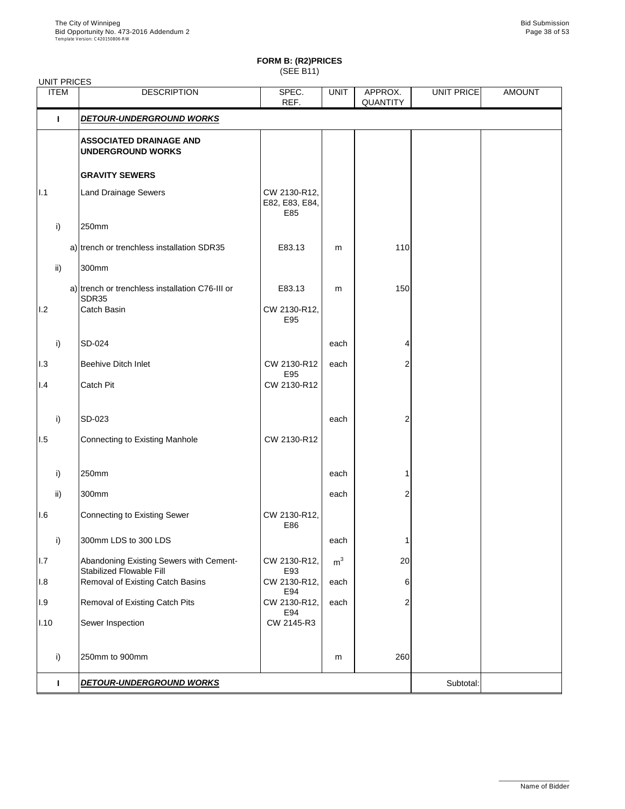| <b>UNIT PRICES</b> |                                                                            |                                       |                |                            |            |               |
|--------------------|----------------------------------------------------------------------------|---------------------------------------|----------------|----------------------------|------------|---------------|
| <b>ITEM</b>        | <b>DESCRIPTION</b>                                                         | SPEC.<br>REF.                         | <b>UNIT</b>    | APPROX.<br><b>QUANTITY</b> | UNIT PRICE | <b>AMOUNT</b> |
|                    | <b>DETOUR-UNDERGROUND WORKS</b>                                            |                                       |                |                            |            |               |
|                    | <b>ASSOCIATED DRAINAGE AND</b><br><b>UNDERGROUND WORKS</b>                 |                                       |                |                            |            |               |
|                    | <b>GRAVITY SEWERS</b>                                                      |                                       |                |                            |            |               |
| $\vert$ .1         | <b>Land Drainage Sewers</b>                                                | CW 2130-R12,<br>E82, E83, E84,<br>E85 |                |                            |            |               |
| $\mathsf{i}$       | 250mm                                                                      |                                       |                |                            |            |               |
|                    | a) trench or trenchless installation SDR35                                 | E83.13                                | m              | 110                        |            |               |
| $\mathsf{ii}$      | 300mm                                                                      |                                       |                |                            |            |               |
|                    | a) trench or trenchless installation C76-III or<br><b>SDR35</b>            | E83.13                                | m              | 150                        |            |               |
| 1.2                | <b>Catch Basin</b>                                                         | CW 2130-R12,<br>E95                   |                |                            |            |               |
| i)                 | <b>SD-024</b>                                                              |                                       | each           |                            |            |               |
| 1.3                | <b>Beehive Ditch Inlet</b>                                                 | CW 2130-R12                           | each           | 2                          |            |               |
| I.4                | <b>Catch Pit</b>                                                           | E95<br>CW 2130-R12                    |                |                            |            |               |
| $\mathsf{i}$       | SD-023                                                                     |                                       | each           | 2                          |            |               |
| 1.5                | Connecting to Existing Manhole                                             | CW 2130-R12                           |                |                            |            |               |
| $\mathsf{i}$       | 250mm                                                                      |                                       | each           |                            |            |               |
| $\mathsf{ii}$      | 300mm                                                                      |                                       | each           | 2                          |            |               |
| 1.6                | Connecting to Existing Sewer                                               | CW 2130-R12,<br>E86                   |                |                            |            |               |
| $\mathsf{i}$       | 300mm LDS to 300 LDS                                                       |                                       | each           |                            |            |               |
| 1.7                | Abandoning Existing Sewers with Cement-<br><b>Stabilized Flowable Fill</b> | CW 2130-R12,<br>E93                   | m <sup>3</sup> | 20                         |            |               |
| 1.8                | Removal of Existing Catch Basins                                           | CW 2130-R12,<br>E94                   | each           | 6                          |            |               |
| 1.9                | <b>Removal of Existing Catch Pits</b>                                      | CW 2130-R12,<br>E94                   | each           | 2                          |            |               |
| II.10              | Sewer Inspection                                                           | CW 2145-R3                            |                |                            |            |               |

|       | DETOUR-UNDERGROUND WORKS |            |   |     | Subtotal: |  |
|-------|--------------------------|------------|---|-----|-----------|--|
|       | 250mm to 900mm           |            | m | 260 |           |  |
| II.10 | Sewer Inspection         | CW 2145-R3 |   |     |           |  |

\_\_\_\_\_\_\_\_\_\_\_\_\_\_\_\_\_\_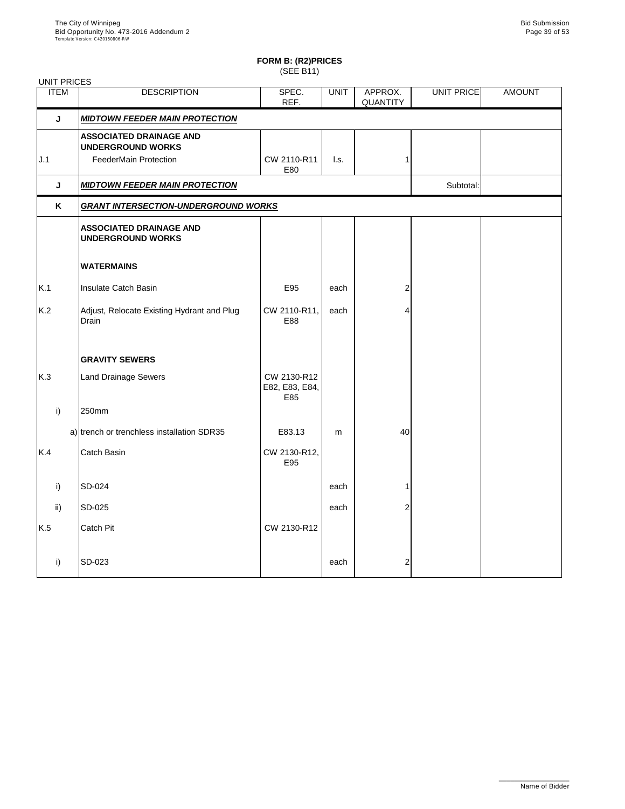| <b>UNIT PRICES</b> |                                                            |                                      |                           |                            |            |               |
|--------------------|------------------------------------------------------------|--------------------------------------|---------------------------|----------------------------|------------|---------------|
| <b>ITEM</b>        | <b>DESCRIPTION</b>                                         | SPEC.<br>REF.                        | <b>UNIT</b>               | APPROX.<br><b>QUANTITY</b> | UNIT PRICE | <b>AMOUNT</b> |
| J                  | <b>MIDTOWN FEEDER MAIN PROTECTION</b>                      |                                      |                           |                            |            |               |
|                    | <b>ASSOCIATED DRAINAGE AND</b><br><b>UNDERGROUND WORKS</b> |                                      |                           |                            |            |               |
| J.1                | <b>FeederMain Protection</b>                               | CW 2110-R11<br>E80                   | $\mathsf{I}.\mathsf{s}$ . |                            |            |               |
| J                  | <b>MIDTOWN FEEDER MAIN PROTECTION</b>                      |                                      |                           |                            | Subtotal:  |               |
| K                  | <b>GRANT INTERSECTION-UNDERGROUND WORKS</b>                |                                      |                           |                            |            |               |
|                    | <b>ASSOCIATED DRAINAGE AND</b><br><b>UNDERGROUND WORKS</b> |                                      |                           |                            |            |               |
|                    | <b>WATERMAINS</b>                                          |                                      |                           |                            |            |               |
| K.1                | <b>Insulate Catch Basin</b>                                | E95                                  | each                      | 2                          |            |               |
| K.2                | Adjust, Relocate Existing Hydrant and Plug<br>Drain        | CW 2110-R11,<br>E88                  | each                      | Δ                          |            |               |
|                    | <b>GRAVITY SEWERS</b>                                      |                                      |                           |                            |            |               |
| K.3                | <b>Land Drainage Sewers</b>                                | CW 2130-R12<br>E82, E83, E84,<br>E85 |                           |                            |            |               |
| i)                 | 250mm                                                      |                                      |                           |                            |            |               |
|                    | a) trench or trenchless installation SDR35                 | E83.13                               | m                         | 40                         |            |               |
| K.4                | <b>Catch Basin</b>                                         | CW 2130-R12,<br>E95                  |                           |                            |            |               |
| $\mathsf{i}$       | SD-024                                                     |                                      | each                      |                            |            |               |
| $\mathsf{ii}$      | SD-025                                                     |                                      | each                      | $\overline{2}$             |            |               |
| K.5                | <b>Catch Pit</b>                                           | CW 2130-R12                          |                           |                            |            |               |
| $\vert$ i)         | SD-023                                                     |                                      | each                      | $\overline{2}$             |            |               |

\_\_\_\_\_\_\_\_\_\_\_\_\_\_\_\_\_\_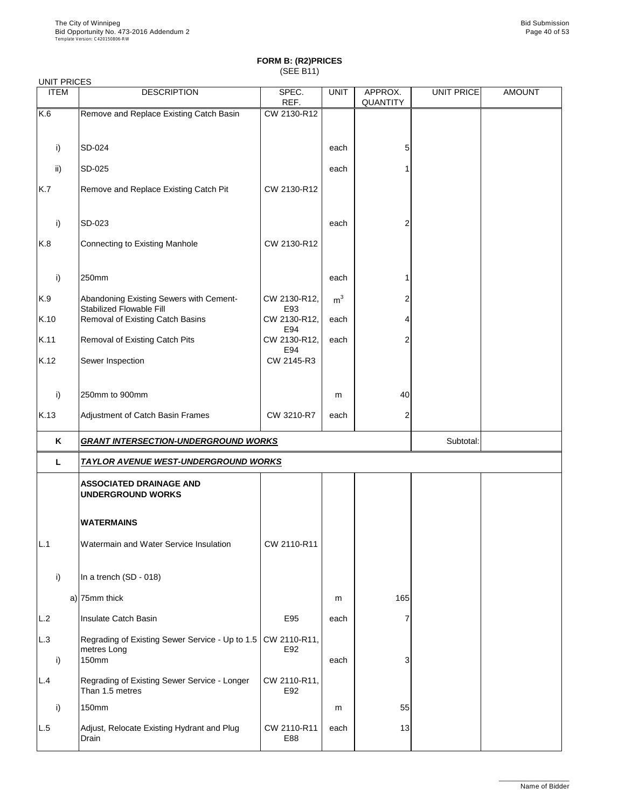| <b>UNIT PRICES</b> |                                                                            |                      |                |                            |            |               |
|--------------------|----------------------------------------------------------------------------|----------------------|----------------|----------------------------|------------|---------------|
| <b>ITEM</b>        | <b>DESCRIPTION</b>                                                         | SPEC.<br>REF.        | <b>UNIT</b>    | APPROX.<br><b>QUANTITY</b> | UNIT PRICE | <b>AMOUNT</b> |
| K.6                | Remove and Replace Existing Catch Basin                                    | CW 2130-R12          |                |                            |            |               |
|                    |                                                                            |                      |                |                            |            |               |
| i)                 | <b>SD-024</b>                                                              |                      | each           | 5                          |            |               |
| $\mathsf{ii}$      | <b>SD-025</b>                                                              |                      | each           |                            |            |               |
| K.7                | Remove and Replace Existing Catch Pit                                      | CW 2130-R12          |                |                            |            |               |
| i)                 | SD-023                                                                     |                      | each           | 2                          |            |               |
| K.8                | <b>Connecting to Existing Manhole</b>                                      | CW 2130-R12          |                |                            |            |               |
| i)                 | 250mm                                                                      |                      | each           |                            |            |               |
| K.9                | Abandoning Existing Sewers with Cement-<br><b>Stabilized Flowable Fill</b> | CW 2130-R12,<br>E93  | m <sup>3</sup> |                            |            |               |
| K.10               | <b>Removal of Existing Catch Basins</b>                                    | CW 2130-R12,<br>E94  | each           |                            |            |               |
| K.11               | <b>Removal of Existing Catch Pits</b>                                      | CW 2130-R12,         | each           | 2                          |            |               |
| K.12               | Sewer Inspection                                                           | E94<br>CW 2145-R3    |                |                            |            |               |
| i)                 | 250mm to 900mm                                                             |                      | m              | 40                         |            |               |
| K.13               | Adjustment of Catch Basin Frames                                           | CW 3210-R7           | each           | $\overline{2}$             |            |               |
| K                  | <b>GRANT INTERSECTION-UNDERGROUND WORKS</b>                                |                      |                |                            | Subtotal:  |               |
| L                  | <b>TAYLOR AVENUE WEST-UNDERGROUND WORKS</b>                                |                      |                |                            |            |               |
|                    | <b>ASSOCIATED DRAINAGE AND</b><br><b>UNDERGROUND WORKS</b>                 |                      |                |                            |            |               |
|                    | <b>WATERMAINS</b>                                                          |                      |                |                            |            |               |
| L.1                | Watermain and Water Service Insulation                                     | CW 2110-R11          |                |                            |            |               |
| i)                 | In a trench (SD - 018)                                                     |                      |                |                            |            |               |
|                    | a) $75$ mm thick                                                           |                      | m              | 165                        |            |               |
|                    | noulate Catab Papin                                                        | $C$ <sub>O</sub> $E$ |                |                            |            |               |

| LL.2      | Insulate Catch Basin                                                                     | E95                 | each |    |  |
|-----------|------------------------------------------------------------------------------------------|---------------------|------|----|--|
| L.3<br>i) | Regrading of Existing Sewer Service - Up to 1.5   CW 2110-R11,  <br>metres Long<br>150mm | E92                 | each |    |  |
| L.4       | Regrading of Existing Sewer Service - Longer<br>Than 1.5 metres                          | CW 2110-R11,<br>E92 |      |    |  |
| i)        | 150mm                                                                                    |                     | m    | 55 |  |
| L.5       | Adjust, Relocate Existing Hydrant and Plug<br>Drain                                      | CW 2110-R11<br>E88  | each | 13 |  |

\_\_\_\_\_\_\_\_\_\_\_\_\_\_\_\_\_\_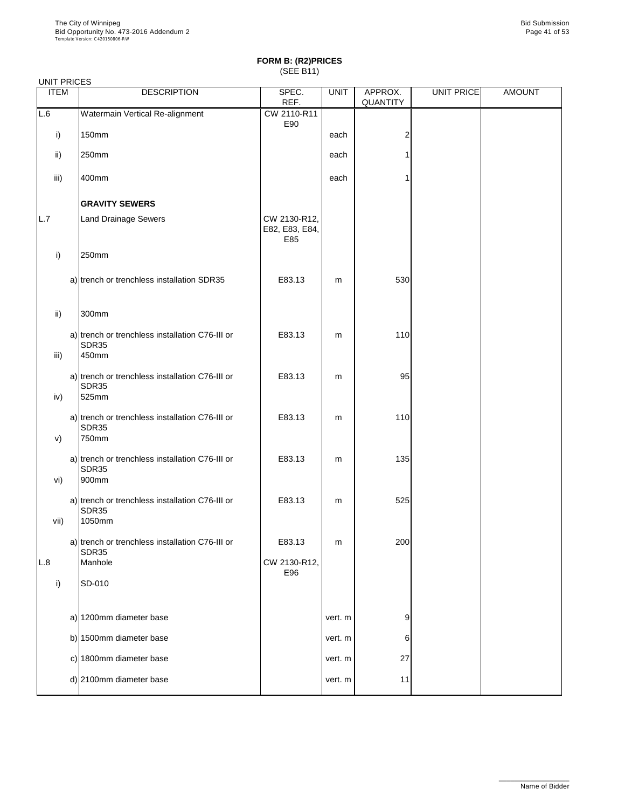#### UNIT PRICES

| <b>ITEM</b>   | <b>DESCRIPTION</b>                                                                 | SPEC.<br>REF.                         | <b>UNIT</b> | APPROX.<br><b>QUANTITY</b> | UNIT PRICE | <b>AMOUNT</b> |
|---------------|------------------------------------------------------------------------------------|---------------------------------------|-------------|----------------------------|------------|---------------|
| L.6           | Watermain Vertical Re-alignment                                                    | CW 2110-R11                           |             |                            |            |               |
| i)            | <b>150mm</b>                                                                       | E90                                   | each        | $\overline{2}$             |            |               |
| $\mathsf{ii}$ | 250mm                                                                              |                                       | each        |                            |            |               |
| iii)          | 400mm                                                                              |                                       | each        |                            |            |               |
|               | <b>GRAVITY SEWERS</b>                                                              |                                       |             |                            |            |               |
| L.7           | <b>Land Drainage Sewers</b>                                                        | CW 2130-R12,<br>E82, E83, E84,<br>E85 |             |                            |            |               |
| i)            | 250mm                                                                              |                                       |             |                            |            |               |
|               | a) trench or trenchless installation SDR35                                         | E83.13                                | m           | 530                        |            |               |
| ii)           | 300mm                                                                              |                                       |             |                            |            |               |
| iii)          | a) trench or trenchless installation C76-III or<br>SDR35<br>450mm                  | E83.13                                | m           | 110                        |            |               |
| iv)           | a) trench or trenchless installation C76-III or<br><b>SDR35</b><br>525mm           | E83.13                                | m           | 95                         |            |               |
| V)            | a) trench or trenchless installation C76-III or<br><b>SDR35</b><br>750mm           | E83.13                                | m           | 110                        |            |               |
|               | a) trench or trenchless installation C76-III or<br><b>SDR35</b>                    | E83.13                                | m           | 135                        |            |               |
| vi)<br>vii)   | 900mm<br>a) trench or trenchless installation C76-III or<br><b>SDR35</b><br>1050mm | E83.13                                | m           | 525                        |            |               |
|               | a) trench or trenchless installation C76-III or<br><b>SDR35</b>                    | E83.13                                | m           | 200                        |            |               |
| L.8           | Manhole                                                                            | CW 2130-R12,<br>E96                   |             |                            |            |               |
| i)            | SD-010                                                                             |                                       |             |                            |            |               |
|               | a) 1200mm diameter base                                                            |                                       | vert. m     | 9                          |            |               |

| a) <b>EXPONSIBLE GIRLIGHT</b> | $V = I$ . $I$ | ັ               |  |  |
|-------------------------------|---------------|-----------------|--|--|
| b) 1500mm diameter base       | vert. m l     |                 |  |  |
| c) 1800mm diameter base       | vert. m       | 27              |  |  |
| d) 2100mm diameter base       | vert. m l     | 11 <sub>1</sub> |  |  |
|                               |               |                 |  |  |

\_\_\_\_\_\_\_\_\_\_\_\_\_\_\_\_\_\_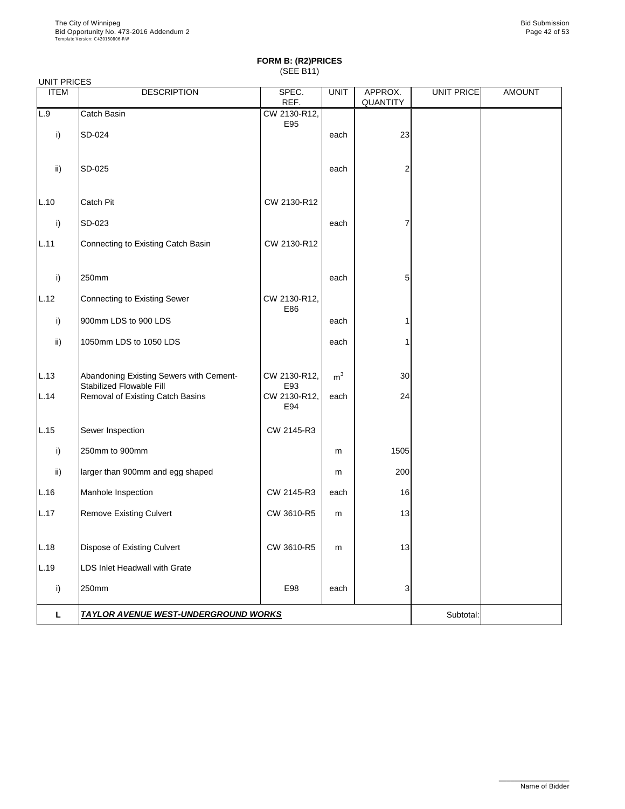|               | <b>UNIT PRICES</b>                                                         |                            |                |                            |                   |               |  |  |  |
|---------------|----------------------------------------------------------------------------|----------------------------|----------------|----------------------------|-------------------|---------------|--|--|--|
| <b>ITEM</b>   | <b>DESCRIPTION</b>                                                         | SPEC.<br>REF.              | <b>UNIT</b>    | APPROX.<br><b>QUANTITY</b> | <b>UNIT PRICE</b> | <b>AMOUNT</b> |  |  |  |
| L.9           | Catch Basin                                                                | CW 2130-R12,               |                |                            |                   |               |  |  |  |
| i)            | SD-024                                                                     | E95                        | each           | 23                         |                   |               |  |  |  |
| $\mathsf{ii}$ | SD-025                                                                     |                            | each           |                            |                   |               |  |  |  |
| L.10          | Catch Pit                                                                  | CW 2130-R12                |                |                            |                   |               |  |  |  |
| i)            | SD-023                                                                     |                            | each           |                            |                   |               |  |  |  |
| L.11          | <b>Connecting to Existing Catch Basin</b>                                  | CW 2130-R12                |                |                            |                   |               |  |  |  |
| i)            | 250mm                                                                      |                            | each           | 5                          |                   |               |  |  |  |
| L.12          | <b>Connecting to Existing Sewer</b>                                        | CW 2130-R12,<br>E86        |                |                            |                   |               |  |  |  |
| i)            | 900mm LDS to 900 LDS                                                       |                            | each           |                            |                   |               |  |  |  |
| $\mathsf{ii}$ | 1050mm LDS to 1050 LDS                                                     |                            | each           |                            |                   |               |  |  |  |
| L.13          | Abandoning Existing Sewers with Cement-<br><b>Stabilized Flowable Fill</b> | CW 2130-R12,               | m <sup>3</sup> | 30                         |                   |               |  |  |  |
| L.14          | <b>Removal of Existing Catch Basins</b>                                    | E93<br>CW 2130-R12,<br>E94 | each           | 24                         |                   |               |  |  |  |
| L.15          | Sewer Inspection                                                           | CW 2145-R3                 |                |                            |                   |               |  |  |  |
| i)            | 250mm to 900mm                                                             |                            | m              | 1505                       |                   |               |  |  |  |
| $\mathsf{ii}$ | larger than 900mm and egg shaped                                           |                            | m              | 200                        |                   |               |  |  |  |
| L.16          | Manhole Inspection                                                         | CW 2145-R3                 | each           | 16                         |                   |               |  |  |  |
| L.17          | <b>Remove Existing Culvert</b>                                             | CW 3610-R5                 | m              | 13                         |                   |               |  |  |  |
| L.18          | <b>Dispose of Existing Culvert</b>                                         | CW 3610-R5                 | ${\sf m}$      | 13                         |                   |               |  |  |  |
| L.19          | LDS Inlet Headwall with Grate                                              |                            |                |                            |                   |               |  |  |  |
| i)            | 250mm                                                                      | E98                        | each           | 3                          |                   |               |  |  |  |
| L             | <b>TAYLOR AVENUE WEST-UNDERGROUND WORKS</b>                                |                            |                |                            | Subtotal:         |               |  |  |  |

\_\_\_\_\_\_\_\_\_\_\_\_\_\_\_\_\_\_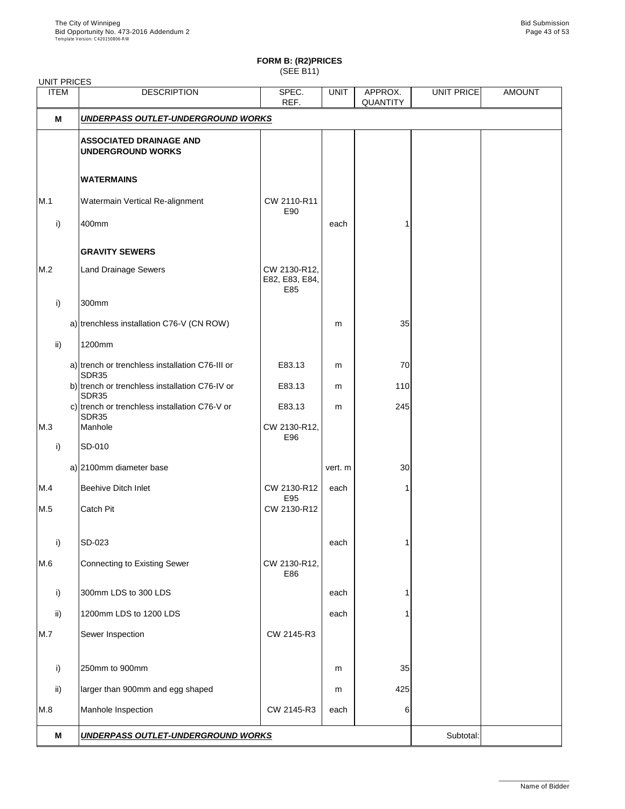# **FORM B: (R2)PRICES**

(SEE B11)

| <b>UNIT PRICES</b> |                                                            |                                       |             |                            |            |               |
|--------------------|------------------------------------------------------------|---------------------------------------|-------------|----------------------------|------------|---------------|
| <b>ITEM</b>        | <b>DESCRIPTION</b>                                         | SPEC.<br>REF.                         | <b>UNIT</b> | APPROX.<br><b>QUANTITY</b> | UNIT PRICE | <b>AMOUNT</b> |
| M                  | <b>UNDERPASS OUTLET-UNDERGROUND WORKS</b>                  |                                       |             |                            |            |               |
|                    | <b>ASSOCIATED DRAINAGE AND</b><br><b>UNDERGROUND WORKS</b> |                                       |             |                            |            |               |
|                    | <b>WATERMAINS</b>                                          |                                       |             |                            |            |               |
| M.1                | <b>Watermain Vertical Re-alignment</b>                     | CW 2110-R11<br>E90                    |             |                            |            |               |
| $\mathsf{i}$       | 400mm                                                      |                                       | each        |                            |            |               |
|                    | <b>GRAVITY SEWERS</b>                                      |                                       |             |                            |            |               |
| M.2                | <b>Land Drainage Sewers</b>                                | CW 2130-R12,<br>E82, E83, E84,<br>E85 |             |                            |            |               |
| i)                 | 300mm                                                      |                                       |             |                            |            |               |
|                    | a) trenchless installation C76-V (CN ROW)                  |                                       | m           | 35                         |            |               |
| $\mathsf{ii}$      | 1200mm                                                     |                                       |             |                            |            |               |
|                    | a) trench or trenchless installation C76-III or<br>SDR35   | E83.13                                | m           | 70                         |            |               |
|                    | b) trench or trenchless installation C76-IV or<br>SDR35    | E83.13                                | m           | 110                        |            |               |
|                    | c) trench or trenchless installation C76-V or<br>SDR35     | E83.13                                | m           | 245                        |            |               |
| M.3                | Manhole                                                    | CW 2130-R12,<br>E96                   |             |                            |            |               |
| i)                 | SD-010                                                     |                                       |             |                            |            |               |
|                    | a) 2100mm diameter base                                    |                                       | vert. m     | 30                         |            |               |
| M.4                | <b>Beehive Ditch Inlet</b>                                 | CW 2130-R12<br>E95                    | each        | 1                          |            |               |
| M.5                | Catch Pit                                                  | CW 2130-R12                           |             |                            |            |               |
| i)                 | SD-023                                                     |                                       | each        |                            |            |               |
| M.6                | Connecting to Existing Sewer                               | CW 2130-R12,<br>E86                   |             |                            |            |               |
| i)                 | 300mm LDS to 300 LDS                                       |                                       | each        |                            |            |               |
| $\mathsf{ii}$      | 1200mm LDS to 1200 LDS                                     |                                       | each        |                            |            |               |
| M.7                | Sewer Inspection                                           | CW 2145-R3                            |             |                            |            |               |
| i)                 | 250mm to 900mm                                             |                                       | m           | 35                         |            |               |
| $\mathsf{ii}$      | larger than 900mm and egg shaped                           |                                       | m           | 425                        |            |               |
| M.8                | Manhole Inspection                                         | CW 2145-R3                            | each        | 6                          |            |               |
| M                  | <b>UNDERPASS OUTLET-UNDERGROUND WORKS</b>                  |                                       |             |                            | Subtotal:  |               |

\_\_\_\_\_\_\_\_\_\_\_\_\_\_\_\_\_\_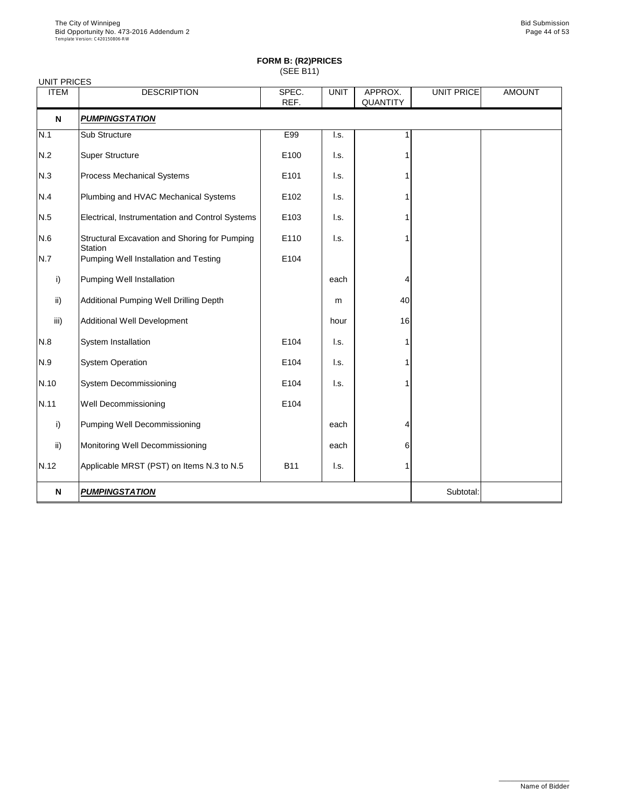| <b>UNIT PRICES</b> |                                                                 |               |             |                            |                   |               |
|--------------------|-----------------------------------------------------------------|---------------|-------------|----------------------------|-------------------|---------------|
| <b>ITEM</b>        | <b>DESCRIPTION</b>                                              | SPEC.<br>REF. | <b>UNIT</b> | APPROX.<br><b>QUANTITY</b> | <b>UNIT PRICE</b> | <b>AMOUNT</b> |
| N                  | <b>PUMPINGSTATION</b>                                           |               |             |                            |                   |               |
| N.1                | Sub Structure                                                   | E99           | I.s.        |                            |                   |               |
| N.2                | <b>Super Structure</b>                                          | E100          | I.s.        |                            |                   |               |
| N.3                | <b>Process Mechanical Systems</b>                               | E101          | I.s.        |                            |                   |               |
| N.4                | Plumbing and HVAC Mechanical Systems                            | E102          | I.s.        |                            |                   |               |
| N.5                | Electrical, Instrumentation and Control Systems                 | E103          | I.s.        |                            |                   |               |
| N.6                | Structural Excavation and Shoring for Pumping<br><b>Station</b> | E110          | I.s.        |                            |                   |               |
| N.7                | <b>Pumping Well Installation and Testing</b>                    | E104          |             |                            |                   |               |
| i)                 | <b>Pumping Well Installation</b>                                |               | each        | 4                          |                   |               |
| $\mathsf{ii}$      | <b>Additional Pumping Well Drilling Depth</b>                   |               | m           | 40                         |                   |               |
| iii)               | <b>Additional Well Development</b>                              |               | hour        | 16                         |                   |               |
| N.8                | System Installation                                             | E104          | I.s.        |                            |                   |               |
| N.9                | <b>System Operation</b>                                         | E104          | I.s.        |                            |                   |               |
| N.10               | <b>System Decommissioning</b>                                   | E104          | I.s.        |                            |                   |               |
| N.11               | <b>Well Decommissioning</b>                                     | E104          |             |                            |                   |               |
| i)                 | <b>Pumping Well Decommissioning</b>                             |               | each        | 4                          |                   |               |
| $\mathsf{ii}$      | Monitoring Well Decommissioning                                 |               | each        | 6                          |                   |               |
| N.12               | Applicable MRST (PST) on Items N.3 to N.5                       | <b>B11</b>    | I.s.        |                            |                   |               |
| N                  | <b>PUMPINGSTATION</b>                                           |               |             |                            | Subtotal:         |               |

\_\_\_\_\_\_\_\_\_\_\_\_\_\_\_\_\_\_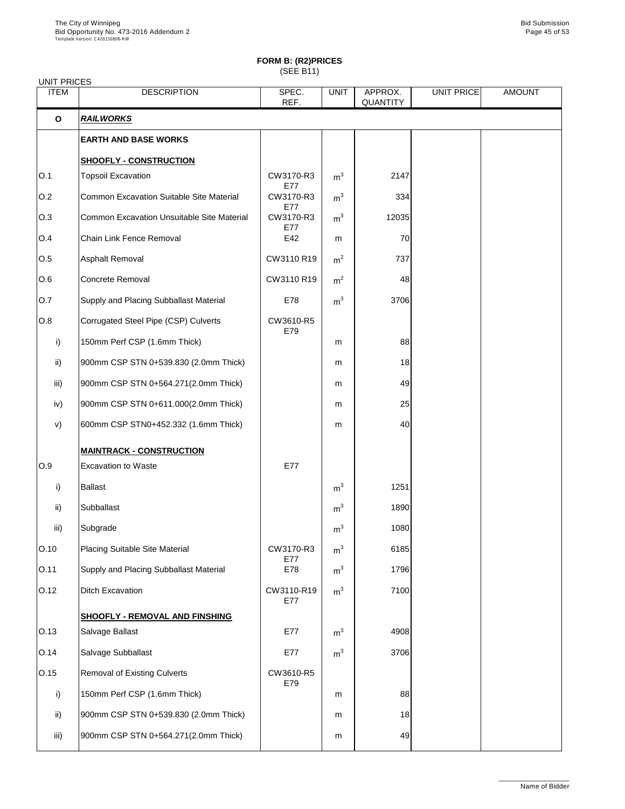# **FORM B: (R2)PRICES**

(SEE B11)

| <b>UNIT PRICES</b> |                                                   |                   |                |                            |            |               |  |  |  |
|--------------------|---------------------------------------------------|-------------------|----------------|----------------------------|------------|---------------|--|--|--|
| <b>ITEM</b>        | <b>DESCRIPTION</b>                                | SPEC.<br>REF.     | <b>UNIT</b>    | APPROX.<br><b>QUANTITY</b> | UNIT PRICE | <b>AMOUNT</b> |  |  |  |
| $\mathbf 0$        | <b>RAILWORKS</b>                                  |                   |                |                            |            |               |  |  |  |
|                    | <b>EARTH AND BASE WORKS</b>                       |                   |                |                            |            |               |  |  |  |
|                    | <b>SHOOFLY - CONSTRUCTION</b>                     |                   |                |                            |            |               |  |  |  |
| O.1                | <b>Topsoil Excavation</b>                         | CW3170-R3<br>E77  | m <sup>3</sup> | 2147                       |            |               |  |  |  |
| O.2                | <b>Common Excavation Suitable Site Material</b>   | CW3170-R3<br>E77  | m <sup>3</sup> | 334                        |            |               |  |  |  |
| O.3                | <b>Common Excavation Unsuitable Site Material</b> | CW3170-R3<br>E77  | m <sup>3</sup> | 12035                      |            |               |  |  |  |
| O.4                | <b>Chain Link Fence Removal</b>                   | E42               | m              | 70                         |            |               |  |  |  |
| O.5                | <b>Asphalt Removal</b>                            | CW3110 R19        | m <sup>2</sup> | 737                        |            |               |  |  |  |
| 0.6                | <b>Concrete Removal</b>                           | CW3110 R19        | m <sup>2</sup> | 48                         |            |               |  |  |  |
| <b>O.7</b>         | Supply and Placing Subballast Material            | E78               | m <sup>3</sup> | 3706                       |            |               |  |  |  |
| O.8                | Corrugated Steel Pipe (CSP) Culverts              | CW3610-R5         |                |                            |            |               |  |  |  |
| i)                 | 150mm Perf CSP (1.6mm Thick)                      | E79               | m              | 88                         |            |               |  |  |  |
| ii)                | 900mm CSP STN 0+539.830 (2.0mm Thick)             |                   | m              | 18                         |            |               |  |  |  |
| iii)               | 900mm CSP STN 0+564.271(2.0mm Thick)              |                   | m              | 49                         |            |               |  |  |  |
| iv)                | 900mm CSP STN 0+611.000(2.0mm Thick)              |                   | m              | 25                         |            |               |  |  |  |
| V)                 | 600mm CSP STN0+452.332 (1.6mm Thick)              |                   | m              | 40                         |            |               |  |  |  |
|                    | <b>MAINTRACK - CONSTRUCTION</b>                   |                   |                |                            |            |               |  |  |  |
| O.9                | <b>Excavation to Waste</b>                        | E77               |                |                            |            |               |  |  |  |
| i)                 | <b>Ballast</b>                                    |                   | m <sup>3</sup> | 1251                       |            |               |  |  |  |
| ii)                | Subballast                                        |                   | m <sup>3</sup> | 1890                       |            |               |  |  |  |
| iii)               | Subgrade                                          |                   | m <sup>3</sup> | 1080                       |            |               |  |  |  |
| O.10               | Placing Suitable Site Material                    | CW3170-R3         | m <sup>3</sup> | 6185                       |            |               |  |  |  |
| O.11               | <b>Supply and Placing Subballast Material</b>     | E77<br>E78        | m <sup>3</sup> | 1796                       |            |               |  |  |  |
| O.12               | <b>Ditch Excavation</b>                           | CW3110-R19<br>E77 | m <sup>3</sup> | 7100                       |            |               |  |  |  |
|                    | <b>SHOOFLY - REMOVAL AND FINSHING</b>             |                   |                |                            |            |               |  |  |  |

| O.13 | Salvage Ballast                       | E77              | m <sup>3</sup> | 4908 |  |
|------|---------------------------------------|------------------|----------------|------|--|
| O.14 | Salvage Subballast                    | E77              | m <sup>3</sup> | 3706 |  |
| O.15 | <b>Removal of Existing Culverts</b>   | CW3610-R5<br>E79 |                |      |  |
| i)   | 150mm Perf CSP (1.6mm Thick)          |                  | m              | 88   |  |
| ii)  | 900mm CSP STN 0+539.830 (2.0mm Thick) |                  | m              | 18   |  |
| iii) | 900mm CSP STN 0+564.271(2.0mm Thick)  |                  | m              | 49   |  |

\_\_\_\_\_\_\_\_\_\_\_\_\_\_\_\_\_\_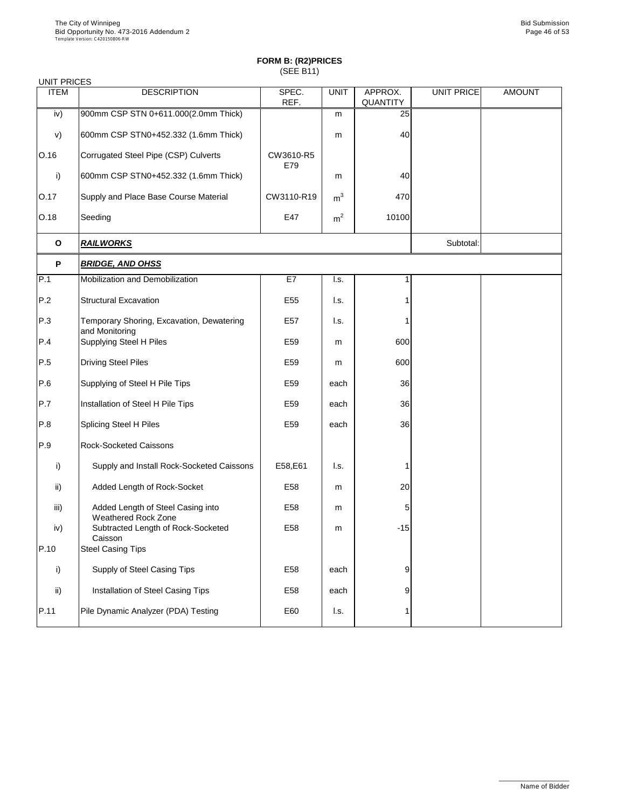| <b>UNIT PRICES</b> |                                                                 |                  |                           |                            |                   |               |
|--------------------|-----------------------------------------------------------------|------------------|---------------------------|----------------------------|-------------------|---------------|
| <b>ITEM</b>        | <b>DESCRIPTION</b>                                              | SPEC.<br>REF.    | <b>UNIT</b>               | APPROX.<br><b>QUANTITY</b> | <b>UNIT PRICE</b> | <b>AMOUNT</b> |
| iv)                | 900mm CSP STN 0+611.000(2.0mm Thick)                            |                  | m                         | 25                         |                   |               |
| V)                 | 600mm CSP STN0+452.332 (1.6mm Thick)                            |                  | m                         | 40                         |                   |               |
| O.16               | Corrugated Steel Pipe (CSP) Culverts                            | CW3610-R5<br>E79 |                           |                            |                   |               |
| $\mathsf{i}$       | 600mm CSP STN0+452.332 (1.6mm Thick)                            |                  | m                         | 40                         |                   |               |
| O.17               | Supply and Place Base Course Material                           | CW3110-R19       | m <sup>3</sup>            | 470                        |                   |               |
| O.18               | Seeding                                                         | E47              | m <sup>2</sup>            | 10100                      |                   |               |
| $\mathbf O$        | <b>RAILWORKS</b>                                                |                  |                           |                            | Subtotal:         |               |
| $\mathsf{P}$       | <b>BRIDGE, AND OHSS</b>                                         |                  |                           |                            |                   |               |
| P.1                | Mobilization and Demobilization                                 | E7               | $\mathsf{I}.\mathsf{s}$ . | 1                          |                   |               |
| P.2                | <b>Structural Excavation</b>                                    | E <sub>55</sub>  | I.s.                      |                            |                   |               |
| P.3                | Temporary Shoring, Excavation, Dewatering<br>and Monitoring     | E <sub>57</sub>  | I.s.                      |                            |                   |               |
| P.4                | <b>Supplying Steel H Piles</b>                                  | E <sub>59</sub>  | m                         | 600                        |                   |               |
| P.5                | <b>Driving Steel Piles</b>                                      | E59              | m                         | 600                        |                   |               |
| P.6                | Supplying of Steel H Pile Tips                                  | E59              | each                      | 36                         |                   |               |
| P.7                | Installation of Steel H Pile Tips                               | E59              | each                      | 36                         |                   |               |
| P.8                | <b>Splicing Steel H Piles</b>                                   | E <sub>59</sub>  | each                      | 36                         |                   |               |
| P.9                | <b>Rock-Socketed Caissons</b>                                   |                  |                           |                            |                   |               |
| i)                 | Supply and Install Rock-Socketed Caissons                       | E58,E61          | I.s.                      |                            |                   |               |
| ii)                | Added Length of Rock-Socket                                     | E <sub>58</sub>  | m                         | 20                         |                   |               |
| iii)               | Added Length of Steel Casing into<br><b>Weathered Rock Zone</b> | E <sub>58</sub>  | m                         | 5                          |                   |               |
| iv)                | Subtracted Length of Rock-Socketed<br>Caisson                   | E58              | m                         | $-15$                      |                   |               |
| P.10               | <b>Steel Casing Tips</b>                                        |                  |                           |                            |                   |               |
| i)                 | <b>Supply of Steel Casing Tips</b>                              | E <sub>58</sub>  | each                      | 9                          |                   |               |
| ii)                | Installation of Steel Casing Tips                               | E58              | each                      | 9                          |                   |               |
| P.11               | Pile Dynamic Analyzer (PDA) Testing                             | E60              | I.s.                      |                            |                   |               |
|                    |                                                                 |                  |                           |                            |                   |               |

\_\_\_\_\_\_\_\_\_\_\_\_\_\_\_\_\_\_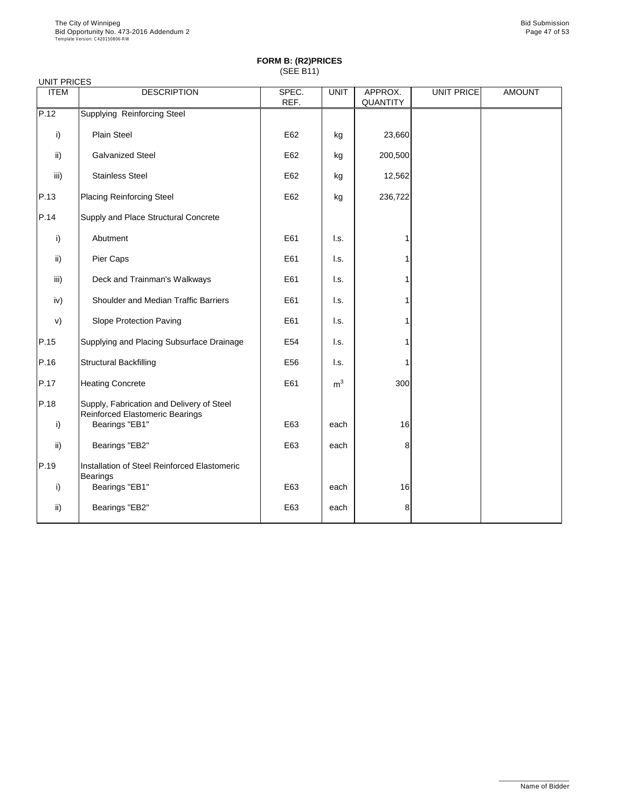| <b>UNIT PRICES</b> |                                                                                     |               |                |                            |                   |               |
|--------------------|-------------------------------------------------------------------------------------|---------------|----------------|----------------------------|-------------------|---------------|
| <b>ITEM</b>        | <b>DESCRIPTION</b>                                                                  | SPEC.<br>REF. | <b>UNIT</b>    | APPROX.<br><b>QUANTITY</b> | <b>UNIT PRICE</b> | <b>AMOUNT</b> |
| $\overline{P}$ .12 | <b>Supplying Reinforcing Steel</b>                                                  |               |                |                            |                   |               |
| i)                 | <b>Plain Steel</b>                                                                  | E62           | kg             | 23,660                     |                   |               |
| ii)                | <b>Galvanized Steel</b>                                                             | E62           | kg             | 200,500                    |                   |               |
| iii)               | <b>Stainless Steel</b>                                                              | E62           | kg             | 12,562                     |                   |               |
| P.13               | <b>Placing Reinforcing Steel</b>                                                    | E62           | kg             | 236,722                    |                   |               |
| P.14               | Supply and Place Structural Concrete                                                |               |                |                            |                   |               |
| i)                 | Abutment                                                                            | E61           | I.s.           |                            |                   |               |
| $\mathsf{ii}$      | Pier Caps                                                                           | E61           | I.s.           |                            |                   |               |
| iii)               | Deck and Trainman's Walkways                                                        | E61           | I.s.           |                            |                   |               |
| iv)                | <b>Shoulder and Median Traffic Barriers</b>                                         | E61           | l.s.           |                            |                   |               |
| V)                 | <b>Slope Protection Paving</b>                                                      | E61           | I.s.           |                            |                   |               |
| P.15               | Supplying and Placing Subsurface Drainage                                           | E54           | l.s.           |                            |                   |               |
| P.16               | <b>Structural Backfilling</b>                                                       | E56           | I.s.           |                            |                   |               |
| P.17               | <b>Heating Concrete</b>                                                             | E61           | m <sup>3</sup> | 300                        |                   |               |
| P.18               | Supply, Fabrication and Delivery of Steel<br><b>Reinforced Elastomeric Bearings</b> |               |                |                            |                   |               |
| $\mathsf{i}$       | Bearings "EB1"                                                                      | E63           | each           | 16                         |                   |               |
| $\mathsf{ii}$      | Bearings "EB2"                                                                      | E63           | each           | 8                          |                   |               |
| P.19               | Installation of Steel Reinforced Elastomeric<br><b>Bearings</b>                     |               |                |                            |                   |               |
| $\mathsf{i}$       | Bearings "EB1"                                                                      | E63           | each           | 16                         |                   |               |
| $\mathsf{ii}$      | Bearings "EB2"                                                                      | E63           | each           | 8                          |                   |               |

\_\_\_\_\_\_\_\_\_\_\_\_\_\_\_\_\_\_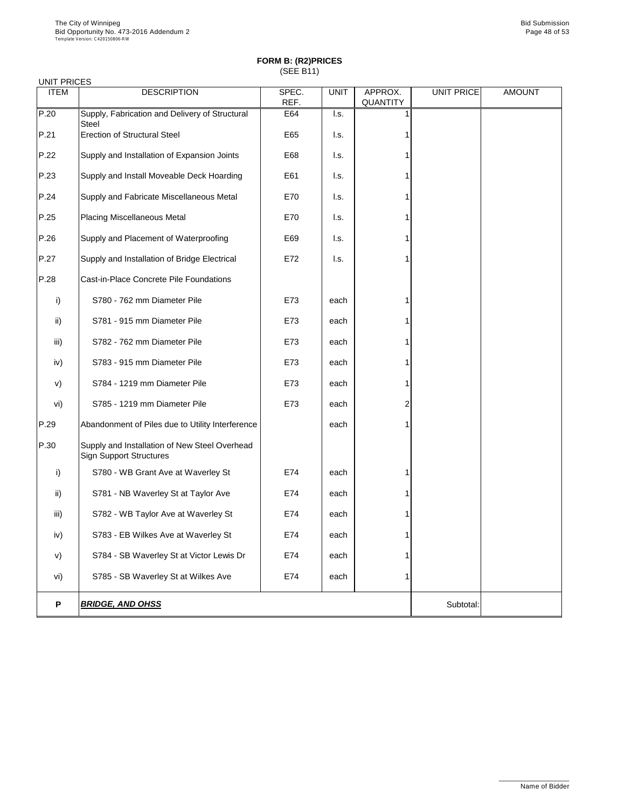| <b>UNIT PRICES</b> |                                                                                 |               |                           |                            |                   |               |
|--------------------|---------------------------------------------------------------------------------|---------------|---------------------------|----------------------------|-------------------|---------------|
| <b>ITEM</b>        | <b>DESCRIPTION</b>                                                              | SPEC.<br>REF. | <b>UNIT</b>               | APPROX.<br><b>QUANTITY</b> | <b>UNIT PRICE</b> | <b>AMOUNT</b> |
| P.20               | Supply, Fabrication and Delivery of Structural<br><b>Steel</b>                  | E64           | I.s.                      |                            |                   |               |
| P.21               | <b>Erection of Structural Steel</b>                                             | E65           | I.s.                      |                            |                   |               |
| P.22               | Supply and Installation of Expansion Joints                                     | E68           | I.s.                      |                            |                   |               |
| P.23               | Supply and Install Moveable Deck Hoarding                                       | E61           | $\mathsf{I}.\mathsf{s}$ . |                            |                   |               |
| P.24               | Supply and Fabricate Miscellaneous Metal                                        | E70           | I.s.                      |                            |                   |               |
| P.25               | <b>Placing Miscellaneous Metal</b>                                              | E70           | $\mathsf{I}.\mathsf{s}$ . |                            |                   |               |
| P.26               | Supply and Placement of Waterproofing                                           | E69           | $\mathsf{I}.\mathsf{s}$ . |                            |                   |               |
| P.27               | Supply and Installation of Bridge Electrical                                    | E72           | I.s.                      |                            |                   |               |
| P.28               | Cast-in-Place Concrete Pile Foundations                                         |               |                           |                            |                   |               |
| $\mathsf{i}$       | S780 - 762 mm Diameter Pile                                                     | E73           | each                      |                            |                   |               |
| $\mathsf{ii}$      | S781 - 915 mm Diameter Pile                                                     | E73           | each                      |                            |                   |               |
| iii)               | S782 - 762 mm Diameter Pile                                                     | E73           | each                      |                            |                   |               |
| iv)                | S783 - 915 mm Diameter Pile                                                     | E73           | each                      |                            |                   |               |
| V)                 | S784 - 1219 mm Diameter Pile                                                    | E73           | each                      |                            |                   |               |
| vi)                | S785 - 1219 mm Diameter Pile                                                    | E73           | each                      | $\overline{2}$             |                   |               |
| P.29               | Abandonment of Piles due to Utility Interference                                |               | each                      |                            |                   |               |
| P.30               | Supply and Installation of New Steel Overhead<br><b>Sign Support Structures</b> |               |                           |                            |                   |               |
| i)                 | S780 - WB Grant Ave at Waverley St                                              | E74           | each                      |                            |                   |               |
| $\mathsf{ii}$      | S781 - NB Waverley St at Taylor Ave                                             | E74           | each                      |                            |                   |               |
| iii)               | S782 - WB Taylor Ave at Waverley St                                             | E74           | each                      |                            |                   |               |
| iv)                | S783 - EB Wilkes Ave at Waverley St                                             | E74           | each                      |                            |                   |               |
| V)                 | S784 - SB Waverley St at Victor Lewis Dr                                        | E74           | each                      |                            |                   |               |
| vi)                | S785 - SB Waverley St at Wilkes Ave                                             | E74           | each                      |                            |                   |               |
| P                  | <b>BRIDGE, AND OHSS</b>                                                         |               |                           |                            | Subtotal:         |               |

\_\_\_\_\_\_\_\_\_\_\_\_\_\_\_\_\_\_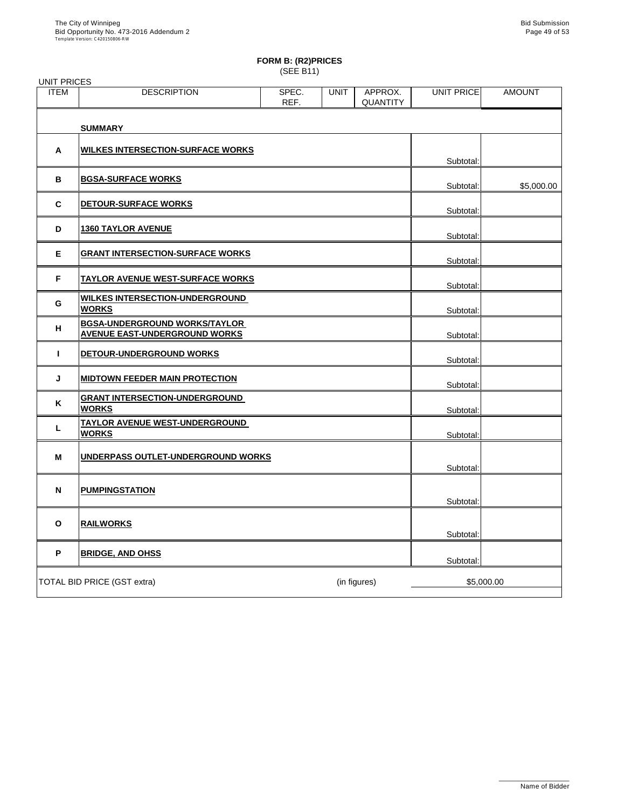| <b>UNIT PRICES</b> |                                                                              |               |             |                            |                   |               |
|--------------------|------------------------------------------------------------------------------|---------------|-------------|----------------------------|-------------------|---------------|
| <b>ITEM</b>        | <b>DESCRIPTION</b>                                                           | SPEC.<br>REF. | <b>UNIT</b> | APPROX.<br><b>QUANTITY</b> | <b>UNIT PRICE</b> | <b>AMOUNT</b> |
|                    | <b>SUMMARY</b>                                                               |               |             |                            |                   |               |
| A                  | <b>WILKES INTERSECTION-SURFACE WORKS</b>                                     |               |             |                            | Subtotal:         |               |
| $\mathbf B$        | <b>BGSA-SURFACE WORKS</b>                                                    |               |             |                            | Subtotal:         | \$5,000.00    |
| $\mathbf C$        | <b>DETOUR-SURFACE WORKS</b>                                                  |               |             |                            | Subtotal:         |               |
| D                  | <b>1360 TAYLOR AVENUE</b>                                                    |               |             |                            | Subtotal:         |               |
| E                  | <b>GRANT INTERSECTION-SURFACE WORKS</b>                                      |               |             |                            | Subtotal:         |               |
| F                  | <u>TAYLOR AVENUE WEST-SURFACE WORKS</u>                                      |               |             |                            | Subtotal:         |               |
| G                  | <b>WILKES INTERSECTION-UNDERGROUND</b><br><b>WORKS</b>                       |               |             |                            | Subtotal:         |               |
| H                  | <b>BGSA-UNDERGROUND WORKS/TAYLOR</b><br><b>AVENUE EAST-UNDERGROUND WORKS</b> |               |             |                            | Subtotal:         |               |
|                    | DETOUR-UNDERGROUND WORKS                                                     |               |             |                            | Subtotal:         |               |
| J                  | <b>MIDTOWN FEEDER MAIN PROTECTION</b>                                        |               |             |                            | Subtotal:         |               |
| K                  | <b>GRANT INTERSECTION-UNDERGROUND</b><br><u>WORKS</u>                        |               |             |                            | Subtotal:         |               |
|                    | <u>TAYLOR AVENUE WEST-UNDERGROUND_</u><br><b>WORKS</b>                       |               |             |                            | Subtotal:         |               |
| M                  | UNDERPASS OUTLET-UNDERGROUND WORKS                                           |               |             |                            | Subtotal:         |               |
| N                  | <b>PUMPINGSTATION</b>                                                        |               |             |                            | Subtotal:         |               |
| $\mathbf O$        | <b>RAILWORKS</b>                                                             |               |             |                            | Subtotal:         |               |
| P                  | <b>BRIDGE, AND OHSS</b>                                                      |               |             |                            | Subtotal:         |               |
|                    | <b>TOTAL BID PRICE (GST extra)</b>                                           |               |             | (in figures)               | \$5,000.00        |               |

\_\_\_\_\_\_\_\_\_\_\_\_\_\_\_\_\_\_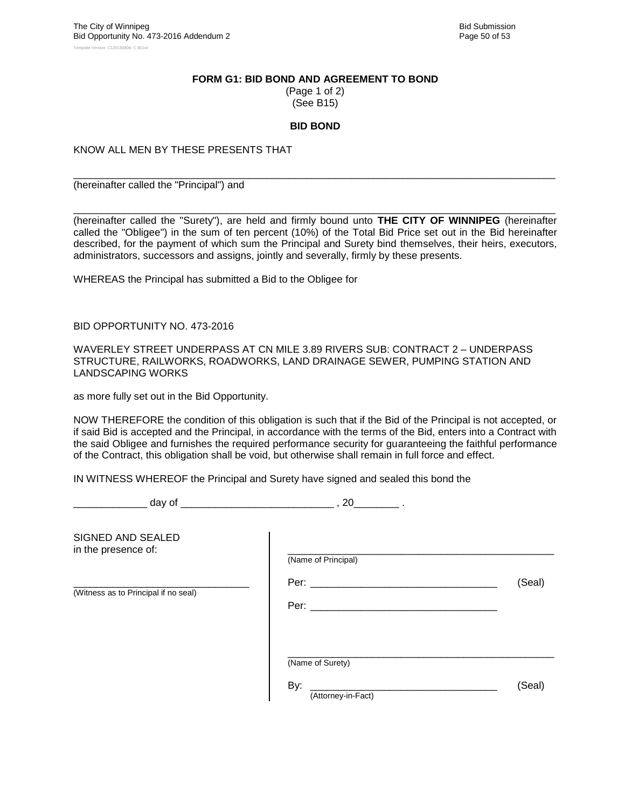#### **FORM G1: BID BOND AND AGREEMENT TO BOND**

(Page 1 of 2) (See B15)

#### **BID BOND**

\_\_\_\_\_\_\_\_\_\_\_\_\_\_\_\_\_\_\_\_\_\_\_\_\_\_\_\_\_\_\_\_\_\_\_\_\_\_\_\_\_\_\_\_\_\_\_\_\_\_\_\_\_\_\_\_\_\_\_\_\_\_\_\_\_\_\_\_\_\_\_\_\_\_\_\_\_\_\_\_\_\_\_\_\_

KNOW ALL MEN BY THESE PRESENTS THAT

(hereinafter called the "Principal") and

\_\_\_\_\_\_\_\_\_\_\_\_\_\_\_\_\_\_\_\_\_\_\_\_\_\_\_\_\_\_\_\_\_\_\_\_\_\_\_\_\_\_\_\_\_\_\_\_\_\_\_\_\_\_\_\_\_\_\_\_\_\_\_\_\_\_\_\_\_\_\_\_\_\_\_\_\_\_\_\_\_\_\_\_\_ (hereinafter called the "Surety"), are held and firmly bound unto **THE CITY OF WINNIPEG** (hereinafter called the "Obligee") in the sum of ten percent (10%) of the Total Bid Price set out in the Bid hereinafter described, for the payment of which sum the Principal and Surety bind themselves, their heirs, executors, administrators, successors and assigns, jointly and severally, firmly by these presents.

WHEREAS the Principal has submitted a Bid to the Obligee for

BID OPPORTUNITY NO. 473-2016

WAVERLEY STREET UNDERPASS AT CN MILE 3.89 RIVERS SUB: CONTRACT 2 – UNDERPASS STRUCTURE, RAILWORKS, ROADWORKS, LAND DRAINAGE SEWER, PUMPING STATION AND LANDSCAPING WORKS

as more fully set out in the Bid Opportunity.

NOW THEREFORE the condition of this obligation is such that if the Bid of the Principal is not accepted, or if said Bid is accepted and the Principal, in accordance with the terms of the Bid, enters into a Contract with the said Obligee and furnishes the required performance security for guaranteeing the faithful performance of the Contract, this obligation shall be void, but otherwise shall remain in full force and effect.

IN WITNESS WHEREOF the Principal and Surety have signed and sealed this bond the

\_\_\_\_\_\_\_\_\_\_\_\_\_ day of \_\_\_\_\_\_\_\_\_\_\_\_\_\_\_\_\_\_\_\_\_\_\_\_\_\_\_ , 20\_\_\_\_\_\_\_\_ .

| SIGNED AND SEALED<br>in the presence of: | (Name of Principal)                           |        |
|------------------------------------------|-----------------------------------------------|--------|
| (Witness as to Principal if no seal)     | Per: $\_\_$<br>Per: $\_\_$                    | (Seal) |
|                                          | (Name of Surety)<br>By:<br>(Attorney-in-Fact) | (Seal) |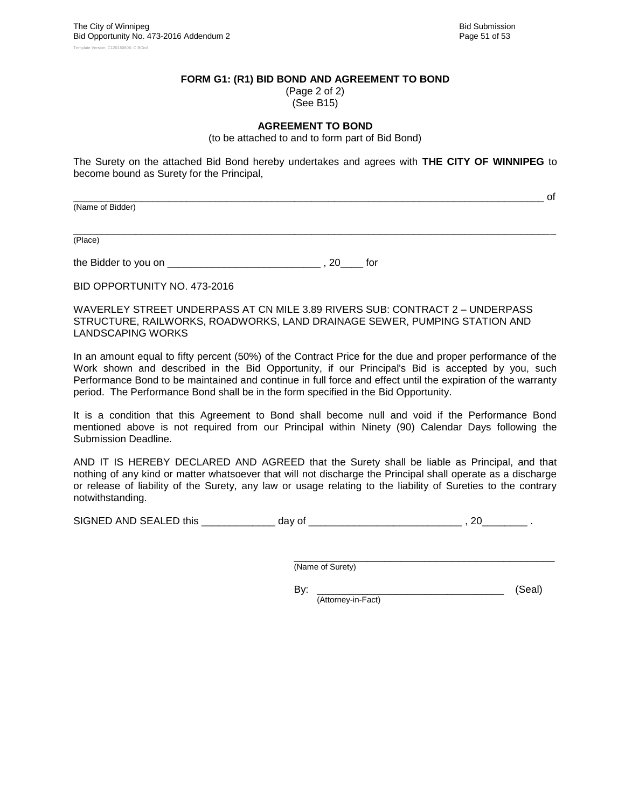\_\_\_\_\_\_\_\_\_\_\_\_\_\_\_\_\_\_\_\_\_\_\_\_\_\_\_\_\_\_\_\_\_\_\_\_\_\_\_\_\_\_\_\_\_\_\_\_\_\_\_\_\_\_\_\_\_\_\_\_\_\_\_\_\_\_\_\_\_\_\_\_\_\_\_\_\_\_\_\_\_\_\_ of

#### **FORM G1: (R1) BID BOND AND AGREEMENT TO BOND**

(Page 2 of 2) (See B15)

#### **AGREEMENT TO BOND**

(to be attached to and to form part of Bid Bond)

The Surety on the attached Bid Bond hereby undertakes and agrees with **THE CITY OF WINNIPEG** to become bound as Surety for the Principal,

(Name of Bidder)

\_\_\_\_\_\_\_\_\_\_\_\_\_\_\_\_\_\_\_\_\_\_\_\_\_\_\_\_\_\_\_\_\_\_\_\_\_\_\_\_\_\_\_\_\_\_\_\_\_\_\_\_\_\_\_\_\_\_\_\_\_\_\_\_\_\_\_\_\_\_\_\_\_\_\_\_\_\_\_\_\_\_\_\_\_ (Place)

the Bidder to you on \_\_\_\_\_\_\_\_\_\_\_\_\_\_\_\_\_\_\_\_\_\_\_\_\_\_\_ , 20\_\_\_\_ for

BID OPPORTUNITY NO. 473-2016

WAVERLEY STREET UNDERPASS AT CN MILE 3.89 RIVERS SUB: CONTRACT 2 – UNDERPASS STRUCTURE, RAILWORKS, ROADWORKS, LAND DRAINAGE SEWER, PUMPING STATION AND LANDSCAPING WORKS

In an amount equal to fifty percent (50%) of the Contract Price for the due and proper performance of the Work shown and described in the Bid Opportunity, if our Principal's Bid is accepted by you, such Performance Bond to be maintained and continue in full force and effect until the expiration of the warranty period. The Performance Bond shall be in the form specified in the Bid Opportunity.

It is a condition that this Agreement to Bond shall become null and void if the Performance Bond mentioned above is not required from our Principal within Ninety (90) Calendar Days following the Submission Deadline.

AND IT IS HEREBY DECLARED AND AGREED that the Surety shall be liable as Principal, and that nothing of any kind or matter whatsoever that will not discharge the Principal shall operate as a discharge or release of liability of the Surety, any law or usage relating to the liability of Sureties to the contrary notwithstanding.

SIGNED AND SEALED this \_\_\_\_\_\_\_\_\_\_\_\_\_ day of \_\_\_\_\_\_\_\_\_\_\_\_\_\_\_\_\_\_\_\_\_\_\_\_\_\_\_ , 20\_\_\_\_\_\_\_\_ .

\_\_\_\_\_\_\_\_\_\_\_\_\_\_\_\_\_\_\_\_\_\_\_\_\_\_\_\_\_\_\_\_\_\_\_\_\_\_\_\_\_\_\_\_\_\_ (Name of Surety)

By: \_\_\_\_\_\_\_\_\_\_\_\_\_\_\_\_\_\_\_\_\_\_\_\_\_\_\_\_\_\_\_\_\_ (Seal) (Attorney-in-Fact)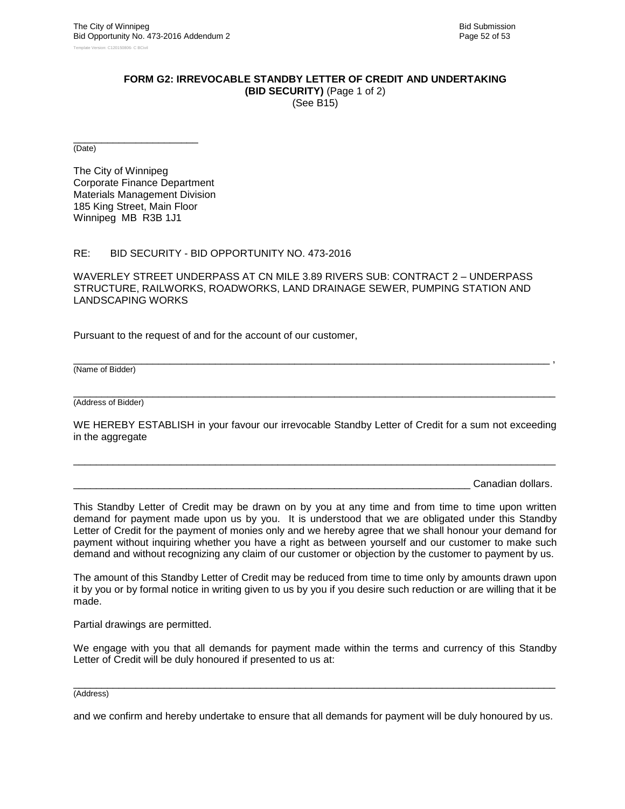#### **FORM G2: IRREVOCABLE STANDBY LETTER OF CREDIT AND UNDERTAKING**

**(BID SECURITY)** (Page 1 of 2) (See B15)

\_\_\_\_\_\_\_\_\_\_\_\_\_\_\_\_\_\_\_\_\_\_ (Date)

The City of Winnipeg Corporate Finance Department Materials Management Division 185 King Street, Main Floor Winnipeg MB R3B 1J1

#### RE: BID SECURITY - BID OPPORTUNITY NO. 473-2016

WAVERLEY STREET UNDERPASS AT CN MILE 3.89 RIVERS SUB: CONTRACT 2 – UNDERPASS STRUCTURE, RAILWORKS, ROADWORKS, LAND DRAINAGE SEWER, PUMPING STATION AND LANDSCAPING WORKS

Pursuant to the request of and for the account of our customer,

(Name of Bidder)

\_\_\_\_\_\_\_\_\_\_\_\_\_\_\_\_\_\_\_\_\_\_\_\_\_\_\_\_\_\_\_\_\_\_\_\_\_\_\_\_\_\_\_\_\_\_\_\_\_\_\_\_\_\_\_\_\_\_\_\_\_\_\_\_\_\_\_\_\_\_\_\_\_\_\_\_\_\_\_\_\_\_\_\_\_ (Address of Bidder)

WE HEREBY ESTABLISH in your favour our irrevocable Standby Letter of Credit for a sum not exceeding in the aggregate

\_\_\_\_\_\_\_\_\_\_\_\_\_\_\_\_\_\_\_\_\_\_\_\_\_\_\_\_\_\_\_\_\_\_\_\_\_\_\_\_\_\_\_\_\_\_\_\_\_\_\_\_\_\_\_\_\_\_\_\_\_\_\_\_\_\_\_\_\_\_\_\_\_\_\_\_\_\_\_\_\_\_\_\_\_

\_\_\_\_\_\_\_\_\_\_\_\_\_\_\_\_\_\_\_\_\_\_\_\_\_\_\_\_\_\_\_\_\_\_\_\_\_\_\_\_\_\_\_\_\_\_\_\_\_\_\_\_\_\_\_\_\_\_\_\_\_\_\_\_\_\_\_\_\_\_\_\_\_\_\_\_\_\_\_\_\_\_\_\_ ,

Canadian dollars.

This Standby Letter of Credit may be drawn on by you at any time and from time to time upon written demand for payment made upon us by you. It is understood that we are obligated under this Standby Letter of Credit for the payment of monies only and we hereby agree that we shall honour your demand for payment without inquiring whether you have a right as between yourself and our customer to make such demand and without recognizing any claim of our customer or objection by the customer to payment by us.

The amount of this Standby Letter of Credit may be reduced from time to time only by amounts drawn upon it by you or by formal notice in writing given to us by you if you desire such reduction or are willing that it be made.

Partial drawings are permitted.

We engage with you that all demands for payment made within the terms and currency of this Standby Letter of Credit will be duly honoured if presented to us at:

#### \_\_\_\_\_\_\_\_\_\_\_\_\_\_\_\_\_\_\_\_\_\_\_\_\_\_\_\_\_\_\_\_\_\_\_\_\_\_\_\_\_\_\_\_\_\_\_\_\_\_\_\_\_\_\_\_\_\_\_\_\_\_\_\_\_\_\_\_\_\_\_\_\_\_\_\_\_\_\_\_\_\_\_\_\_ (Address)

and we confirm and hereby undertake to ensure that all demands for payment will be duly honoured by us.